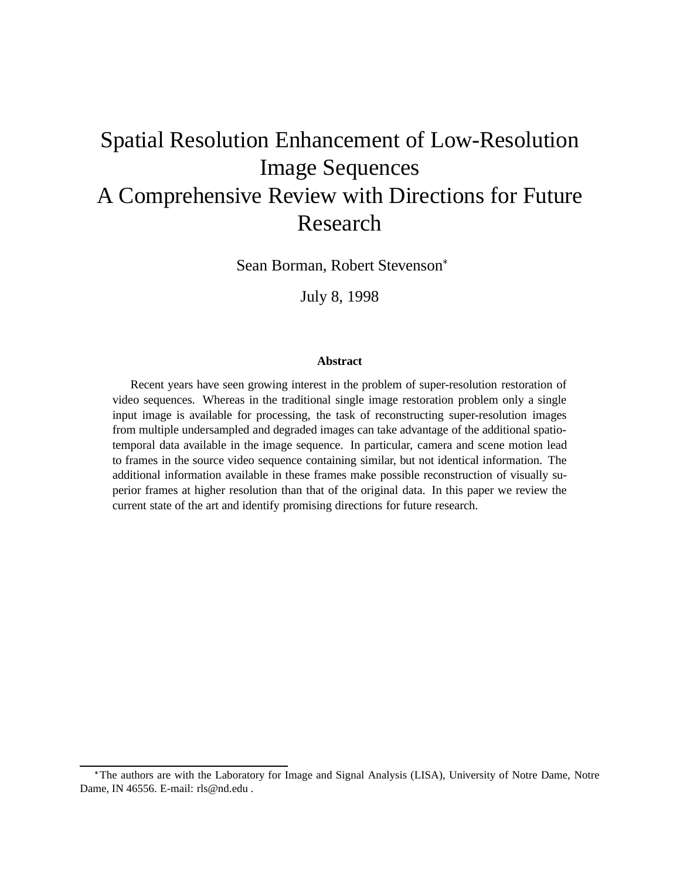# Spatial Resolution Enhancement of Low-Resolution Image Sequences A Comprehensive Review with Directions for Future Research

Sean Borman, Robert Stevenson

July 8, 1998

#### **Abstract**

Recent years have seen growing interest in the problem of super-resolution restoration of video sequences. Whereas in the traditional single image restoration problem only a single input image is available for processing, the task of reconstructing super-resolution images from multiple undersampled and degraded images can take advantage of the additional spatiotemporal data available in the image sequence. In particular, camera and scene motion lead to frames in the source video sequence containing similar, but not identical information. The additional information available in these frames make possible reconstruction of visually superior frames at higher resolution than that of the original data. In this paper we review the current state of the art and identify promising directions for future research.

The authors are with the Laboratory for Image and Signal Analysis (LISA), University of Notre Dame, Notre Dame, IN 46556. E-mail: rls@nd.edu .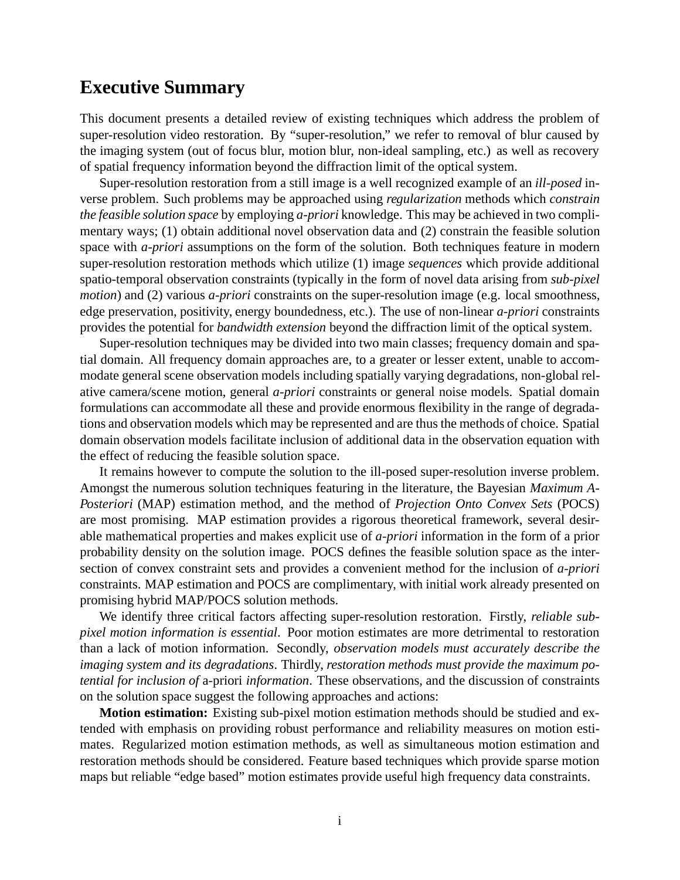## **Executive Summary**

This document presents a detailed review of existing techniques which address the problem of super-resolution video restoration. By "super-resolution," we refer to removal of blur caused by the imaging system (out of focus blur, motion blur, non-ideal sampling, etc.) as well as recovery of spatial frequency information beyond the diffraction limit of the optical system.

Super-resolution restoration from a still image is a well recognized example of an *ill-posed* inverse problem. Such problems may be approached using *regularization* methods which *constrain the feasible solution space* by employing *a-priori* knowledge. This may be achieved in two complimentary ways; (1) obtain additional novel observation data and (2) constrain the feasible solution space with *a-priori* assumptions on the form of the solution. Both techniques feature in modern super-resolution restoration methods which utilize (1) image *sequences* which provide additional spatio-temporal observation constraints (typically in the form of novel data arising from *sub-pixel motion*) and (2) various *a-priori* constraints on the super-resolution image (e.g. local smoothness, edge preservation, positivity, energy boundedness, etc.). The use of non-linear *a-priori* constraints provides the potential for *bandwidth extension* beyond the diffraction limit of the optical system.

Super-resolution techniques may be divided into two main classes; frequency domain and spatial domain. All frequency domain approaches are, to a greater or lesser extent, unable to accommodate general scene observation models including spatially varying degradations, non-global relative camera/scene motion, general *a-priori* constraints or general noise models. Spatial domain formulations can accommodate all these and provide enormous flexibility in the range of degradations and observation models which may be represented and are thus the methods of choice. Spatial domain observation models facilitate inclusion of additional data in the observation equation with the effect of reducing the feasible solution space.

It remains however to compute the solution to the ill-posed super-resolution inverse problem. Amongst the numerous solution techniques featuring in the literature, the Bayesian *Maximum A-Posteriori* (MAP) estimation method, and the method of *Projection Onto Convex Sets* (POCS) are most promising. MAP estimation provides a rigorous theoretical framework, several desirable mathematical properties and makes explicit use of *a-priori* information in the form of a prior probability density on the solution image. POCS defines the feasible solution space as the intersection of convex constraint sets and provides a convenient method for the inclusion of *a-priori* constraints. MAP estimation and POCS are complimentary, with initial work already presented on promising hybrid MAP/POCS solution methods.

We identify three critical factors affecting super-resolution restoration. Firstly, *reliable subpixel motion information is essential*. Poor motion estimates are more detrimental to restoration than a lack of motion information. Secondly, *observation models must accurately describe the imaging system and its degradations*. Thirdly, *restoration methods must provide the maximum potential for inclusion of* a-priori *information*. These observations, and the discussion of constraints on the solution space suggest the following approaches and actions:

**Motion estimation:** Existing sub-pixel motion estimation methods should be studied and extended with emphasis on providing robust performance and reliability measures on motion estimates. Regularized motion estimation methods, as well as simultaneous motion estimation and restoration methods should be considered. Feature based techniques which provide sparse motion maps but reliable "edge based" motion estimates provide useful high frequency data constraints.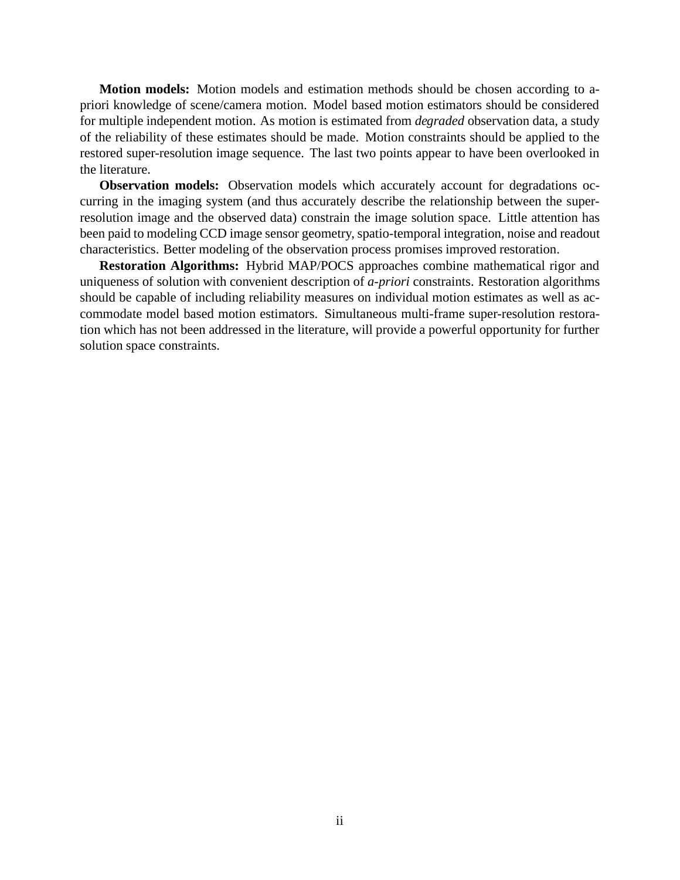**Motion models:** Motion models and estimation methods should be chosen according to apriori knowledge of scene/camera motion. Model based motion estimators should be considered for multiple independent motion. As motion is estimated from *degraded* observation data, a study of the reliability of these estimates should be made. Motion constraints should be applied to the restored super-resolution image sequence. The last two points appear to have been overlooked in the literature.

**Observation models:** Observation models which accurately account for degradations occurring in the imaging system (and thus accurately describe the relationship between the superresolution image and the observed data) constrain the image solution space. Little attention has been paid to modeling CCD image sensor geometry, spatio-temporal integration, noise and readout characteristics. Better modeling of the observation process promises improved restoration.

**Restoration Algorithms:** Hybrid MAP/POCS approaches combine mathematical rigor and uniqueness of solution with convenient description of *a-priori* constraints. Restoration algorithms should be capable of including reliability measures on individual motion estimates as well as accommodate model based motion estimators. Simultaneous multi-frame super-resolution restoration which has not been addressed in the literature, will provide a powerful opportunity for further solution space constraints.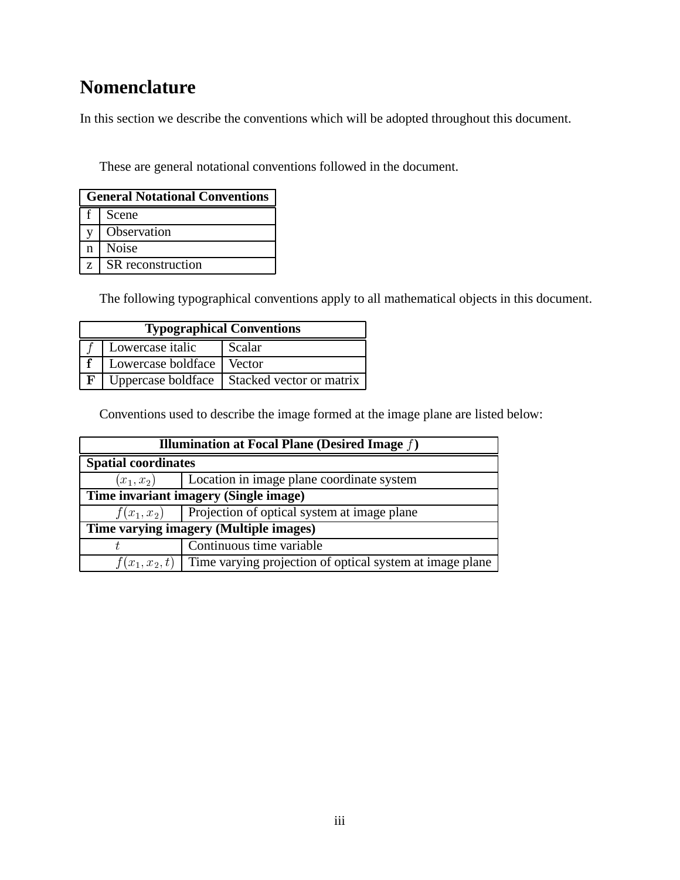# **Nomenclature**

In this section we describe the conventions which will be adopted throughout this document.

These are general notational conventions followed in the document.

| <b>General Notational Conventions</b> |                   |  |
|---------------------------------------|-------------------|--|
|                                       | Scene             |  |
|                                       | Observation       |  |
| n.                                    | <b>Noise</b>      |  |
|                                       | SR reconstruction |  |

The following typographical conventions apply to all mathematical objects in this document.

| <b>Typographical Conventions</b> |                             |                                               |  |
|----------------------------------|-----------------------------|-----------------------------------------------|--|
|                                  | Lowercase italic            | <b>Scalar</b>                                 |  |
|                                  | Lowercase boldface   Vector |                                               |  |
| F                                |                             | Uppercase boldface   Stacked vector or matrix |  |

Conventions used to describe the image formed at the image plane are listed below:

| <b>Illumination at Focal Plane (Desired Image <math>f</math>)</b>         |                                                           |  |  |
|---------------------------------------------------------------------------|-----------------------------------------------------------|--|--|
| <b>Spatial coordinates</b>                                                |                                                           |  |  |
|                                                                           | $(x_1, x_2)$ [Location in image plane coordinate system   |  |  |
| Time invariant imagery (Single image)                                     |                                                           |  |  |
|                                                                           | $f(x_1, x_2)$ Projection of optical system at image plane |  |  |
| Time varying imagery (Multiple images)                                    |                                                           |  |  |
|                                                                           | Continuous time variable                                  |  |  |
| $f(x_1, x_2, t)$ Time varying projection of optical system at image plane |                                                           |  |  |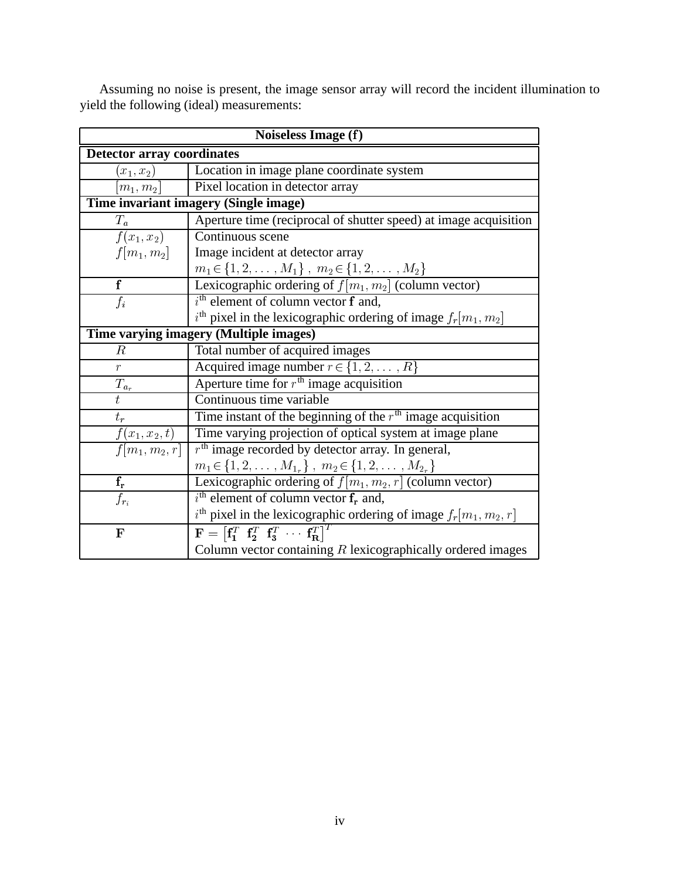| Noiseless Image (f)                       |                                                                                                                           |  |  |
|-------------------------------------------|---------------------------------------------------------------------------------------------------------------------------|--|--|
| <b>Detector array coordinates</b>         |                                                                                                                           |  |  |
| $(x_{1}, x_{2})$                          | Location in image plane coordinate system                                                                                 |  |  |
| $ m_1,m_2 $                               | Pixel location in detector array                                                                                          |  |  |
|                                           | Time invariant imagery (Single image)                                                                                     |  |  |
| $T_a^-$                                   | Aperture time (reciprocal of shutter speed) at image acquisition                                                          |  |  |
|                                           | $f(x_1, x_2)$ Continuous scene                                                                                            |  |  |
| $f[m_1, m_2]$                             | Image incident at detector array                                                                                          |  |  |
|                                           | $m_1 \in \{1, 2, , M_1\}$ , $m_2 \in \{1, 2, , M_2\}$<br>Lexicographic ordering of $f[m_1, m_2]$ (column vector)          |  |  |
| $\overline{\mathbf{f}}$                   |                                                                                                                           |  |  |
| $\overline{f_i}$                          | $i^{\text{th}}$ element of column vector $\mathbf f$ and,                                                                 |  |  |
|                                           | $i^{\text{th}}$ pixel in the lexicographic ordering of image $f_r[m_1, m_2]$                                              |  |  |
|                                           | Time varying imagery (Multiple images)                                                                                    |  |  |
| R                                         | Total number of acquired images                                                                                           |  |  |
| $\overline{r}$                            | Acquired image number $r \in \{1, 2, , R\}$                                                                               |  |  |
|                                           | Aperture time for $rth$ image acquisition<br>$\overline{T_{a_r}}$                                                         |  |  |
| $\bar{t}$                                 | Continuous time variable                                                                                                  |  |  |
| $t_r$                                     | Time instant of the beginning of the $rth$ image acquisition                                                              |  |  |
| $\frac{f(x_1,x_2,t)}{f[m_1,m_2,r]}$       | Time varying projection of optical system at image plane                                                                  |  |  |
|                                           | $rth$ image recorded by detector array. In general,                                                                       |  |  |
|                                           | $m_1 \in \{1, 2, \ldots, M_{1_r}\}, m_2 \in \{1, 2, \ldots, M_{2_r}\}\$                                                   |  |  |
| $\frac{\overline{\mathbf{f_r}}}{f_{r_i}}$ | Lexicographic ordering of $f[m_1, m_2, r]$ (column vector)                                                                |  |  |
|                                           | $i^{\text{th}}$ element of column vector $\mathbf{f}_r$ and,                                                              |  |  |
|                                           | $i^{\text{th}}$ pixel in the lexicographic ordering of image $f_r[m_1, m_2, r]$                                           |  |  |
| $\mathbf F$                               | $\mathbf{F} = \begin{bmatrix} \mathbf{f}_1^T & \mathbf{f}_2^T & \mathbf{f}_3^T & \cdots & \mathbf{f}_R^T \end{bmatrix}^T$ |  |  |
|                                           | Column vector containing $R$ lexicographically ordered images                                                             |  |  |

Assuming no noise is present, the image sensor array will record the incident illumination to yield the following (ideal) measurements: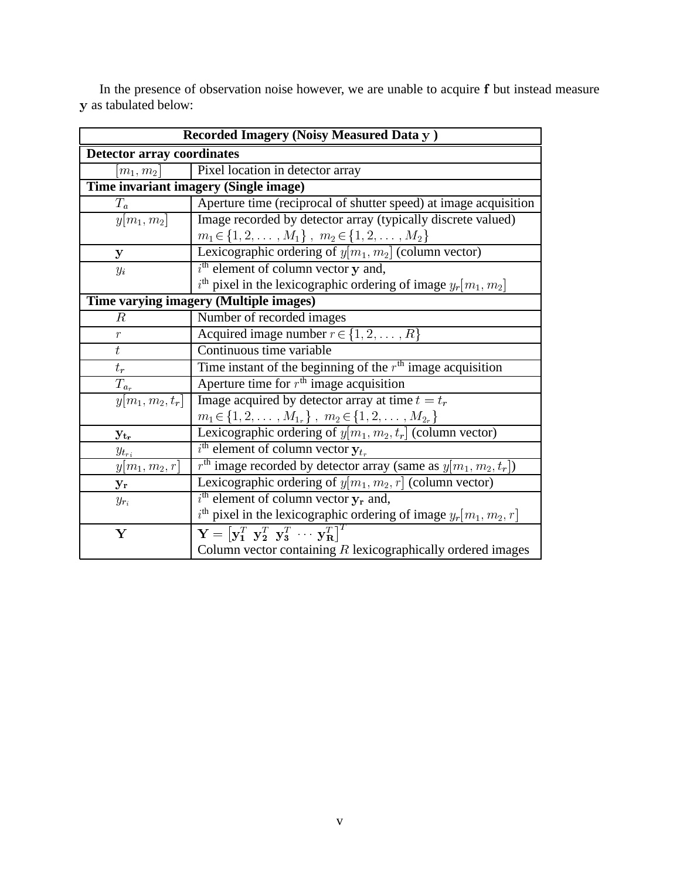| Recorded Imagery (Noisy Measured Data y)         |                                                                                                       |  |  |
|--------------------------------------------------|-------------------------------------------------------------------------------------------------------|--|--|
| <b>Detector array coordinates</b>                |                                                                                                       |  |  |
| Pixel location in detector array<br>$ m_1, m_2 $ |                                                                                                       |  |  |
| Time invariant imagery (Single image)            |                                                                                                       |  |  |
| $T_a$                                            | Aperture time (reciprocal of shutter speed) at image acquisition                                      |  |  |
| $y[m_1,m_2]$                                     | Image recorded by detector array (typically discrete valued)                                          |  |  |
|                                                  | $m_1 \in \{1, 2, \ldots, M_1\}$ , $m_2 \in \{1, 2, \ldots, M_2\}$                                     |  |  |
| $\mathbf{y}$                                     | Lexicographic ordering of $y[m_1, m_2]$ (column vector)                                               |  |  |
| $y_i$                                            | $ith$ element of column vector y and,                                                                 |  |  |
|                                                  | $i^{\text{th}}$ pixel in the lexicographic ordering of image $y_r[m_1, m_2]$                          |  |  |
| Time varying imagery (Multiple images)           |                                                                                                       |  |  |
| $\boldsymbol{R}$                                 | Number of recorded images                                                                             |  |  |
| $\boldsymbol{r}$                                 | Acquired image number $r \in \{1, 2, , R\}$                                                           |  |  |
| $\boldsymbol{t}$                                 | Continuous time variable                                                                              |  |  |
| $t_{\it r}$                                      | Time instant of the beginning of the $rth$ image acquisition                                          |  |  |
| $\mathcal{T}_{a_r}$                              | Aperture time for $rth$ image acquisition                                                             |  |  |
| $\overline{y[m_1,m_2,t_r]}$                      | Image acquired by detector array at time $t = t_r$                                                    |  |  |
|                                                  | $m_1 \in \{1, 2, \ldots, M_{1_r}\}, m_2 \in \{1, 2, \ldots, M_{2_r}\}\$                               |  |  |
| $y_{t_r}$                                        | Lexicographic ordering of $y[m_1, m_2, t_r]$ (column vector)                                          |  |  |
| $y_{t_{ri}}$                                     | $i^{\text{th}}$ element of column vector $y_{t_r}$                                                    |  |  |
| $y[m_1,m_2,r]$                                   | $rth$ image recorded by detector array (same as $y[m_1, m_2, t_r]$ )                                  |  |  |
| ${\bf y_r}$                                      | Lexicographic ordering of $y[m_1, m_2, r]$ (column vector)                                            |  |  |
| $y_{r_i}$                                        | $i^{\text{th}}$ element of column vector $y_r$ and,                                                   |  |  |
|                                                  | $i^{\text{th}}$ pixel in the lexicographic ordering of image $y_r[m_1, m_2, r]$                       |  |  |
| $\mathbf Y$                                      | $\mathbf{Y} = [\mathbf{y}_1^T \ \ \mathbf{y}_2^T \ \ \mathbf{y}_3^T \ \ \cdots \ \ \mathbf{y}_R^T]^T$ |  |  |
|                                                  | Column vector containing $R$ lexicographically ordered images                                         |  |  |

In the presence of observation noise however, we are unable to acquire f but instead measure y as tabulated below: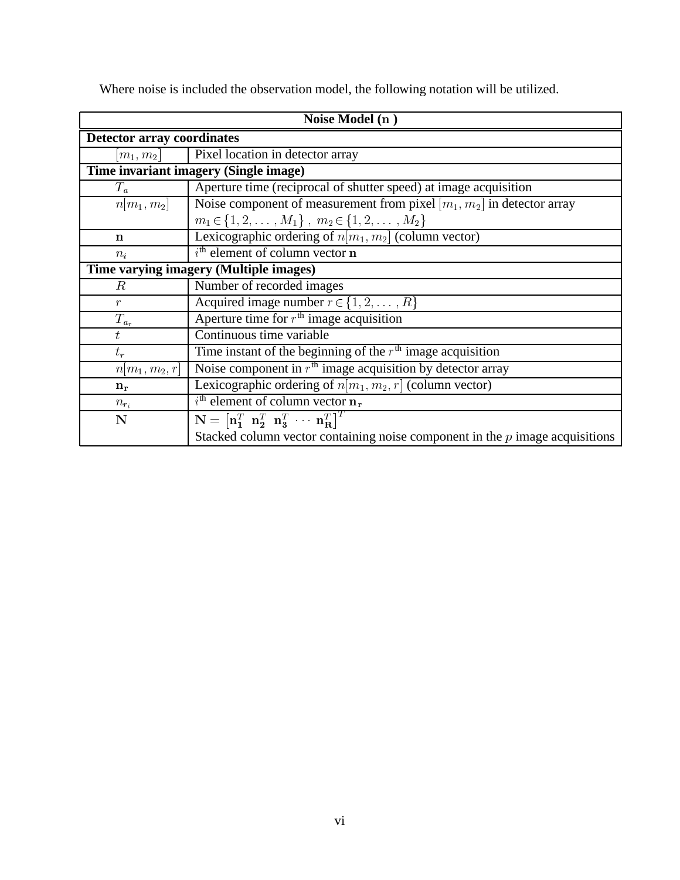| Noise Model (n)                   |                                                                                                                                               |  |  |
|-----------------------------------|-----------------------------------------------------------------------------------------------------------------------------------------------|--|--|
| <b>Detector array coordinates</b> |                                                                                                                                               |  |  |
| $ m_1, m_2 $                      | Pixel location in detector array                                                                                                              |  |  |
|                                   | Time invariant imagery (Single image)                                                                                                         |  |  |
| $T_a$                             | Aperture time (reciprocal of shutter speed) at image acquisition                                                                              |  |  |
| $n[m_1, m_2]$                     | Noise component of measurement from pixel $[m_1, m_2]$ in detector array                                                                      |  |  |
|                                   | $m_1 \in \{1, 2, \ldots, M_1\}$ , $m_2 \in \{1, 2, \ldots, M_2\}$                                                                             |  |  |
| n                                 | Lexicographic ordering of $n[m_1, m_2]$ (column vector)                                                                                       |  |  |
| $n_i$                             | $ith$ element of column vector n                                                                                                              |  |  |
|                                   | Time varying imagery (Multiple images)                                                                                                        |  |  |
| R                                 | Number of recorded images                                                                                                                     |  |  |
| $\mathcal{r}$                     | Acquired image number $r \in \{1, 2, , R\}$                                                                                                   |  |  |
| $T_{a_r}$                         | Aperture time for $rth$ image acquisition                                                                                                     |  |  |
| $t_{i}$                           | Continuous time variable                                                                                                                      |  |  |
| $t_r$                             | Time instant of the beginning of the $rth$ image acquisition                                                                                  |  |  |
| $n m_1, m_2, r $                  | Noise component in $rth$ image acquisition by detector array                                                                                  |  |  |
| $n_r$                             | Lexicographic ordering of $n[m_1, m_2, r]$ (column vector)                                                                                    |  |  |
| $n_{r_i}$                         | $i^{\text{th}}$ element of column vector $n_r$                                                                                                |  |  |
| N                                 | $\overline{\mathbf{N}} = \begin{bmatrix} \mathbf{n}_1^T & \mathbf{n}_2^T & \mathbf{n}_3^T & \cdots & \mathbf{n}_\mathbf{R}^T \end{bmatrix}^T$ |  |  |
|                                   | Stacked column vector containing noise component in the $p$ image acquisitions                                                                |  |  |

Where noise is included the observation model, the following notation will be utilized.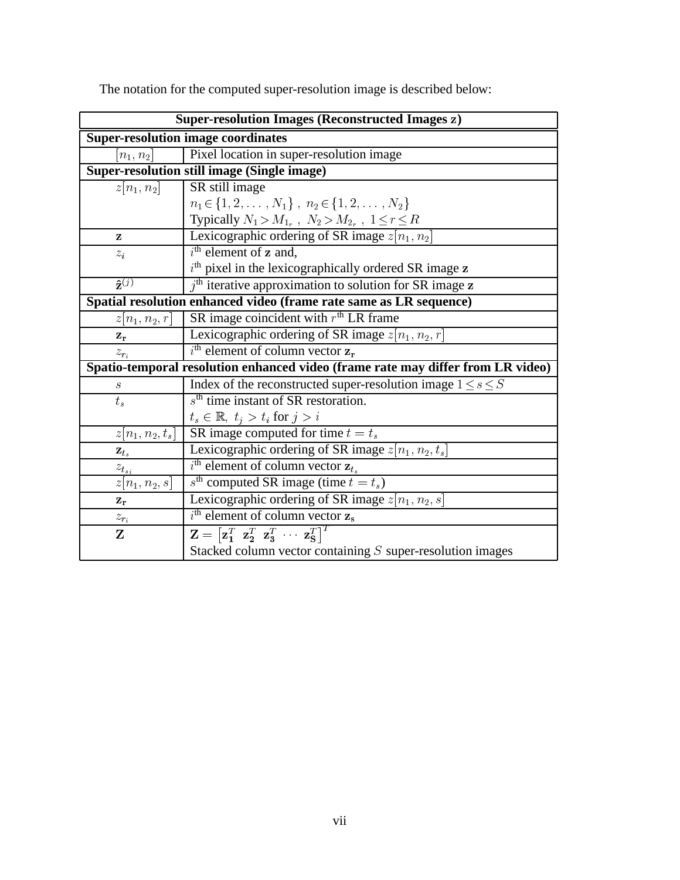| <b>Super-resolution Images (Reconstructed Images z)</b>            |                                                                                                                           |  |  |
|--------------------------------------------------------------------|---------------------------------------------------------------------------------------------------------------------------|--|--|
| <b>Super-resolution image coordinates</b>                          |                                                                                                                           |  |  |
| Pixel location in super-resolution image<br>$n_1, n_2$             |                                                                                                                           |  |  |
| <b>Super-resolution still image (Single image)</b>                 |                                                                                                                           |  |  |
| $ z n_1, n_2 $                                                     | SR still image                                                                                                            |  |  |
|                                                                    | $n_1 \in \{1, 2, \ldots, N_1\}, n_2 \in \{1, 2, \ldots, N_2\}$                                                            |  |  |
|                                                                    | Typically $N_1 > M_{1_r}$ , $N_2 > M_{2_r}$ , $1 \le r \le R$<br>Lexicographic ordering of SR image $z[n_1, n_2]$         |  |  |
| z                                                                  |                                                                                                                           |  |  |
| $z_i$                                                              | $ith$ element of z and,                                                                                                   |  |  |
|                                                                    | $ith$ pixel in the lexicographically ordered SR image $z$                                                                 |  |  |
| $\hat{\mathbf{z}}^{(j)}$                                           | $jth$ iterative approximation to solution for SR image z                                                                  |  |  |
| Spatial resolution enhanced video (frame rate same as LR sequence) |                                                                                                                           |  |  |
| $z[n_1, n_2, r]$                                                   | SR image coincident with $rth$ LR frame                                                                                   |  |  |
| $\mathbf{z}_r$                                                     | Lexicographic ordering of SR image $z[n_1, n_2, r]$                                                                       |  |  |
| $z_{r_i}$                                                          | $i^{\text{th}}$ element of column vector $z_r$                                                                            |  |  |
|                                                                    | Spatio-temporal resolution enhanced video (frame rate may differ from LR video)                                           |  |  |
| $\boldsymbol{s}$                                                   | Index of the reconstructed super-resolution image $1 \le s \le S$                                                         |  |  |
| $t_s$                                                              | $sth$ time instant of SR restoration.                                                                                     |  |  |
|                                                                    | $t_s \in \mathbb{R}, t_j > t_i \text{ for } j > i$                                                                        |  |  |
| $z[n_1, n_2, t_s]$                                                 | SR image computed for time $t = t_s$                                                                                      |  |  |
| $\mathbf{z}_{t_s}$                                                 | Lexicographic ordering of SR image $z[n_1, n_2, t_s]$                                                                     |  |  |
|                                                                    | $i^{\text{th}}$ element of column vector $z_{t_s}$                                                                        |  |  |
| $\frac{z_{t_{s_i}}}{z[n_1, n_2, s]}$                               | $s^{\text{th}}$ computed SR image (time $t = t_s$ )                                                                       |  |  |
| $\mathbf{z}_\mathbf{r}$                                            | Lexicographic ordering of SR image $z[n_1, n_2, s]$                                                                       |  |  |
| $z_{r_i}$                                                          | $i^{\text{th}}$ element of column vector $z_{\text{s}}$                                                                   |  |  |
| $\mathbf{Z}$                                                       | $\mathbf{Z} = \begin{bmatrix} \mathbf{z}_1^T & \mathbf{z}_2^T & \mathbf{z}_3^T & \cdots & \mathbf{z}_S^T \end{bmatrix}^T$ |  |  |
|                                                                    | Stacked column vector containing S super-resolution images                                                                |  |  |

The notation for the computed super-resolution image is described below: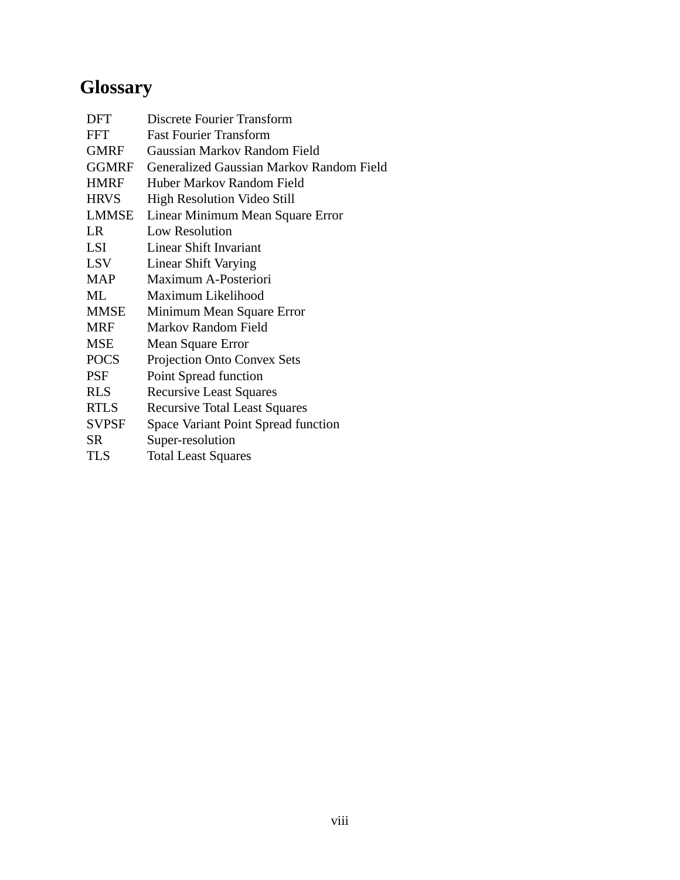# **Glossary**

| DFT          | Discrete Fourier Transform                      |
|--------------|-------------------------------------------------|
| <b>FFT</b>   | <b>Fast Fourier Transform</b>                   |
| <b>GMRF</b>  | Gaussian Markov Random Field                    |
| <b>GGMRF</b> | <b>Generalized Gaussian Markov Random Field</b> |
| <b>HMRF</b>  | Huber Markov Random Field                       |
| <b>HRVS</b>  | High Resolution Video Still                     |
| <b>LMMSE</b> | Linear Minimum Mean Square Error                |
| LR.          | <b>Low Resolution</b>                           |
| LSI          | Linear Shift Invariant                          |
| <b>LSV</b>   | <b>Linear Shift Varying</b>                     |
| <b>MAP</b>   | Maximum A-Posteriori                            |
| ML           | Maximum Likelihood                              |
| <b>MMSE</b>  | Minimum Mean Square Error                       |
| <b>MRF</b>   | <b>Markov Random Field</b>                      |
| <b>MSE</b>   | Mean Square Error                               |
| <b>POCS</b>  | Projection Onto Convex Sets                     |
| <b>PSF</b>   | Point Spread function                           |
| <b>RLS</b>   | <b>Recursive Least Squares</b>                  |
| <b>RTLS</b>  | <b>Recursive Total Least Squares</b>            |
| <b>SVPSF</b> | <b>Space Variant Point Spread function</b>      |
| SR           | Super-resolution                                |
| <b>TLS</b>   | <b>Total Least Squares</b>                      |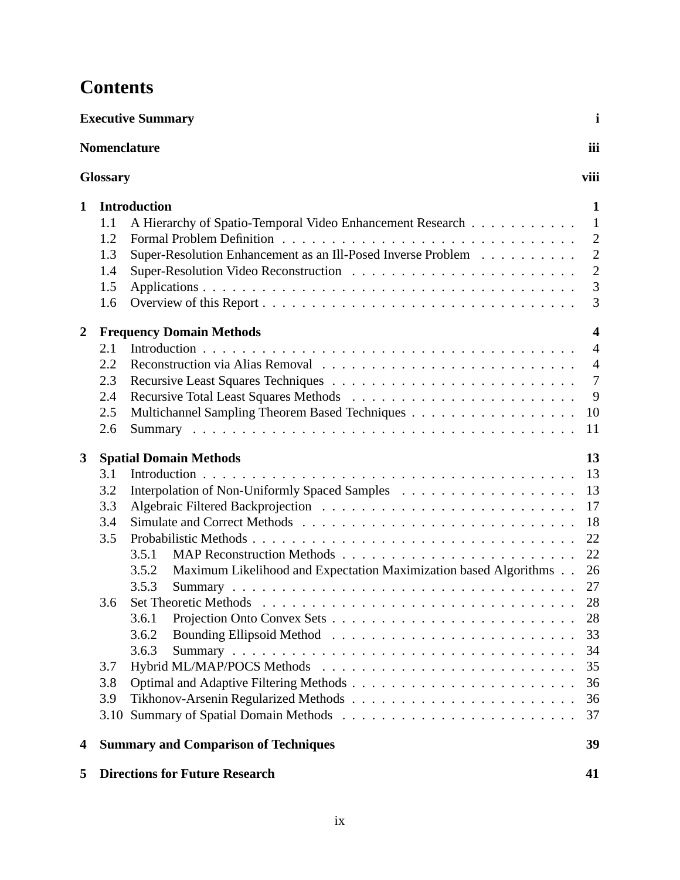## **Contents**

|                |                                        | <b>Executive Summary</b>                                                                                                                         | $\mathbf{i}$                                                                                   |
|----------------|----------------------------------------|--------------------------------------------------------------------------------------------------------------------------------------------------|------------------------------------------------------------------------------------------------|
|                |                                        | <b>Nomenclature</b>                                                                                                                              | iii                                                                                            |
|                | <b>Glossary</b>                        |                                                                                                                                                  | viii                                                                                           |
| 1              | 1.1<br>1.2<br>1.3<br>1.4<br>1.5<br>1.6 | <b>Introduction</b><br>A Hierarchy of Spatio-Temporal Video Enhancement Research<br>Super-Resolution Enhancement as an Ill-Posed Inverse Problem | 1<br>$\mathbf{1}$<br>$\overline{2}$<br>$\overline{2}$<br>$\overline{2}$<br>3<br>3              |
| $\overline{2}$ | 2.1<br>2.2<br>2.3<br>2.4<br>2.5<br>2.6 | <b>Frequency Domain Methods</b><br>Multichannel Sampling Theorem Based Techniques                                                                | $\overline{\mathbf{4}}$<br>$\overline{4}$<br>$\overline{4}$<br>$\overline{7}$<br>9<br>10<br>11 |
| $\mathbf{3}$   | 3.1<br>3.2<br>3.3<br>3.4<br>3.5        | <b>Spatial Domain Methods</b><br>3.5.1<br>Maximum Likelihood and Expectation Maximization based Algorithms<br>3.5.2<br>3.5.3                     | 13<br>13<br>13<br>17<br>18<br>22<br>22<br>26<br>27                                             |
|                | 3.6<br>3.7<br>3.8<br>3.9<br>3.10       | 3.6.1<br>3.6.2<br>3.6.3                                                                                                                          | 28<br>28<br>33<br>34<br>35<br>36<br>36<br>37                                                   |
| 4              |                                        | <b>Summary and Comparison of Techniques</b>                                                                                                      | 39                                                                                             |
| 5              |                                        | <b>Directions for Future Research</b>                                                                                                            | 41                                                                                             |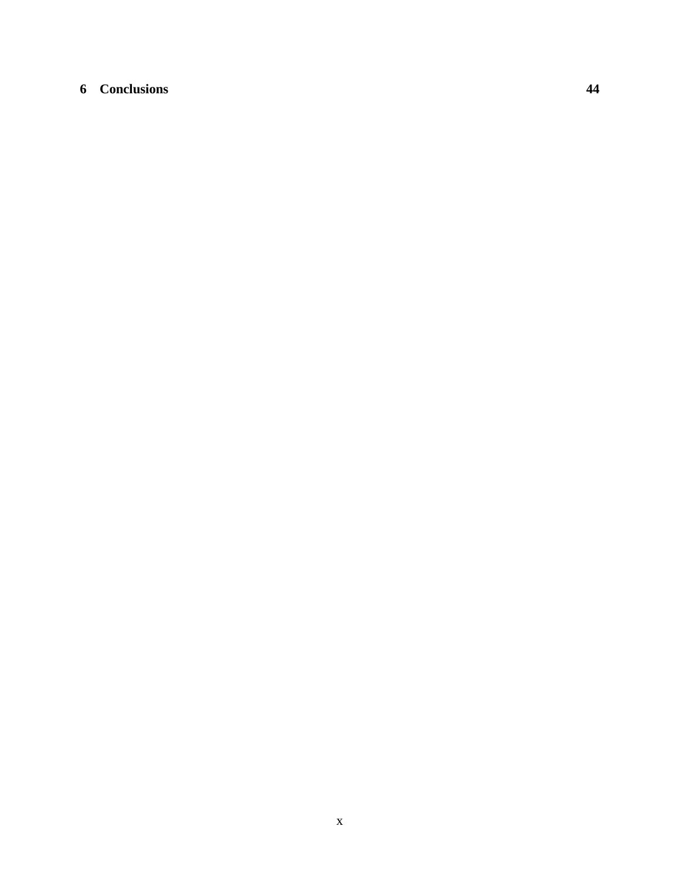## **6 Conclusions 44**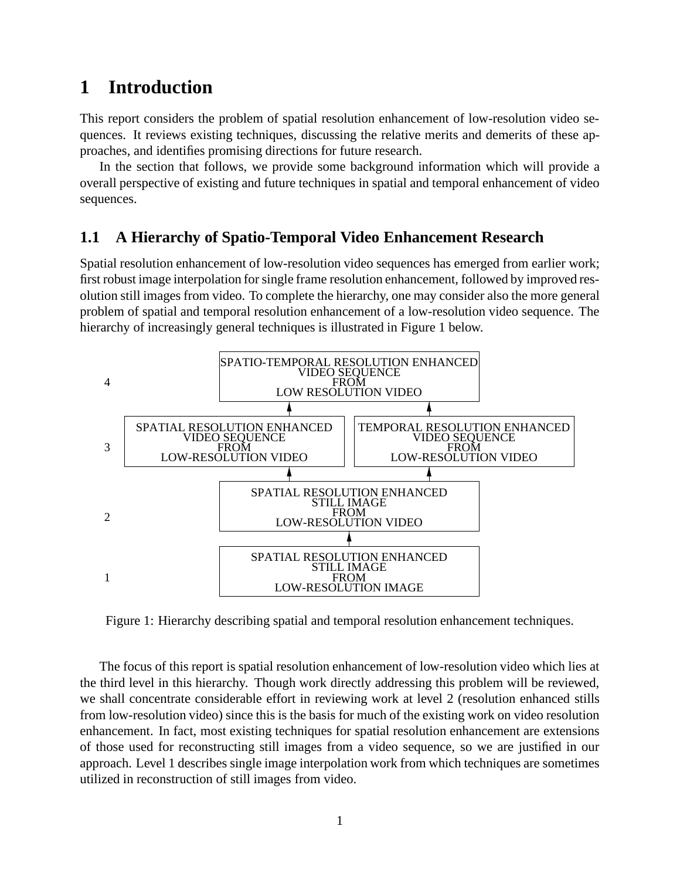## **1 Introduction**

This report considers the problem of spatial resolution enhancement of low-resolution video sequences. It reviews existing techniques, discussing the relative merits and demerits of these approaches, and identifies promising directions for future research.

In the section that follows, we provide some background information which will provide a overall perspective of existing and future techniques in spatial and temporal enhancement of video sequences.

### **1.1 A Hierarchy of Spatio-Temporal Video Enhancement Research**

Spatial resolution enhancement of low-resolution video sequences has emerged from earlier work; first robust image interpolation for single frame resolution enhancement, followed by improved resolution still images from video. To complete the hierarchy, one may consider also the more general problem of spatial and temporal resolution enhancement of a low-resolution video sequence. The hierarchy of increasingly general techniques is illustrated in Figure 1 below.



Figure 1: Hierarchy describing spatial and temporal resolution enhancement techniques.

The focus of this report is spatial resolution enhancement of low-resolution video which lies at the third level in this hierarchy. Though work directly addressing this problem will be reviewed, we shall concentrate considerable effort in reviewing work at level 2 (resolution enhanced stills from low-resolution video) since this is the basis for much of the existing work on video resolution enhancement. In fact, most existing techniques for spatial resolution enhancement are extensions of those used for reconstructing still images from a video sequence, so we are justified in our approach. Level 1 describes single image interpolation work from which techniques are sometimes utilized in reconstruction of still images from video.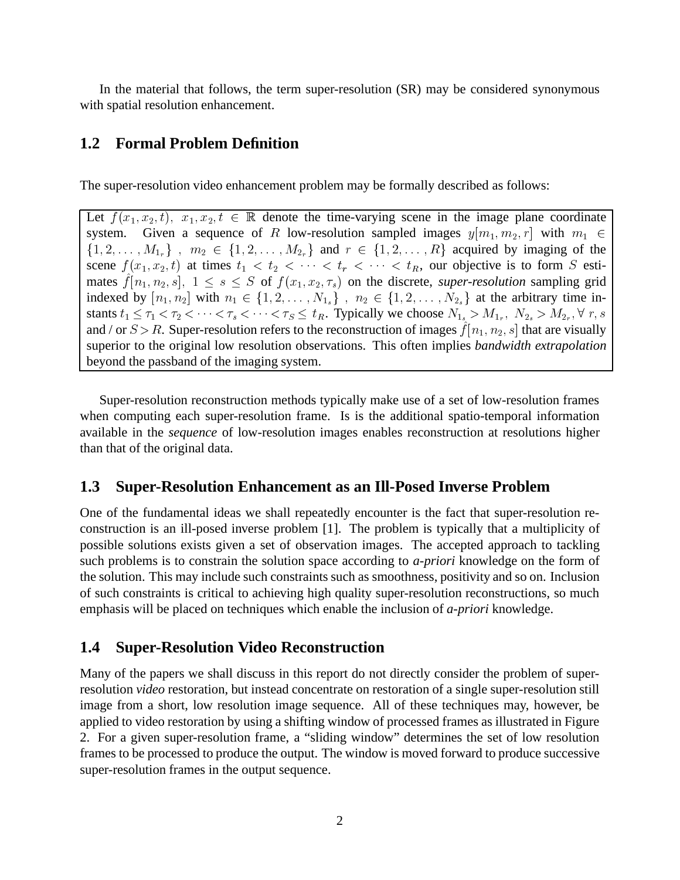In the material that follows, the term super-resolution (SR) may be considered synonymous with spatial resolution enhancement.

#### **1.2 Formal Problem Definition**

The super-resolution video enhancement problem may be formally described as follows:

Let  $f(x_1, x_2, t)$ ,  $x_1, x_2, t \in \mathbb{R}$  denote the time-varying scene in the image plane coordinate system. Given a sequence of R low-resolution sampled images  $y[m_1, m_2, r]$  with  $m_1 \in$  $\{1, 2, \ldots, M_{1r}\}\;$ ,  $m_2 \in \{1, 2, \ldots, M_{2r}\}\;$  and  $r \in \{1, 2, \ldots, R\}\;$  acquired by imaging of the scene  $f(x_1, x_2, t)$  at times  $t_1 < t_2 < \cdots < t_r < \cdots < t_R$ , our objective is to form S estimates  $f [n_1, n_2, s], 1 \le s \le S$  of  $f (x_1, x_2, \tau_s)$  on the discrete, *super-resolution* sampling grid indexed by  $[n_1, n_2]$  with  $n_1 \in \{1, 2, \ldots, N_{1s}\}\;$ ,  $n_2 \in \{1, 2, \ldots, N_{2s}\}\;$  at the arbitrary time instants  $t_1 \le \tau_1 < \tau_2 < \cdots < \tau_s < \cdots < \tau_s \le t_R$ . Typically we choose  $N_{1_s} > M_{1_r}, N_{2_s} > M_{2_r}, \forall r, s$ and / or  $S > R$ . Super-resolution refers to the reconstruction of images  $f [n_1, n_2, s]$  that are visually superior to the original low resolution observations. This often implies *bandwidth extrapolation* beyond the passband of the imaging system.

Super-resolution reconstruction methods typically make use of a set of low-resolution frames when computing each super-resolution frame. Is is the additional spatio-temporal information available in the *sequence* of low-resolution images enables reconstruction at resolutions higher than that of the original data.

### **1.3 Super-Resolution Enhancement as an Ill-Posed Inverse Problem**

One of the fundamental ideas we shall repeatedly encounter is the fact that super-resolution reconstruction is an ill-posed inverse problem [1]. The problem is typically that a multiplicity of possible solutions exists given a set of observation images. The accepted approach to tackling such problems is to constrain the solution space according to *a-priori* knowledge on the form of the solution. This may include such constraints such as smoothness, positivity and so on. Inclusion of such constraints is critical to achieving high quality super-resolution reconstructions, so much emphasis will be placed on techniques which enable the inclusion of *a-priori* knowledge.

### **1.4 Super-Resolution Video Reconstruction**

Many of the papers we shall discuss in this report do not directly consider the problem of superresolution *video* restoration, but instead concentrate on restoration of a single super-resolution still image from a short, low resolution image sequence. All of these techniques may, however, be applied to video restoration by using a shifting window of processed frames as illustrated in Figure 2. For a given super-resolution frame, a "sliding window" determines the set of low resolution frames to be processed to produce the output. The window is moved forward to produce successive super-resolution frames in the output sequence.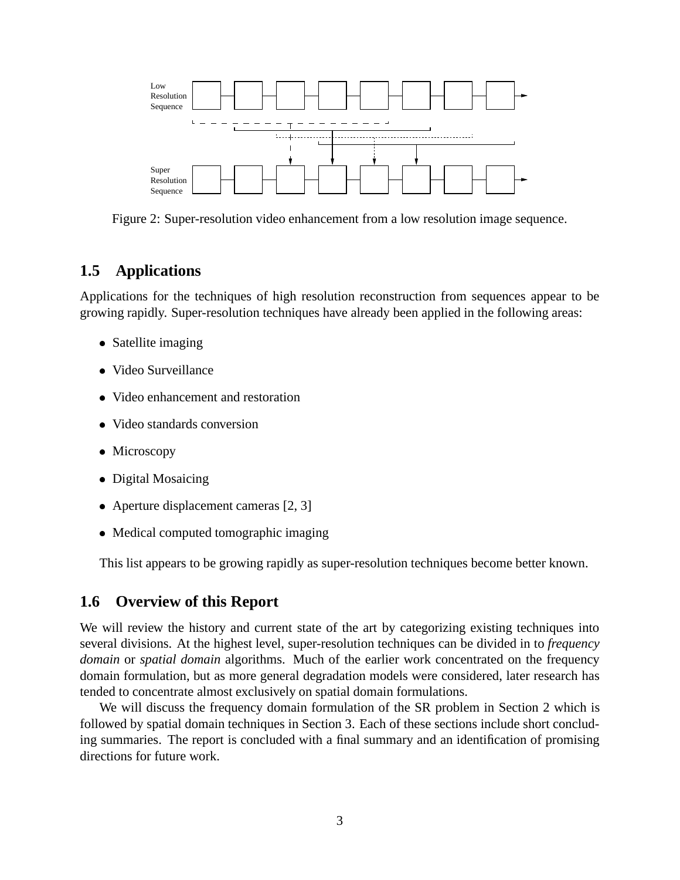

Figure 2: Super-resolution video enhancement from a low resolution image sequence.

#### **1.5 Applications**

Applications for the techniques of high resolution reconstruction from sequences appear to be growing rapidly. Super-resolution techniques have already been applied in the following areas:

- Satellite imaging
- Video Surveillance
- Video enhancement and restoration
- Video standards conversion
- Microscopy
- Digital Mosaicing
- Aperture displacement cameras [2, 3]
- Medical computed tomographic imaging

This list appears to be growing rapidly as super-resolution techniques become better known.

#### **1.6 Overview of this Report**

We will review the history and current state of the art by categorizing existing techniques into several divisions. At the highest level, super-resolution techniques can be divided in to *frequency domain* or *spatial domain* algorithms. Much of the earlier work concentrated on the frequency domain formulation, but as more general degradation models were considered, later research has tended to concentrate almost exclusively on spatial domain formulations.

We will discuss the frequency domain formulation of the SR problem in Section 2 which is followed by spatial domain techniques in Section 3. Each of these sections include short concluding summaries. The report is concluded with a final summary and an identification of promising directions for future work.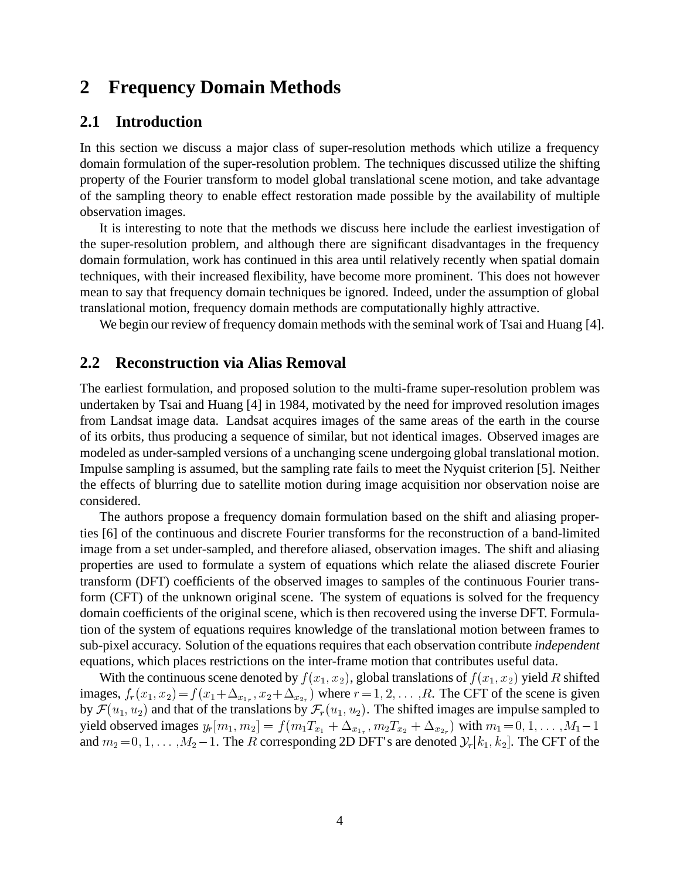## **2 Frequency Domain Methods**

#### **2.1 Introduction**

In this section we discuss a major class of super-resolution methods which utilize a frequency domain formulation of the super-resolution problem. The techniques discussed utilize the shifting property of the Fourier transform to model global translational scene motion, and take advantage of the sampling theory to enable effect restoration made possible by the availability of multiple observation images.

It is interesting to note that the methods we discuss here include the earliest investigation of the super-resolution problem, and although there are significant disadvantages in the frequency domain formulation, work has continued in this area until relatively recently when spatial domain techniques, with their increased flexibility, have become more prominent. This does not however mean to say that frequency domain techniques be ignored. Indeed, under the assumption of global translational motion, frequency domain methods are computationally highly attractive.

We begin our review of frequency domain methods with the seminal work of Tsai and Huang [4].

#### **2.2 Reconstruction via Alias Removal**

The earliest formulation, and proposed solution to the multi-frame super-resolution problem was undertaken by Tsai and Huang [4] in 1984, motivated by the need for improved resolution images from Landsat image data. Landsat acquires images of the same areas of the earth in the course of its orbits, thus producing a sequence of similar, but not identical images. Observed images are modeled as under-sampled versions of a unchanging scene undergoing global translational motion. Impulse sampling is assumed, but the sampling rate fails to meet the Nyquist criterion [5]. Neither the effects of blurring due to satellite motion during image acquisition nor observation noise are considered.

The authors propose a frequency domain formulation based on the shift and aliasing properties [6] of the continuous and discrete Fourier transforms for the reconstruction of a band-limited image from a set under-sampled, and therefore aliased, observation images. The shift and aliasing properties are used to formulate a system of equations which relate the aliased discrete Fourier transform (DFT) coefficients of the observed images to samples of the continuous Fourier transform (CFT) of the unknown original scene. The system of equations is solved for the frequency domain coefficients of the original scene, which is then recovered using the inverse DFT. Formulation of the system of equations requires knowledge of the translational motion between frames to sub-pixel accuracy. Solution of the equations requires that each observation contribute *independent* equations, which places restrictions on the inter-frame motion that contributes useful data.

With the continuous scene denoted by  $f(x_1, x_2)$ , global translations of  $f(x_1, x_2)$  yield R shifted images,  $f_r(x_1, x_2) = f(x_1 + \Delta_{x_{1r}}, x_2 + \Delta_{x_{2r}})$  where  $r = 1, 2, \ldots, R$ . The CFT of the scene is given by  $\mathcal{F}(u_1, u_2)$  and that of the translations by  $\mathcal{F}_r(u_1, u_2)$ . The shifted images are impulse sampled to yield observed images  $y_r[m_1, m_2] = f(m_1T_{x_1} + \Delta_{x_{1r}}, m_2T_{x_2} + \Delta_{x_{2r}})$  with  $m_1 = 0, 1, ..., M_1 - 1$ and  $m_2 = 0, 1, \ldots, M_2-1$ . The R corresponding 2D DFT's are denoted  $\mathcal{Y}_r[k_1, k_2]$ . The CFT of the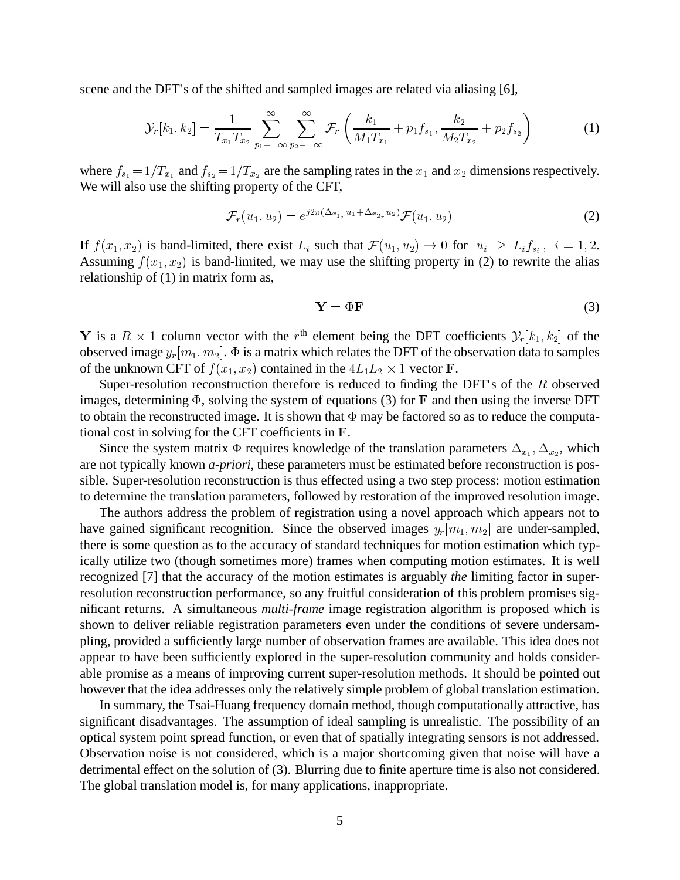scene and the DFT's of the shifted and sampled images are related via aliasing [6],

$$
\mathcal{Y}_r[k_1, k_2] = \frac{1}{T_{x_1} T_{x_2}} \sum_{p_1 = -\infty}^{\infty} \sum_{p_2 = -\infty}^{\infty} \mathcal{F}_r\left(\frac{k_1}{M_1 T_{x_1}} + p_1 f_{s_1}, \frac{k_2}{M_2 T_{x_2}} + p_2 f_{s_2}\right)
$$
(1)

where  $f_{s_1} = 1/T_{x_1}$  and  $f_{s_2} = 1/T_{x_2}$  are the sampling rates in the  $x_1$  and  $x_2$  dimensions respectively. We will also use the shifting property of the CFT,

$$
\mathcal{F}_r(u_1, u_2) = e^{j2\pi (\Delta_{x_{1r}} u_1 + \Delta_{x_{2r}} u_2)} \mathcal{F}(u_1, u_2)
$$
\n(2)

If  $f(x_1, x_2)$  is band-limited, there exist  $L_i$  such that  $\mathcal{F}(u_1, u_2) \to 0$  for  $|u_i| \geq L_i f_{s_i}$ ,  $i = 1, 2$ . Assuming  $f(x_1, x_2)$  is band-limited, we may use the shifting property in (2) to rewrite the alias relationship of (1) in matrix form as,

$$
Y = \Phi F \tag{3}
$$

Y is a  $R \times 1$  column vector with the  $r<sup>th</sup>$  element being the DFT coefficients  $\mathcal{Y}_r[k_1,k_2]$  of the observed image  $y_r[m_1, m_2]$ .  $\Phi$  is a matrix which relates the DFT of the observation data to samples of the unknown CFT of  $f(x_1, x_2)$  contained in the  $4L_1L_2 \times 1$  vector **F**.

Super-resolution reconstruction therefore is reduced to finding the DFT's of the  $R$  observed images, determining  $\Phi$ , solving the system of equations (3) for F and then using the inverse DFT to obtain the reconstructed image. It is shown that  $\Phi$  may be factored so as to reduce the computational cost in solving for the CFT coefficients in F.

Since the system matrix  $\Phi$  requires knowledge of the translation parameters  $\Delta_{x_1}, \Delta_{x_2}$ , which are not typically known *a-priori*, these parameters must be estimated before reconstruction is possible. Super-resolution reconstruction is thus effected using a two step process: motion estimation to determine the translation parameters, followed by restoration of the improved resolution image.

The authors address the problem of registration using a novel approach which appears not to have gained significant recognition. Since the observed images  $y_r[m_1, m_2]$  are under-sampled, there is some question as to the accuracy of standard techniques for motion estimation which typically utilize two (though sometimes more) frames when computing motion estimates. It is well recognized [7] that the accuracy of the motion estimates is arguably *the* limiting factor in superresolution reconstruction performance, so any fruitful consideration of this problem promises significant returns. A simultaneous *multi-frame* image registration algorithm is proposed which is shown to deliver reliable registration parameters even under the conditions of severe undersampling, provided a sufficiently large number of observation frames are available. This idea does not appear to have been sufficiently explored in the super-resolution community and holds considerable promise as a means of improving current super-resolution methods. It should be pointed out however that the idea addresses only the relatively simple problem of global translation estimation.

In summary, the Tsai-Huang frequency domain method, though computationally attractive, has significant disadvantages. The assumption of ideal sampling is unrealistic. The possibility of an optical system point spread function, or even that of spatially integrating sensors is not addressed. Observation noise is not considered, which is a major shortcoming given that noise will have a detrimental effect on the solution of (3). Blurring due to finite aperture time is also not considered. The global translation model is, for many applications, inappropriate.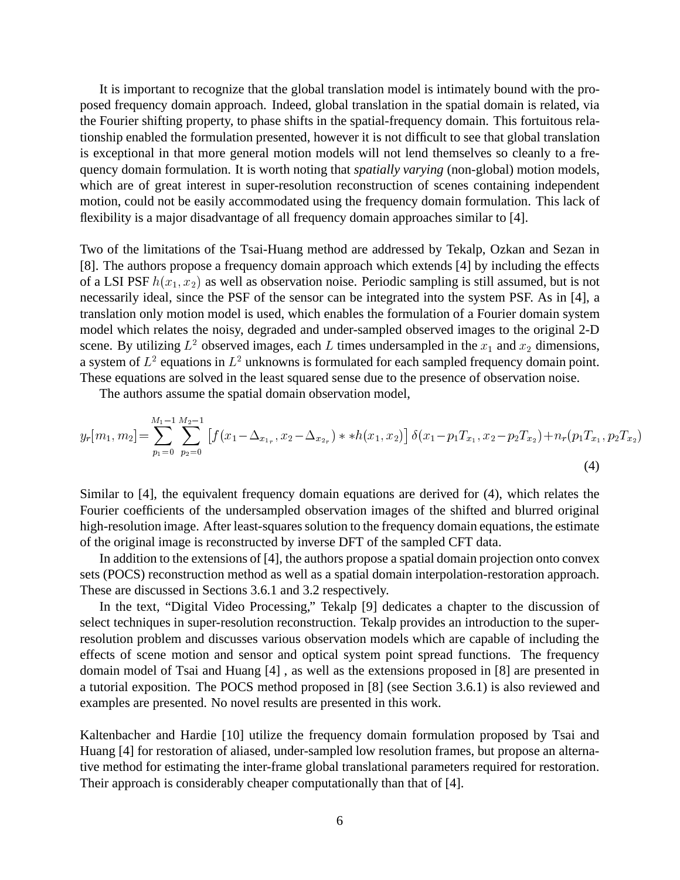It is important to recognize that the global translation model is intimately bound with the proposed frequency domain approach. Indeed, global translation in the spatial domain is related, via the Fourier shifting property, to phase shifts in the spatial-frequency domain. This fortuitous relationship enabled the formulation presented, however it is not difficult to see that global translation is exceptional in that more general motion models will not lend themselves so cleanly to a frequency domain formulation. It is worth noting that *spatially varying* (non-global) motion models, which are of great interest in super-resolution reconstruction of scenes containing independent motion, could not be easily accommodated using the frequency domain formulation. This lack of flexibility is a major disadvantage of all frequency domain approaches similar to [4].

Two of the limitations of the Tsai-Huang method are addressed by Tekalp, Ozkan and Sezan in [8]. The authors propose a frequency domain approach which extends [4] by including the effects of a LSI PSF  $h(x_1, x_2)$  as well as observation noise. Periodic sampling is still assumed, but is not necessarily ideal, since the PSF of the sensor can be integrated into the system PSF. As in [4], a translation only motion model is used, which enables the formulation of a Fourier domain system model which relates the noisy, degraded and under-sampled observed images to the original 2-D scene. By utilizing  $L^2$  observed images, each L times undersampled in the  $x_1$  and  $x_2$  dimensions, a system of  $L^2$  equations in  $L^2$  unknowns is formulated for each sampled frequency domain point. These equations are solved in the least squared sense due to the presence of observation noise.

The authors assume the spatial domain observation model,

$$
y_r[m_1, m_2] = \sum_{p_1=0}^{M_1-1} \sum_{p_2=0}^{M_2-1} \left[ f(x_1 - \Delta_{x_{1r}}, x_2 - \Delta_{x_{2r}}) * *h(x_1, x_2) \right] \delta(x_1 - p_1 T_{x_1}, x_2 - p_2 T_{x_2}) + n_r(p_1 T_{x_1}, p_2 T_{x_2}) \tag{4}
$$

Similar to [4], the equivalent frequency domain equations are derived for (4), which relates the Fourier coefficients of the undersampled observation images of the shifted and blurred original high-resolution image. After least-squares solution to the frequency domain equations, the estimate of the original image is reconstructed by inverse DFT of the sampled CFT data.

In addition to the extensions of [4], the authors propose a spatial domain projection onto convex sets (POCS) reconstruction method as well as a spatial domain interpolation-restoration approach. These are discussed in Sections 3.6.1 and 3.2 respectively.

In the text, "Digital Video Processing," Tekalp [9] dedicates a chapter to the discussion of select techniques in super-resolution reconstruction. Tekalp provides an introduction to the superresolution problem and discusses various observation models which are capable of including the effects of scene motion and sensor and optical system point spread functions. The frequency domain model of Tsai and Huang [4] , as well as the extensions proposed in [8] are presented in a tutorial exposition. The POCS method proposed in [8] (see Section 3.6.1) is also reviewed and examples are presented. No novel results are presented in this work.

Kaltenbacher and Hardie [10] utilize the frequency domain formulation proposed by Tsai and Huang [4] for restoration of aliased, under-sampled low resolution frames, but propose an alternative method for estimating the inter-frame global translational parameters required for restoration. Their approach is considerably cheaper computationally than that of [4].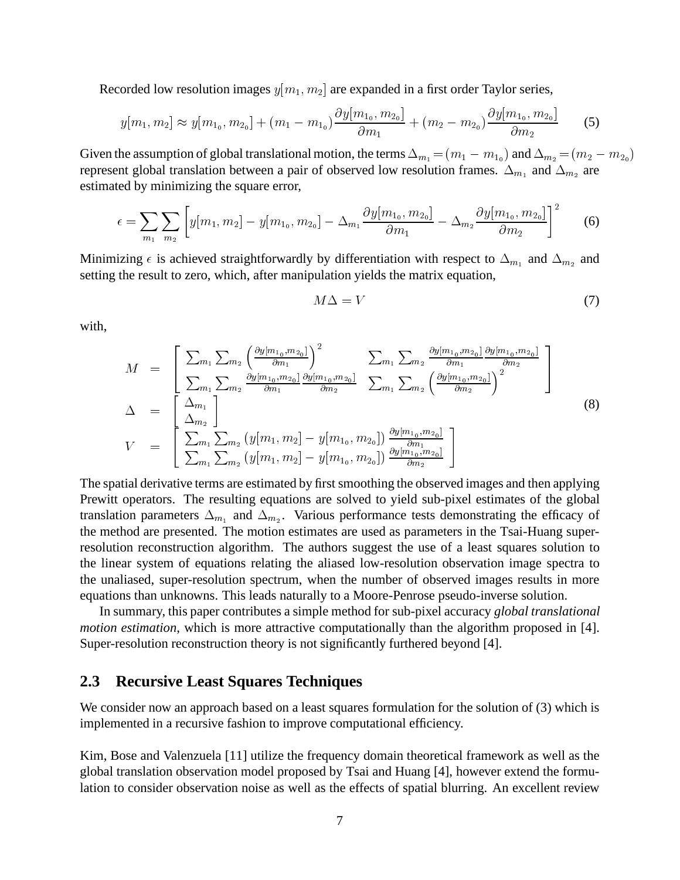Recorded low resolution images  $y[m_1, m_2]$  are expanded in a first order Taylor series,

$$
y[m_1, m_2] \approx y[m_{1_0}, m_{2_0}] + (m_1 - m_{1_0})\frac{\partial y[m_{1_0}, m_{2_0}]}{\partial m_1} + (m_2 - m_{2_0})\frac{\partial y[m_{1_0}, m_{2_0}]}{\partial m_2}
$$
 (5)

Given the assumption of global translational motion, the terms  $\Delta_{m_1} = (m_1 - m_{10})$  and  $\Delta_{m_2} = (m_2 - m_{20})$ represent global translation between a pair of observed low resolution frames.  $\Delta_{m_1}$  and  $\Delta_{m_2}$  are estimated by minimizing the square error,

$$
\epsilon = \sum_{m_1} \sum_{m_2} \left[ y[m_1, m_2] - y[m_{1_0}, m_{2_0}] - \Delta_{m_1} \frac{\partial y[m_{1_0}, m_{2_0}]}{\partial m_1} - \Delta_{m_2} \frac{\partial y[m_{1_0}, m_{2_0}]}{\partial m_2} \right]^2 \tag{6}
$$

Minimizing  $\epsilon$  is achieved straightforwardly by differentiation with respect to  $\Delta_{m_1}$  and  $\Delta_{m_2}$  and setting the result to zero, which, after manipulation yields the matrix equation,

$$
M\Delta = V \tag{7}
$$

with,

$$
M = \begin{bmatrix} \sum_{m_1} \sum_{m_2} \left( \frac{\partial y[m_{1_0}, m_{2_0}]}{\partial m_1} \right)^2 & \sum_{m_1} \sum_{m_2} \frac{\partial y[m_{1_0}, m_{2_0}]}{\partial m_1} \frac{\partial y[m_{1_0}, m_{2_0}]}{\partial m_2} \\ \sum_{m_1} \sum_{m_2} \frac{\partial y[m_{1_0}, m_{2_0}]}{\partial m_1} \frac{\partial y[m_{1_0}, m_{2_0}]}{\partial m_2} & \sum_{m_1} \sum_{m_2} \left( \frac{\partial y[m_{1_0}, m_{2_0}]}{\partial m_2} \right)^2 \\ \sum_{m_2} \left( \frac{\Delta_{m_1}}{\Delta_{m_2}} \right) & & & \end{bmatrix}
$$
\n
$$
V = \begin{bmatrix} \sum_{m_1} \sum_{m_2} \left( y[m_1, m_2] - y[m_{1_0}, m_{2_0}] \right) \frac{\partial y[m_{1_0}, m_{2_0}]}{\partial m_1} \\ \sum_{m_1} \sum_{m_2} \left( y[m_1, m_2] - y[m_{1_0}, m_{2_0}] \right) \frac{\partial y[m_{1_0}, m_{2_0}]}{\partial m_2} \end{bmatrix}
$$
\n(8)

The spatial derivative terms are estimated by first smoothing the observed images and then applying Prewitt operators. The resulting equations are solved to yield sub-pixel estimates of the global translation parameters  $\Delta_{m_1}$  and  $\Delta_{m_2}$ . Various performance tests demonstrating the efficacy of the method are presented. The motion estimates are used as parameters in the Tsai-Huang superresolution reconstruction algorithm. The authors suggest the use of a least squares solution to the linear system of equations relating the aliased low-resolution observation image spectra to the unaliased, super-resolution spectrum, when the number of observed images results in more equations than unknowns. This leads naturally to a Moore-Penrose pseudo-inverse solution.

In summary, this paper contributes a simple method for sub-pixel accuracy *global translational motion estimation*, which is more attractive computationally than the algorithm proposed in [4]. Super-resolution reconstruction theory is not significantly furthered beyond [4].

#### **2.3 Recursive Least Squares Techniques**

We consider now an approach based on a least squares formulation for the solution of (3) which is implemented in a recursive fashion to improve computational efficiency.

Kim, Bose and Valenzuela [11] utilize the frequency domain theoretical framework as well as the global translation observation model proposed by Tsai and Huang [4], however extend the formulation to consider observation noise as well as the effects of spatial blurring. An excellent review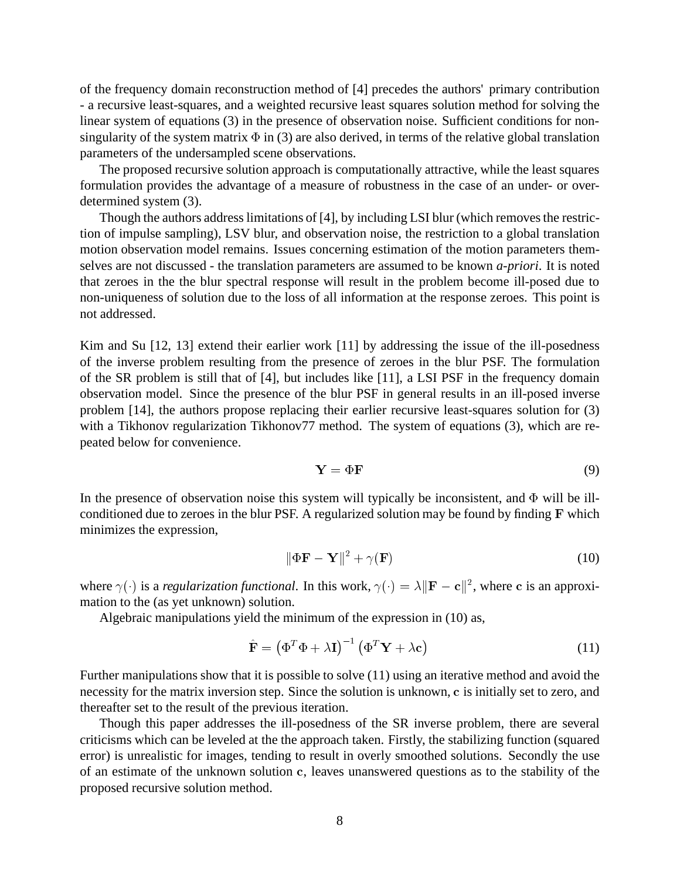of the frequency domain reconstruction method of [4] precedes the authors' primary contribution - a recursive least-squares, and a weighted recursive least squares solution method for solving the linear system of equations (3) in the presence of observation noise. Sufficient conditions for nonsingularity of the system matrix  $\Phi$  in (3) are also derived, in terms of the relative global translation parameters of the undersampled scene observations.

The proposed recursive solution approach is computationally attractive, while the least squares formulation provides the advantage of a measure of robustness in the case of an under- or overdetermined system (3).

Though the authors address limitations of [4], by including LSI blur (which removes the restriction of impulse sampling), LSV blur, and observation noise, the restriction to a global translation motion observation model remains. Issues concerning estimation of the motion parameters themselves are not discussed - the translation parameters are assumed to be known *a-priori*. It is noted that zeroes in the the blur spectral response will result in the problem become ill-posed due to non-uniqueness of solution due to the loss of all information at the response zeroes. This point is not addressed.

Kim and Su [12, 13] extend their earlier work [11] by addressing the issue of the ill-posedness of the inverse problem resulting from the presence of zeroes in the blur PSF. The formulation of the SR problem is still that of [4], but includes like [11], a LSI PSF in the frequency domain observation model. Since the presence of the blur PSF in general results in an ill-posed inverse problem [14], the authors propose replacing their earlier recursive least-squares solution for (3) with a Tikhonov regularization Tikhonov77 method. The system of equations (3), which are repeated below for convenience.

$$
Y = \Phi F \tag{9}
$$

In the presence of observation noise this system will typically be inconsistent, and  $\Phi$  will be illconditioned due to zeroes in the blur PSF. A regularized solution may be found by finding F which minimizes the expression,

$$
\|\Phi \mathbf{F} - \mathbf{Y}\|^2 + \gamma(\mathbf{F})\tag{10}
$$

where  $\gamma(\cdot)$  is a *regularization functional*. In this work,  $\gamma(\cdot) = \lambda ||\mathbf{F} - \mathbf{c}||^2$ , where c is an approximation to the (as yet unknown) solution.

Algebraic manipulations yield the minimum of the expression in (10) as,

$$
\hat{\mathbf{F}} = \left(\Phi^T \Phi + \lambda \mathbf{I}\right)^{-1} \left(\Phi^T \mathbf{Y} + \lambda \mathbf{c}\right)
$$
\n(11)

Further manipulations show that it is possible to solve (11) using an iterative method and avoid the necessity for the matrix inversion step. Since the solution is unknown, c is initially set to zero, and thereafter set to the result of the previous iteration.

Though this paper addresses the ill-posedness of the SR inverse problem, there are several criticisms which can be leveled at the the approach taken. Firstly, the stabilizing function (squared error) is unrealistic for images, tending to result in overly smoothed solutions. Secondly the use of an estimate of the unknown solution <sup>c</sup>, leaves unanswered questions as to the stability of the proposed recursive solution method.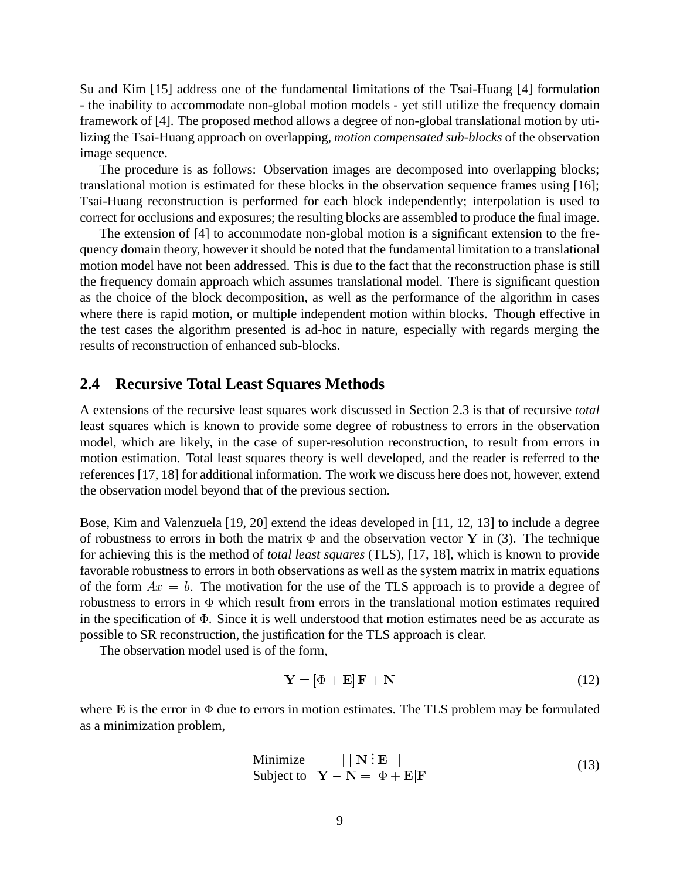Su and Kim [15] address one of the fundamental limitations of the Tsai-Huang [4] formulation - the inability to accommodate non-global motion models - yet still utilize the frequency domain framework of [4]. The proposed method allows a degree of non-global translational motion by utilizing the Tsai-Huang approach on overlapping, *motion compensated sub-blocks* of the observation image sequence.

The procedure is as follows: Observation images are decomposed into overlapping blocks; translational motion is estimated for these blocks in the observation sequence frames using [16]; Tsai-Huang reconstruction is performed for each block independently; interpolation is used to correct for occlusions and exposures; the resulting blocks are assembled to produce the final image.

The extension of [4] to accommodate non-global motion is a significant extension to the frequency domain theory, however it should be noted that the fundamental limitation to a translational motion model have not been addressed. This is due to the fact that the reconstruction phase is still the frequency domain approach which assumes translational model. There is significant question as the choice of the block decomposition, as well as the performance of the algorithm in cases where there is rapid motion, or multiple independent motion within blocks. Though effective in the test cases the algorithm presented is ad-hoc in nature, especially with regards merging the results of reconstruction of enhanced sub-blocks.

#### **2.4 Recursive Total Least Squares Methods**

A extensions of the recursive least squares work discussed in Section 2.3 is that of recursive *total* least squares which is known to provide some degree of robustness to errors in the observation model, which are likely, in the case of super-resolution reconstruction, to result from errors in motion estimation. Total least squares theory is well developed, and the reader is referred to the references [17, 18] for additional information. The work we discuss here does not, however, extend the observation model beyond that of the previous section.

Bose, Kim and Valenzuela [19, 20] extend the ideas developed in [11, 12, 13] to include a degree of robustness to errors in both the matrix  $\Phi$  and the observation vector Y in (3). The technique for achieving this is the method of *total least squares* (TLS), [17, 18], which is known to provide favorable robustness to errors in both observations as well as the system matrix in matrix equations of the form  $Ax = b$ . The motivation for the use of the TLS approach is to provide a degree of robustness to errors in  $\Phi$  which result from errors in the translational motion estimates required in the specification of  $\Phi$ . Since it is well understood that motion estimates need be as accurate as possible to SR reconstruction, the justification for the TLS approach is clear.

The observation model used is of the form,

$$
\mathbf{Y} = [\Phi + \mathbf{E}] \mathbf{F} + \mathbf{N} \tag{12}
$$

where E is the error in  $\Phi$  due to errors in motion estimates. The TLS problem may be formulated as a minimization problem,

Minimize 
$$
\| [N : E] \|
$$
  
Subject to  $Y - N = [\Phi + E]F$  (13)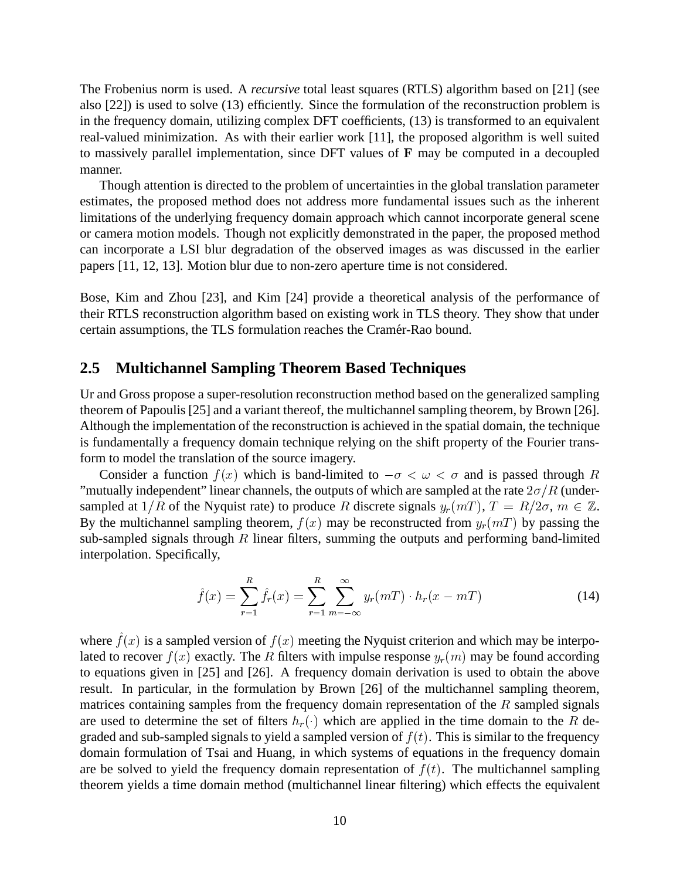The Frobenius norm is used. A *recursive* total least squares (RTLS) algorithm based on [21] (see also [22]) is used to solve (13) efficiently. Since the formulation of the reconstruction problem is in the frequency domain, utilizing complex DFT coefficients, (13) is transformed to an equivalent real-valued minimization. As with their earlier work [11], the proposed algorithm is well suited to massively parallel implementation, since DFT values of <sup>F</sup> may be computed in a decoupled manner.

Though attention is directed to the problem of uncertainties in the global translation parameter estimates, the proposed method does not address more fundamental issues such as the inherent limitations of the underlying frequency domain approach which cannot incorporate general scene or camera motion models. Though not explicitly demonstrated in the paper, the proposed method can incorporate a LSI blur degradation of the observed images as was discussed in the earlier papers [11, 12, 13]. Motion blur due to non-zero aperture time is not considered.

Bose, Kim and Zhou [23], and Kim [24] provide a theoretical analysis of the performance of their RTLS reconstruction algorithm based on existing work in TLS theory. They show that under certain assumptions, the TLS formulation reaches the Cramér-Rao bound.

### **2.5 Multichannel Sampling Theorem Based Techniques**

Ur and Gross propose a super-resolution reconstruction method based on the generalized sampling theorem of Papoulis [25] and a variant thereof, the multichannel sampling theorem, by Brown [26]. Although the implementation of the reconstruction is achieved in the spatial domain, the technique is fundamentally a frequency domain technique relying on the shift property of the Fourier transform to model the translation of the source imagery.

Consider a function  $f(x)$  which is band-limited to  $-\sigma < \omega < \sigma$  and is passed through R "mutually independent" linear channels, the outputs of which are sampled at the rate  $2\sigma/R$  (undersampled at  $1/R$  of the Nyquist rate) to produce R discrete signals  $y_r(mT)$ ,  $T = R/2\sigma$ ,  $m \in \mathbb{Z}$ . By the multichannel sampling theorem,  $f(x)$  may be reconstructed from  $y_r(mT)$  by passing the sub-sampled signals through  $R$  linear filters, summing the outputs and performing band-limited interpolation. Specifically,

$$
\hat{f}(x) = \sum_{r=1}^{R} \hat{f}_r(x) = \sum_{r=1}^{R} \sum_{m=-\infty}^{\infty} y_r(mT) \cdot h_r(x - mT)
$$
\n(14)

where  $f(x)$  is a sampled version of  $f(x)$  meeting the Nyquist criterion and which may be interpolated to recover  $f(x)$  exactly. The R filters with impulse response  $y_r(m)$  may be found according to equations given in [25] and [26]. A frequency domain derivation is used to obtain the above result. In particular, in the formulation by Brown [26] of the multichannel sampling theorem, matrices containing samples from the frequency domain representation of the  $R$  sampled signals are used to determine the set of filters  $h_r(\cdot)$  which are applied in the time domain to the R degraded and sub-sampled signals to yield a sampled version of  $f(t)$ . This is similar to the frequency domain formulation of Tsai and Huang, in which systems of equations in the frequency domain are be solved to yield the frequency domain representation of  $f(t)$ . The multichannel sampling theorem yields a time domain method (multichannel linear filtering) which effects the equivalent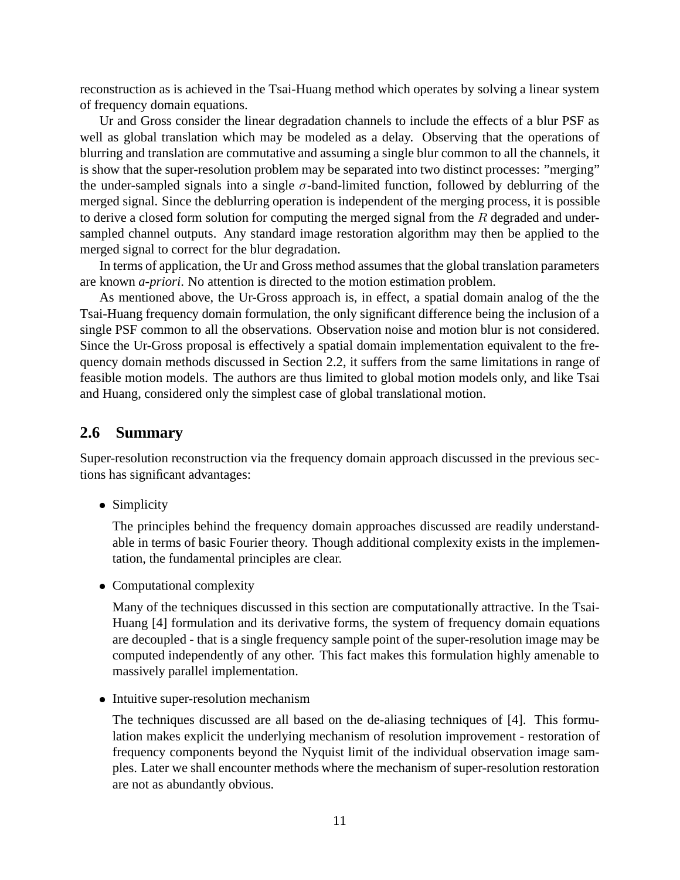reconstruction as is achieved in the Tsai-Huang method which operates by solving a linear system of frequency domain equations.

Ur and Gross consider the linear degradation channels to include the effects of a blur PSF as well as global translation which may be modeled as a delay. Observing that the operations of blurring and translation are commutative and assuming a single blur common to all the channels, it is show that the super-resolution problem may be separated into two distinct processes: "merging" the under-sampled signals into a single  $\sigma$ -band-limited function, followed by deblurring of the merged signal. Since the deblurring operation is independent of the merging process, it is possible to derive a closed form solution for computing the merged signal from the  $R$  degraded and undersampled channel outputs. Any standard image restoration algorithm may then be applied to the merged signal to correct for the blur degradation.

In terms of application, the Ur and Gross method assumes that the global translation parameters are known *a-priori*. No attention is directed to the motion estimation problem.

As mentioned above, the Ur-Gross approach is, in effect, a spatial domain analog of the the Tsai-Huang frequency domain formulation, the only significant difference being the inclusion of a single PSF common to all the observations. Observation noise and motion blur is not considered. Since the Ur-Gross proposal is effectively a spatial domain implementation equivalent to the frequency domain methods discussed in Section 2.2, it suffers from the same limitations in range of feasible motion models. The authors are thus limited to global motion models only, and like Tsai and Huang, considered only the simplest case of global translational motion.

#### **2.6 Summary**

Super-resolution reconstruction via the frequency domain approach discussed in the previous sections has significant advantages:

• Simplicity

The principles behind the frequency domain approaches discussed are readily understandable in terms of basic Fourier theory. Though additional complexity exists in the implementation, the fundamental principles are clear.

Computational complexity

Many of the techniques discussed in this section are computationally attractive. In the Tsai-Huang [4] formulation and its derivative forms, the system of frequency domain equations are decoupled - that is a single frequency sample point of the super-resolution image may be computed independently of any other. This fact makes this formulation highly amenable to massively parallel implementation.

• Intuitive super-resolution mechanism

The techniques discussed are all based on the de-aliasing techniques of [4]. This formulation makes explicit the underlying mechanism of resolution improvement - restoration of frequency components beyond the Nyquist limit of the individual observation image samples. Later we shall encounter methods where the mechanism of super-resolution restoration are not as abundantly obvious.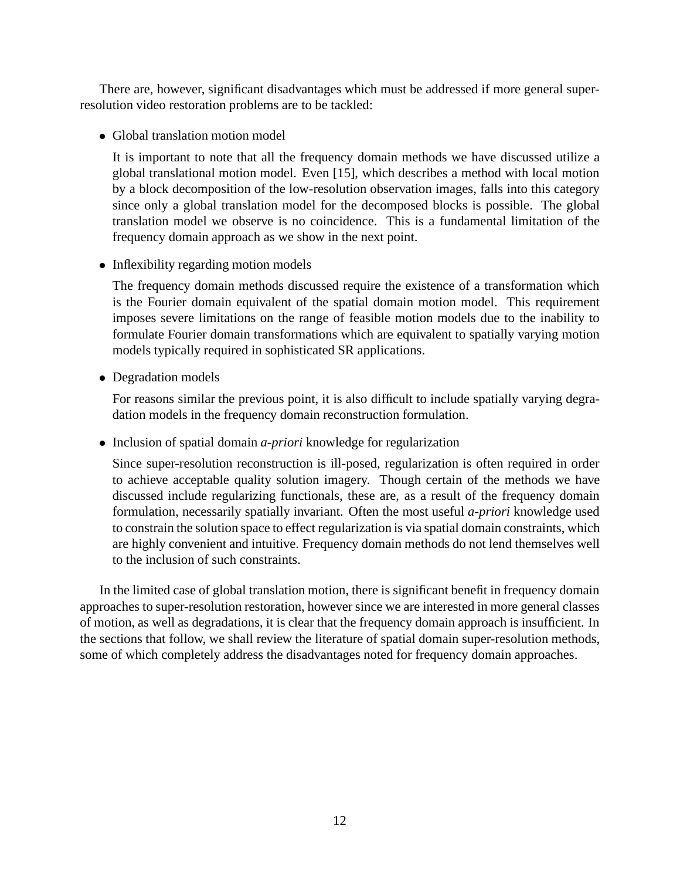There are, however, significant disadvantages which must be addressed if more general superresolution video restoration problems are to be tackled:

Global translation motion model

It is important to note that all the frequency domain methods we have discussed utilize a global translational motion model. Even [15], which describes a method with local motion by a block decomposition of the low-resolution observation images, falls into this category since only a global translation model for the decomposed blocks is possible. The global translation model we observe is no coincidence. This is a fundamental limitation of the frequency domain approach as we show in the next point.

• Inflexibility regarding motion models

The frequency domain methods discussed require the existence of a transformation which is the Fourier domain equivalent of the spatial domain motion model. This requirement imposes severe limitations on the range of feasible motion models due to the inability to formulate Fourier domain transformations which are equivalent to spatially varying motion models typically required in sophisticated SR applications.

Degradation models

For reasons similar the previous point, it is also difficult to include spatially varying degradation models in the frequency domain reconstruction formulation.

• Inclusion of spatial domain *a-priori* knowledge for regularization

Since super-resolution reconstruction is ill-posed, regularization is often required in order to achieve acceptable quality solution imagery. Though certain of the methods we have discussed include regularizing functionals, these are, as a result of the frequency domain formulation, necessarily spatially invariant. Often the most useful *a-priori* knowledge used to constrain the solution space to effect regularization is via spatial domain constraints, which are highly convenient and intuitive. Frequency domain methods do not lend themselves well to the inclusion of such constraints.

In the limited case of global translation motion, there is significant benefit in frequency domain approaches to super-resolution restoration, however since we are interested in more general classes of motion, as well as degradations, it is clear that the frequency domain approach is insufficient. In the sections that follow, we shall review the literature of spatial domain super-resolution methods, some of which completely address the disadvantages noted for frequency domain approaches.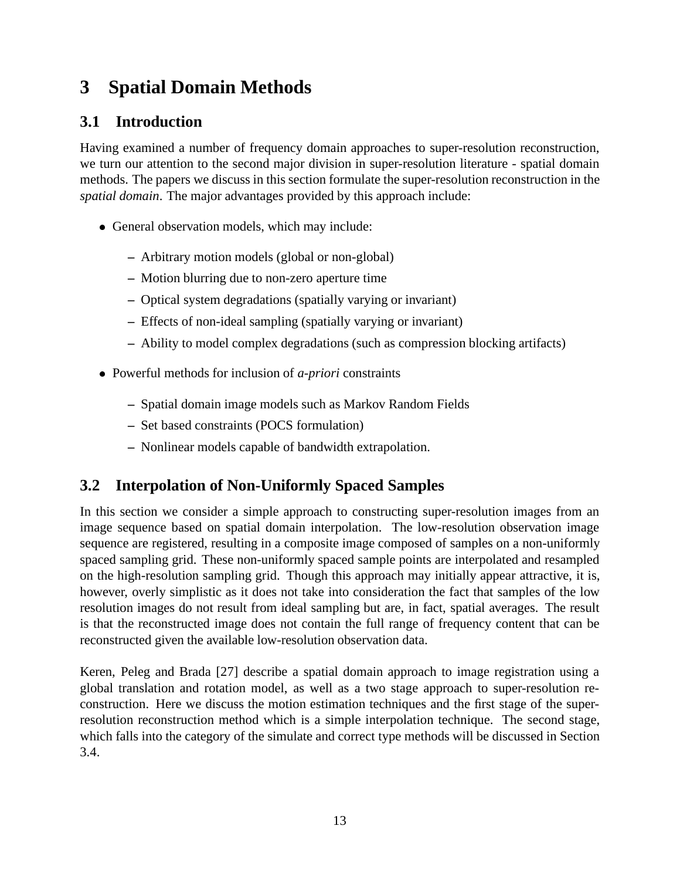# **3 Spatial Domain Methods**

## **3.1 Introduction**

Having examined a number of frequency domain approaches to super-resolution reconstruction, we turn our attention to the second major division in super-resolution literature - spatial domain methods. The papers we discuss in this section formulate the super-resolution reconstruction in the *spatial domain*. The major advantages provided by this approach include:

- General observation models, which may include:
	- **–** Arbitrary motion models (global or non-global)
	- **–** Motion blurring due to non-zero aperture time
	- **–** Optical system degradations (spatially varying or invariant)
	- **–** Effects of non-ideal sampling (spatially varying or invariant)
	- **–** Ability to model complex degradations (such as compression blocking artifacts)
- Powerful methods for inclusion of *a-priori* constraints
	- **–** Spatial domain image models such as Markov Random Fields
	- **–** Set based constraints (POCS formulation)
	- **–** Nonlinear models capable of bandwidth extrapolation.

### **3.2 Interpolation of Non-Uniformly Spaced Samples**

In this section we consider a simple approach to constructing super-resolution images from an image sequence based on spatial domain interpolation. The low-resolution observation image sequence are registered, resulting in a composite image composed of samples on a non-uniformly spaced sampling grid. These non-uniformly spaced sample points are interpolated and resampled on the high-resolution sampling grid. Though this approach may initially appear attractive, it is, however, overly simplistic as it does not take into consideration the fact that samples of the low resolution images do not result from ideal sampling but are, in fact, spatial averages. The result is that the reconstructed image does not contain the full range of frequency content that can be reconstructed given the available low-resolution observation data.

Keren, Peleg and Brada [27] describe a spatial domain approach to image registration using a global translation and rotation model, as well as a two stage approach to super-resolution reconstruction. Here we discuss the motion estimation techniques and the first stage of the superresolution reconstruction method which is a simple interpolation technique. The second stage, which falls into the category of the simulate and correct type methods will be discussed in Section 3.4.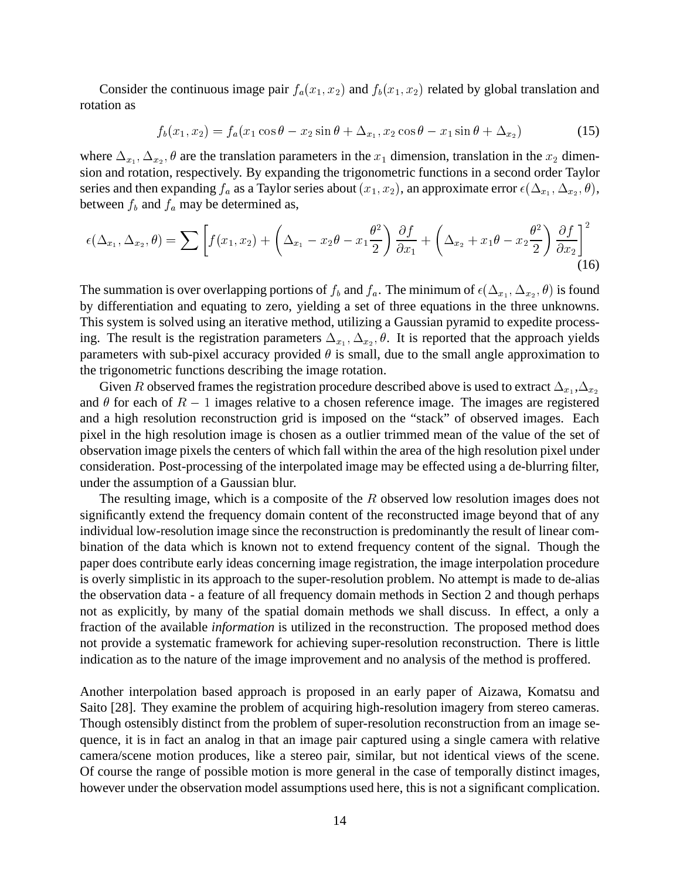Consider the continuous image pair  $f_a(x_1, x_2)$  and  $f_b(x_1, x_2)$  related by global translation and rotation as

$$
f_b(x_1, x_2) = f_a(x_1 \cos \theta - x_2 \sin \theta + \Delta_{x_1}, x_2 \cos \theta - x_1 \sin \theta + \Delta_{x_2})
$$
 (15)

where  $\Delta_{x_1}, \Delta_{x_2}, \theta$  are the translation parameters in the  $x_1$  dimension, translation in the  $x_2$  dimension and rotation, respectively. By expanding the trigonometric functions in a second order Taylor series and then expanding  $f_a$  as a Taylor series about  $(x_1, x_2)$ , an approximate error  $\epsilon(\Delta_{x_1}, \Delta_{x_2}, \theta)$ , between  $f_b$  and  $f_a$  may be determined as,

$$
\epsilon(\Delta_{x_1}, \Delta_{x_2}, \theta) = \sum \left[ f(x_1, x_2) + \left( \Delta_{x_1} - x_2 \theta - x_1 \frac{\theta^2}{2} \right) \frac{\partial f}{\partial x_1} + \left( \Delta_{x_2} + x_1 \theta - x_2 \frac{\theta^2}{2} \right) \frac{\partial f}{\partial x_2} \right]^2 \tag{16}
$$

The summation is over overlapping portions of  $f_b$  and  $f_a$ . The minimum of  $\epsilon(\Delta_{x_1}, \Delta_{x_2}, \theta)$  is found by differentiation and equating to zero, yielding a set of three equations in the three unknowns. This system is solved using an iterative method, utilizing a Gaussian pyramid to expedite processing. The result is the registration parameters  $\Delta_{x_1}, \Delta_{x_2}, \theta$ . It is reported that the approach yields parameters with sub-pixel accuracy provided  $\theta$  is small, due to the small angle approximation to the trigonometric functions describing the image rotation.

Given R observed frames the registration procedure described above is used to extract  $\Delta_{x_1}, \Delta_{x_2}$ and  $\theta$  for each of  $R - 1$  images relative to a chosen reference image. The images are registered and a high resolution reconstruction grid is imposed on the "stack" of observed images. Each pixel in the high resolution image is chosen as a outlier trimmed mean of the value of the set of observation image pixels the centers of which fall within the area of the high resolution pixel under consideration. Post-processing of the interpolated image may be effected using a de-blurring filter, under the assumption of a Gaussian blur.

The resulting image, which is a composite of the  $R$  observed low resolution images does not significantly extend the frequency domain content of the reconstructed image beyond that of any individual low-resolution image since the reconstruction is predominantly the result of linear combination of the data which is known not to extend frequency content of the signal. Though the paper does contribute early ideas concerning image registration, the image interpolation procedure is overly simplistic in its approach to the super-resolution problem. No attempt is made to de-alias the observation data - a feature of all frequency domain methods in Section 2 and though perhaps not as explicitly, by many of the spatial domain methods we shall discuss. In effect, a only a fraction of the available *information* is utilized in the reconstruction. The proposed method does not provide a systematic framework for achieving super-resolution reconstruction. There is little indication as to the nature of the image improvement and no analysis of the method is proffered.

Another interpolation based approach is proposed in an early paper of Aizawa, Komatsu and Saito [28]. They examine the problem of acquiring high-resolution imagery from stereo cameras. Though ostensibly distinct from the problem of super-resolution reconstruction from an image sequence, it is in fact an analog in that an image pair captured using a single camera with relative camera/scene motion produces, like a stereo pair, similar, but not identical views of the scene. Of course the range of possible motion is more general in the case of temporally distinct images, however under the observation model assumptions used here, this is not a significant complication.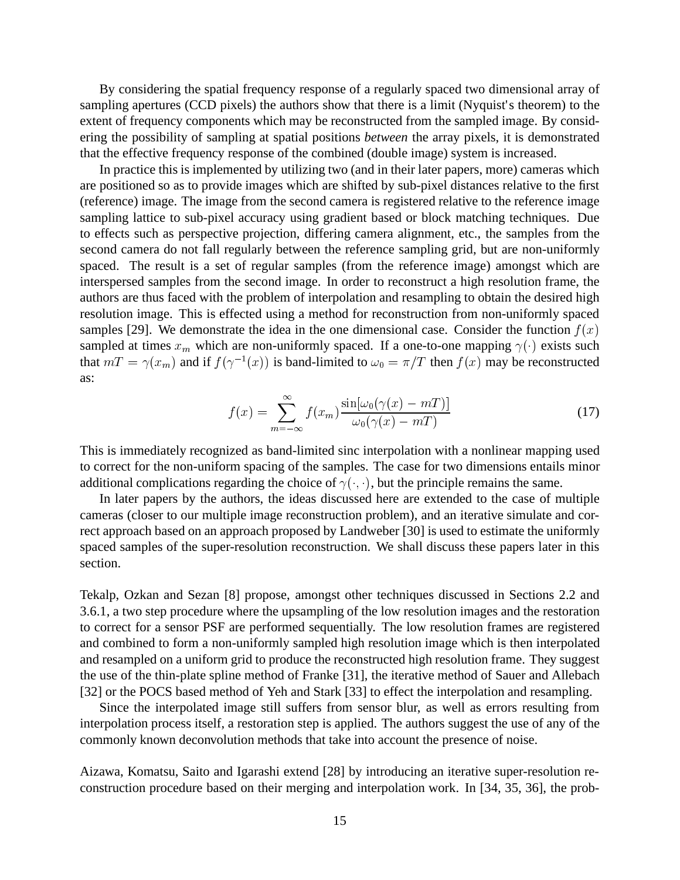By considering the spatial frequency response of a regularly spaced two dimensional array of sampling apertures (CCD pixels) the authors show that there is a limit (Nyquist's theorem) to the extent of frequency components which may be reconstructed from the sampled image. By considering the possibility of sampling at spatial positions *between* the array pixels, it is demonstrated that the effective frequency response of the combined (double image) system is increased.

In practice this is implemented by utilizing two (and in their later papers, more) cameras which are positioned so as to provide images which are shifted by sub-pixel distances relative to the first (reference) image. The image from the second camera is registered relative to the reference image sampling lattice to sub-pixel accuracy using gradient based or block matching techniques. Due to effects such as perspective projection, differing camera alignment, etc., the samples from the second camera do not fall regularly between the reference sampling grid, but are non-uniformly spaced. The result is a set of regular samples (from the reference image) amongst which are interspersed samples from the second image. In order to reconstruct a high resolution frame, the authors are thus faced with the problem of interpolation and resampling to obtain the desired high resolution image. This is effected using a method for reconstruction from non-uniformly spaced samples [29]. We demonstrate the idea in the one dimensional case. Consider the function  $f(x)$ sampled at times  $x_m$  which are non-uniformly spaced. If a one-to-one mapping  $\gamma(\cdot)$  exists such that  $mT = \gamma(x_m)$  and if  $f(\gamma^{-1}(x))$  is band-limited to  $\omega_0 = \pi/T$  then  $f(x)$  may be reconstructed as:

$$
f(x) = \sum_{m = -\infty}^{\infty} f(x_m) \frac{\sin[\omega_0(\gamma(x) - mT)]}{\omega_0(\gamma(x) - mT)}
$$
(17)

This is immediately recognized as band-limited sinc interpolation with a nonlinear mapping used to correct for the non-uniform spacing of the samples. The case for two dimensions entails minor additional complications regarding the choice of  $\gamma(\cdot, \cdot)$ , but the principle remains the same.

In later papers by the authors, the ideas discussed here are extended to the case of multiple cameras (closer to our multiple image reconstruction problem), and an iterative simulate and correct approach based on an approach proposed by Landweber [30] is used to estimate the uniformly spaced samples of the super-resolution reconstruction. We shall discuss these papers later in this section.

Tekalp, Ozkan and Sezan [8] propose, amongst other techniques discussed in Sections 2.2 and 3.6.1, a two step procedure where the upsampling of the low resolution images and the restoration to correct for a sensor PSF are performed sequentially. The low resolution frames are registered and combined to form a non-uniformly sampled high resolution image which is then interpolated and resampled on a uniform grid to produce the reconstructed high resolution frame. They suggest the use of the thin-plate spline method of Franke [31], the iterative method of Sauer and Allebach [32] or the POCS based method of Yeh and Stark [33] to effect the interpolation and resampling.

Since the interpolated image still suffers from sensor blur, as well as errors resulting from interpolation process itself, a restoration step is applied. The authors suggest the use of any of the commonly known deconvolution methods that take into account the presence of noise.

Aizawa, Komatsu, Saito and Igarashi extend [28] by introducing an iterative super-resolution reconstruction procedure based on their merging and interpolation work. In [34, 35, 36], the prob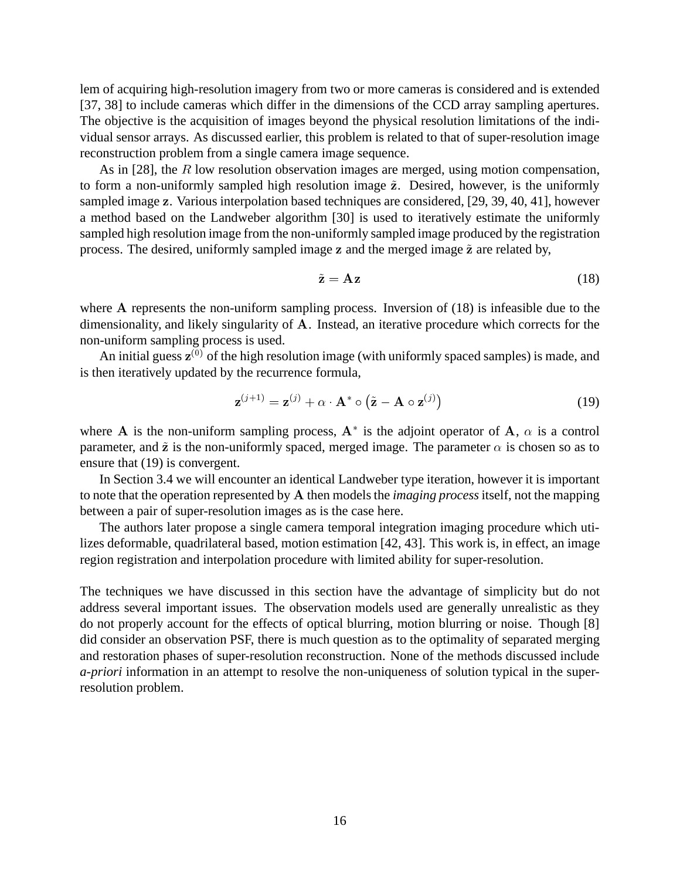lem of acquiring high-resolution imagery from two or more cameras is considered and is extended [37, 38] to include cameras which differ in the dimensions of the CCD array sampling apertures. The objective is the acquisition of images beyond the physical resolution limitations of the individual sensor arrays. As discussed earlier, this problem is related to that of super-resolution image reconstruction problem from a single camera image sequence.

As in [28], the  $R$  low resolution observation images are merged, using motion compensation, to form a non-uniformly sampled high resolution image  $\tilde{z}$ . Desired, however, is the uniformly sampled image <sup>z</sup>. Various interpolation based techniques are considered, [29, 39, 40, 41], however a method based on the Landweber algorithm [30] is used to iteratively estimate the uniformly sampled high resolution image from the non-uniformly sampled image produced by the registration process. The desired, uniformly sampled image  $z$  and the merged image  $\tilde{z}$  are related by,

$$
\tilde{\mathbf{z}} = \mathbf{A}\mathbf{z} \tag{18}
$$

where A represents the non-uniform sampling process. Inversion of (18) is infeasible due to the dimensionality, and likely singularity of A. Instead, an iterative procedure which corrects for the non-uniform sampling process is used.

An initial guess  $z^{(0)}$  of the high resolution image (with uniformly spaced samples) is made, and is then iteratively updated by the recurrence formula,

$$
\mathbf{z}^{(j+1)} = \mathbf{z}^{(j)} + \alpha \cdot \mathbf{A}^* \circ (\tilde{\mathbf{z}} - \mathbf{A} \circ \mathbf{z}^{(j)})
$$
(19)

where A is the non-uniform sampling process,  $A^*$  is the adjoint operator of A,  $\alpha$  is a control parameter, and  $\tilde{z}$  is the non-uniformly spaced, merged image. The parameter  $\alpha$  is chosen so as to ensure that (19) is convergent.

In Section 3.4 we will encounter an identical Landweber type iteration, however it is important to note that the operation represented by A then models the *imaging process*itself, not the mapping between a pair of super-resolution images as is the case here.

The authors later propose a single camera temporal integration imaging procedure which utilizes deformable, quadrilateral based, motion estimation [42, 43]. This work is, in effect, an image region registration and interpolation procedure with limited ability for super-resolution.

The techniques we have discussed in this section have the advantage of simplicity but do not address several important issues. The observation models used are generally unrealistic as they do not properly account for the effects of optical blurring, motion blurring or noise. Though [8] did consider an observation PSF, there is much question as to the optimality of separated merging and restoration phases of super-resolution reconstruction. None of the methods discussed include *a-priori* information in an attempt to resolve the non-uniqueness of solution typical in the superresolution problem.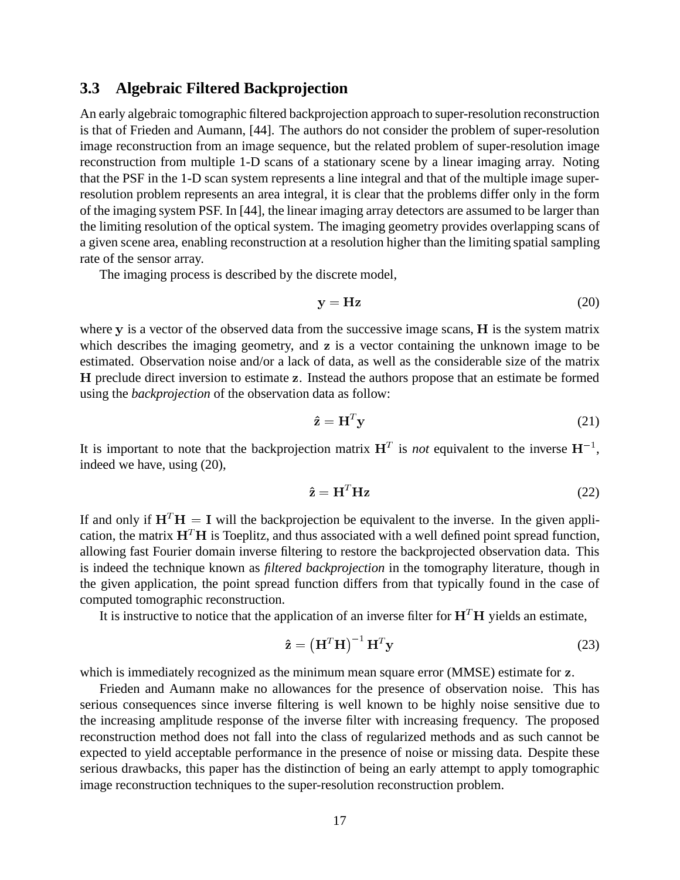#### **3.3 Algebraic Filtered Backprojection**

An early algebraic tomographic filtered backprojection approach to super-resolution reconstruction is that of Frieden and Aumann, [44]. The authors do not consider the problem of super-resolution image reconstruction from an image sequence, but the related problem of super-resolution image reconstruction from multiple 1-D scans of a stationary scene by a linear imaging array. Noting that the PSF in the 1-D scan system represents a line integral and that of the multiple image superresolution problem represents an area integral, it is clear that the problems differ only in the form of the imaging system PSF. In [44], the linear imaging array detectors are assumed to be larger than the limiting resolution of the optical system. The imaging geometry provides overlapping scans of a given scene area, enabling reconstruction at a resolution higher than the limiting spatial sampling rate of the sensor array.

The imaging process is described by the discrete model,

$$
y = Hz
$$
 (20)

where y is a vector of the observed data from the successive image scans, H is the system matrix which describes the imaging geometry, and z is a vector containing the unknown image to be estimated. Observation noise and/or a lack of data, as well as the considerable size of the matrix H preclude direct inversion to estimate z. Instead the authors propose that an estimate be formed using the *backprojection* of the observation data as follow:

$$
\hat{\mathbf{z}} = \mathbf{H}^T \mathbf{y} \tag{21}
$$

It is important to note that the backprojection matrix  $H<sup>T</sup>$  is *not* equivalent to the inverse  $H<sup>-1</sup>$ , indeed we have, using (20),

$$
\hat{\mathbf{z}} = \mathbf{H}^T \mathbf{H} \mathbf{z} \tag{22}
$$

If and only if  $H<sup>T</sup>H = I$  will the backprojection be equivalent to the inverse. In the given application, the matrix  $H<sup>T</sup>H$  is Toeplitz, and thus associated with a well defined point spread function, allowing fast Fourier domain inverse filtering to restore the backprojected observation data. This is indeed the technique known as *filtered backprojection* in the tomography literature, though in the given application, the point spread function differs from that typically found in the case of computed tomographic reconstruction.

It is instructive to notice that the application of an inverse filter for  $H<sup>T</sup>H$  yields an estimate,

$$
\hat{\mathbf{z}} = \left(\mathbf{H}^T \mathbf{H}\right)^{-1} \mathbf{H}^T \mathbf{y} \tag{23}
$$

which is immediately recognized as the minimum mean square error (MMSE) estimate for z.

Frieden and Aumann make no allowances for the presence of observation noise. This has serious consequences since inverse filtering is well known to be highly noise sensitive due to the increasing amplitude response of the inverse filter with increasing frequency. The proposed reconstruction method does not fall into the class of regularized methods and as such cannot be expected to yield acceptable performance in the presence of noise or missing data. Despite these serious drawbacks, this paper has the distinction of being an early attempt to apply tomographic image reconstruction techniques to the super-resolution reconstruction problem.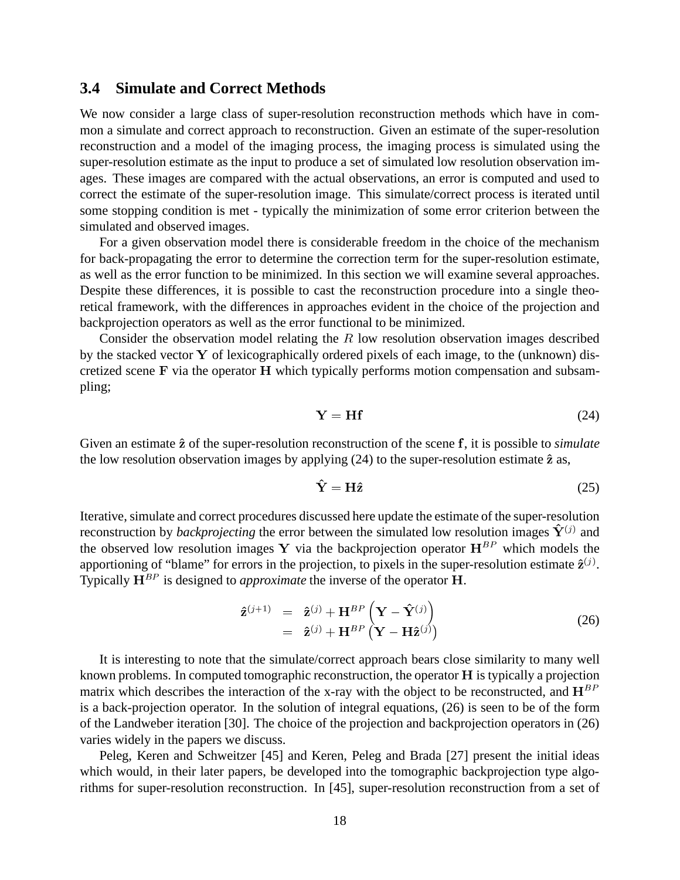#### **3.4 Simulate and Correct Methods**

We now consider a large class of super-resolution reconstruction methods which have in common a simulate and correct approach to reconstruction. Given an estimate of the super-resolution reconstruction and a model of the imaging process, the imaging process is simulated using the super-resolution estimate as the input to produce a set of simulated low resolution observation images. These images are compared with the actual observations, an error is computed and used to correct the estimate of the super-resolution image. This simulate/correct process is iterated until some stopping condition is met - typically the minimization of some error criterion between the simulated and observed images.

For a given observation model there is considerable freedom in the choice of the mechanism for back-propagating the error to determine the correction term for the super-resolution estimate, as well as the error function to be minimized. In this section we will examine several approaches. Despite these differences, it is possible to cast the reconstruction procedure into a single theoretical framework, with the differences in approaches evident in the choice of the projection and backprojection operators as well as the error functional to be minimized.

Consider the observation model relating the R low resolution observation images described by the stacked vector Y of lexicographically ordered pixels of each image, to the (unknown) discretized scene F via the operator H which typically performs motion compensation and subsampling;

$$
Y = Hf \tag{24}
$$

Given an estimate  $\hat{z}$  of the super-resolution reconstruction of the scene f, it is possible to *simulate* the low resolution observation images by applying  $(24)$  to the super-resolution estimate  $\hat{z}$  as,

$$
\hat{\mathbf{Y}} = \mathbf{H}\hat{\mathbf{z}} \tag{25}
$$

Iterative, simulate and correct procedures discussed here update the estimate of the super-resolution reconstruction by *backprojecting* the error between the simulated low resolution images  $\tilde{\mathbf{Y}}^{(j)}$  and the observed low resolution images Y via the backprojection operator  $H^{BP}$  which models the apportioning of "blame" for errors in the projection, to pixels in the super-resolution estimate  $\hat{\mathbf{z}}^{(j)}$ . Typically  $H^{BP}$  is designed to *approximate* the inverse of the operator H.

$$
\hat{\mathbf{z}}^{(j+1)} = \hat{\mathbf{z}}^{(j)} + \mathbf{H}^{BP} \left( \mathbf{Y} - \hat{\mathbf{Y}}^{(j)} \right) \n= \hat{\mathbf{z}}^{(j)} + \mathbf{H}^{BP} \left( \mathbf{Y} - \mathbf{H} \hat{\mathbf{z}}^{(j)} \right)
$$
\n(26)

It is interesting to note that the simulate/correct approach bears close similarity to many well known problems. In computed tomographic reconstruction, the operator <sup>H</sup> is typically a projection matrix which describes the interaction of the x-ray with the object to be reconstructed, and  $H^{BP}$ is a back-projection operator. In the solution of integral equations, (26) is seen to be of the form of the Landweber iteration [30]. The choice of the projection and backprojection operators in (26) varies widely in the papers we discuss.

Peleg, Keren and Schweitzer [45] and Keren, Peleg and Brada [27] present the initial ideas which would, in their later papers, be developed into the tomographic backprojection type algorithms for super-resolution reconstruction. In [45], super-resolution reconstruction from a set of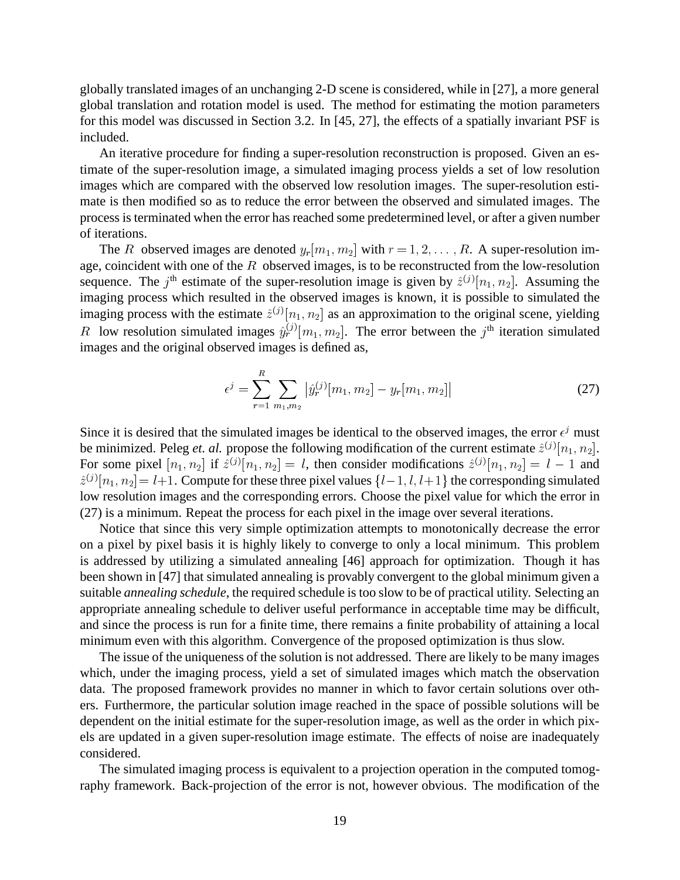globally translated images of an unchanging 2-D scene is considered, while in [27], a more general global translation and rotation model is used. The method for estimating the motion parameters for this model was discussed in Section 3.2. In [45, 27], the effects of a spatially invariant PSF is included.

An iterative procedure for finding a super-resolution reconstruction is proposed. Given an estimate of the super-resolution image, a simulated imaging process yields a set of low resolution images which are compared with the observed low resolution images. The super-resolution estimate is then modified so as to reduce the error between the observed and simulated images. The process is terminated when the error has reached some predetermined level, or after a given number of iterations.

The R observed images are denoted  $y_r[m_1, m_2]$  with  $r = 1, 2, \ldots, R$ . A super-resolution image, coincident with one of the  $R$  observed images, is to be reconstructed from the low-resolution sequence. The j<sup>th</sup> estimate of the super-resolution image is given by  $\hat{z}^{(j)}[n_1, n_2]$ . Assuming the imaging process which resulted in the observed images is known, it is possible to simulated the imaging process with the estimate  $\hat{z}^{(j)}[n_1, n_2]$  as an approximation to the original scene, yielding R low resolution simulated images  $\hat{y}_r^{(j)}[m_1, m_2]$ . The error between the j<sup>th</sup> iteration simulated images and the original observed images is defined as,

$$
\epsilon^{j} = \sum_{r=1}^{R} \sum_{m_1, m_2} \left| \hat{y}_r^{(j)}[m_1, m_2] - y_r[m_1, m_2] \right| \tag{27}
$$

Since it is desired that the simulated images be identical to the observed images, the error  $\epsilon^j$  must be minimized. Peleg *et. al.* propose the following modification of the current estimate  $\hat{z}^{(j)}[n_1, n_2]$ . For some pixel  $[n_1, n_2]$  if  $\hat{z}^{(j)}[n_1, n_2] = l$ , then consider modifications  $\hat{z}^{(j)}[n_1, n_2] = l - 1$  and  $\hat{z}^{(j)}[n_1, n_2] = l+1$ . Compute for these three pixel values  $\{l-1, l, l+1\}$  the corresponding simulated low resolution images and the corresponding errors. Choose the pixel value for which the error in (27) is a minimum. Repeat the process for each pixel in the image over several iterations.

Notice that since this very simple optimization attempts to monotonically decrease the error on a pixel by pixel basis it is highly likely to converge to only a local minimum. This problem is addressed by utilizing a simulated annealing [46] approach for optimization. Though it has been shown in [47] that simulated annealing is provably convergent to the global minimum given a suitable *annealing schedule*, the required schedule is too slow to be of practical utility. Selecting an appropriate annealing schedule to deliver useful performance in acceptable time may be difficult, and since the process is run for a finite time, there remains a finite probability of attaining a local minimum even with this algorithm. Convergence of the proposed optimization is thus slow.

The issue of the uniqueness of the solution is not addressed. There are likely to be many images which, under the imaging process, yield a set of simulated images which match the observation data. The proposed framework provides no manner in which to favor certain solutions over others. Furthermore, the particular solution image reached in the space of possible solutions will be dependent on the initial estimate for the super-resolution image, as well as the order in which pixels are updated in a given super-resolution image estimate. The effects of noise are inadequately considered.

The simulated imaging process is equivalent to a projection operation in the computed tomography framework. Back-projection of the error is not, however obvious. The modification of the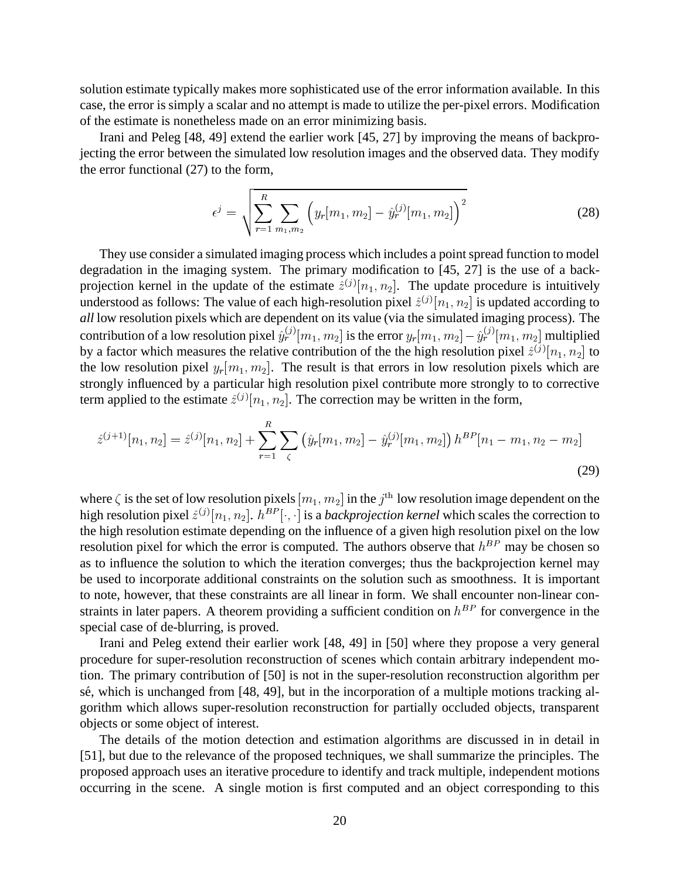solution estimate typically makes more sophisticated use of the error information available. In this case, the error is simply a scalar and no attempt is made to utilize the per-pixel errors. Modification of the estimate is nonetheless made on an error minimizing basis.

Irani and Peleg [48, 49] extend the earlier work [45, 27] by improving the means of backprojecting the error between the simulated low resolution images and the observed data. They modify the error functional (27) to the form,

$$
\epsilon^{j} = \sqrt{\sum_{r=1}^{R} \sum_{m_1, m_2} \left( y_r[m_1, m_2] - \hat{y}_r^{(j)}[m_1, m_2] \right)^2}
$$
(28)

They use consider a simulated imaging process which includes a point spread function to model degradation in the imaging system. The primary modification to [45, 27] is the use of a backprojection kernel in the update of the estimate  $\hat{z}^{(j)}[n_1, n_2]$ . The update procedure is intuitively understood as follows: The value of each high-resolution pixel  $\hat{z}^{(j)}[n_1, n_2]$  is updated according to *all* low resolution pixels which are dependent on its value (via the simulated imaging process). The contribution of a low resolution pixel  $\hat{y}_r^{(j)}[m_1, m_2]$  is the error  $y_r[m_1, m_2] - \hat{y}_r^{(j)}[m_1, m_2]$  multiplied by a factor which measures the relative contribution of the the high resolution pixel  $\hat{z}^{(j)}[n_1, n_2]$  to the low resolution pixel  $y_r[m_1, m_2]$ . The result is that errors in low resolution pixels which are strongly influenced by a particular high resolution pixel contribute more strongly to to corrective term applied to the estimate  $\hat{z}^{(j)}[n_1, n_2]$ . The correction may be written in the form,

$$
\hat{z}^{(j+1)}[n_1, n_2] = \hat{z}^{(j)}[n_1, n_2] + \sum_{r=1}^{R} \sum_{\zeta} (\hat{y}_r[m_1, m_2] - \hat{y}_r^{(j)}[m_1, m_2]) h^{BP}[n_1 - m_1, n_2 - m_2]
$$
\n(29)

where  $\zeta$  is the set of low resolution pixels  $[m_1, m_2]$  in the  $j^{\text{th}}$  low resolution image dependent on the high resolution pixel  $\hat{z}^{(j)}[n_1, n_2]$ .  $h^{BP}[\cdot, \cdot]$  is a *backprojection kernel* which scales the correction to the high resolution estimate depending on the influence of a given high resolution pixel on the low resolution pixel for which the error is computed. The authors observe that  $h^{BP}$  may be chosen so as to influence the solution to which the iteration converges; thus the backprojection kernel may be used to incorporate additional constraints on the solution such as smoothness. It is important to note, however, that these constraints are all linear in form. We shall encounter non-linear constraints in later papers. A theorem providing a sufficient condition on  $h^{BP}$  for convergence in the special case of de-blurring, is proved.

Irani and Peleg extend their earlier work [48, 49] in [50] where they propose a very general procedure for super-resolution reconstruction of scenes which contain arbitrary independent motion. The primary contribution of [50] is not in the super-resolution reconstruction algorithm per sé, which is unchanged from [48, 49], but in the incorporation of a multiple motions tracking algorithm which allows super-resolution reconstruction for partially occluded objects, transparent objects or some object of interest.

The details of the motion detection and estimation algorithms are discussed in in detail in [51], but due to the relevance of the proposed techniques, we shall summarize the principles. The proposed approach uses an iterative procedure to identify and track multiple, independent motions occurring in the scene. A single motion is first computed and an object corresponding to this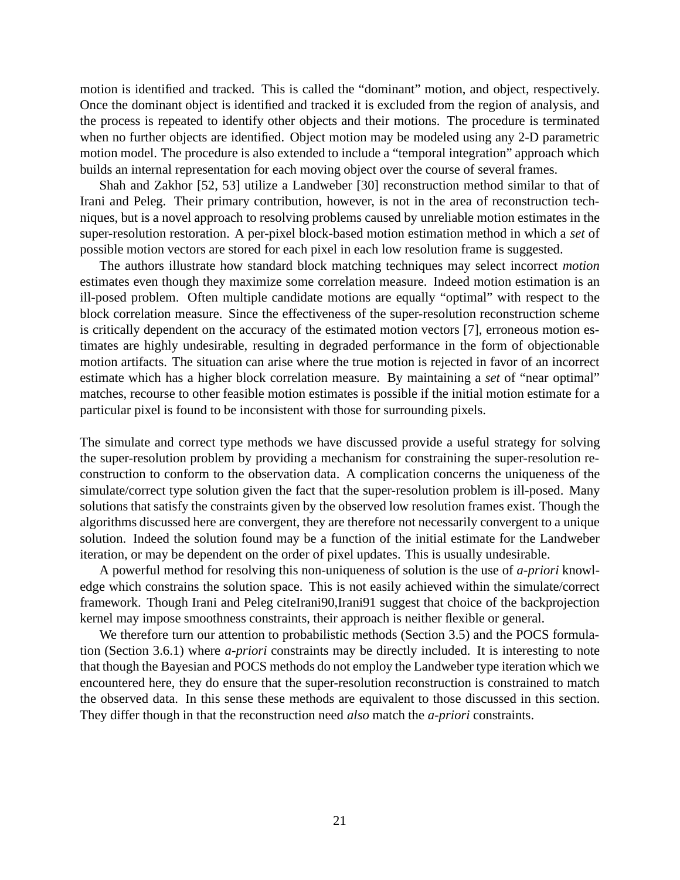motion is identified and tracked. This is called the "dominant" motion, and object, respectively. Once the dominant object is identified and tracked it is excluded from the region of analysis, and the process is repeated to identify other objects and their motions. The procedure is terminated when no further objects are identified. Object motion may be modeled using any 2-D parametric motion model. The procedure is also extended to include a "temporal integration" approach which builds an internal representation for each moving object over the course of several frames.

Shah and Zakhor [52, 53] utilize a Landweber [30] reconstruction method similar to that of Irani and Peleg. Their primary contribution, however, is not in the area of reconstruction techniques, but is a novel approach to resolving problems caused by unreliable motion estimates in the super-resolution restoration. A per-pixel block-based motion estimation method in which a *set* of possible motion vectors are stored for each pixel in each low resolution frame is suggested.

The authors illustrate how standard block matching techniques may select incorrect *motion* estimates even though they maximize some correlation measure. Indeed motion estimation is an ill-posed problem. Often multiple candidate motions are equally "optimal" with respect to the block correlation measure. Since the effectiveness of the super-resolution reconstruction scheme is critically dependent on the accuracy of the estimated motion vectors [7], erroneous motion estimates are highly undesirable, resulting in degraded performance in the form of objectionable motion artifacts. The situation can arise where the true motion is rejected in favor of an incorrect estimate which has a higher block correlation measure. By maintaining a *set* of "near optimal" matches, recourse to other feasible motion estimates is possible if the initial motion estimate for a particular pixel is found to be inconsistent with those for surrounding pixels.

The simulate and correct type methods we have discussed provide a useful strategy for solving the super-resolution problem by providing a mechanism for constraining the super-resolution reconstruction to conform to the observation data. A complication concerns the uniqueness of the simulate/correct type solution given the fact that the super-resolution problem is ill-posed. Many solutions that satisfy the constraints given by the observed low resolution frames exist. Though the algorithms discussed here are convergent, they are therefore not necessarily convergent to a unique solution. Indeed the solution found may be a function of the initial estimate for the Landweber iteration, or may be dependent on the order of pixel updates. This is usually undesirable.

A powerful method for resolving this non-uniqueness of solution is the use of *a-priori* knowledge which constrains the solution space. This is not easily achieved within the simulate/correct framework. Though Irani and Peleg citeIrani90,Irani91 suggest that choice of the backprojection kernel may impose smoothness constraints, their approach is neither flexible or general.

We therefore turn our attention to probabilistic methods (Section 3.5) and the POCS formulation (Section 3.6.1) where *a-priori* constraints may be directly included. It is interesting to note that though the Bayesian and POCS methods do not employ the Landweber type iteration which we encountered here, they do ensure that the super-resolution reconstruction is constrained to match the observed data. In this sense these methods are equivalent to those discussed in this section. They differ though in that the reconstruction need *also* match the *a-priori* constraints.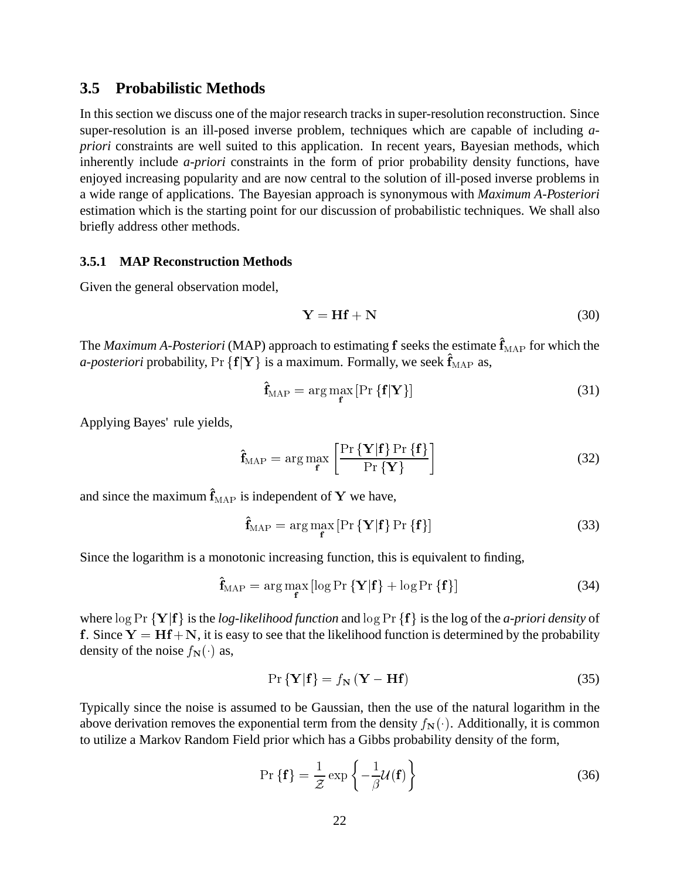#### **3.5 Probabilistic Methods**

In this section we discuss one of the major research tracks in super-resolution reconstruction. Since super-resolution is an ill-posed inverse problem, techniques which are capable of including *apriori* constraints are well suited to this application. In recent years, Bayesian methods, which inherently include *a-priori* constraints in the form of prior probability density functions, have enjoyed increasing popularity and are now central to the solution of ill-posed inverse problems in a wide range of applications. The Bayesian approach is synonymous with *Maximum A-Posteriori* estimation which is the starting point for our discussion of probabilistic techniques. We shall also briefly address other methods.

#### **3.5.1 MAP Reconstruction Methods**

Given the general observation model,

$$
Y = Hf + N \tag{30}
$$

The *Maximum A-Posteriori* (MAP) approach to estimating f seeks the estimate  $\hat{\mathbf{f}}_{\text{MAP}}$  for which the *a-posteriori* probability,  $Pr \{f|Y\}$  is a maximum. Formally, we seek  $\hat{f}_{MAP}$  as,

$$
\mathbf{f}_{\text{MAP}} = \arg\max_{\mathbf{f}} \left[ \Pr \left\{ \mathbf{f} | \mathbf{Y} \right\} \right] \tag{31}
$$

Applying Bayes' rule yields,

$$
\hat{\mathbf{f}}_{\text{MAP}} = \arg \max_{\mathbf{f}} \left[ \frac{\Pr\{\mathbf{Y}|\mathbf{f}\} \Pr\{\mathbf{f}\}}{\Pr\{\mathbf{Y}\}} \right] \tag{32}
$$

and since the maximum  $\hat{\mathbf{f}}_{\text{MAP}}$  is independent of Y we have,

$$
\hat{\mathbf{f}}_{\text{MAP}} = \arg \max_{\mathbf{f}} \left[ \Pr \left\{ \mathbf{Y} | \mathbf{f} \right\} \Pr \left\{ \mathbf{f} \right\} \right] \tag{33}
$$

Since the logarithm is a monotonic increasing function, this is equivalent to finding,

$$
\hat{\mathbf{f}}_{\text{MAP}} = \arg\max_{\mathbf{f}} \left[ \log \Pr \{ \mathbf{Y} | \mathbf{f} \} + \log \Pr \{ \mathbf{f} \} \right] \tag{34}
$$

where  $\log \Pr \{Y | f\}$  is the *log-likelihood function* and  $\log \Pr \{f\}$  is the log of the *a-priori density* of f. Since  $Y = Hf + N$ , it is easy to see that the likelihood function is determined by the probability density of the noise  $f_N(\cdot)$  as,

$$
\Pr\{\mathbf{Y}|\mathbf{f}\} = f_{\mathbf{N}}\left(\mathbf{Y} - \mathbf{H}\mathbf{f}\right) \tag{35}
$$

Typically since the noise is assumed to be Gaussian, then the use of the natural logarithm in the above derivation removes the exponential term from the density  $f_N(\cdot)$ . Additionally, it is common to utilize a Markov Random Field prior which has a Gibbs probability density of the form,

$$
\Pr\{\mathbf{f}\} = \frac{1}{\mathcal{Z}} \exp\left\{-\frac{1}{\beta} \mathcal{U}(\mathbf{f})\right\} \tag{36}
$$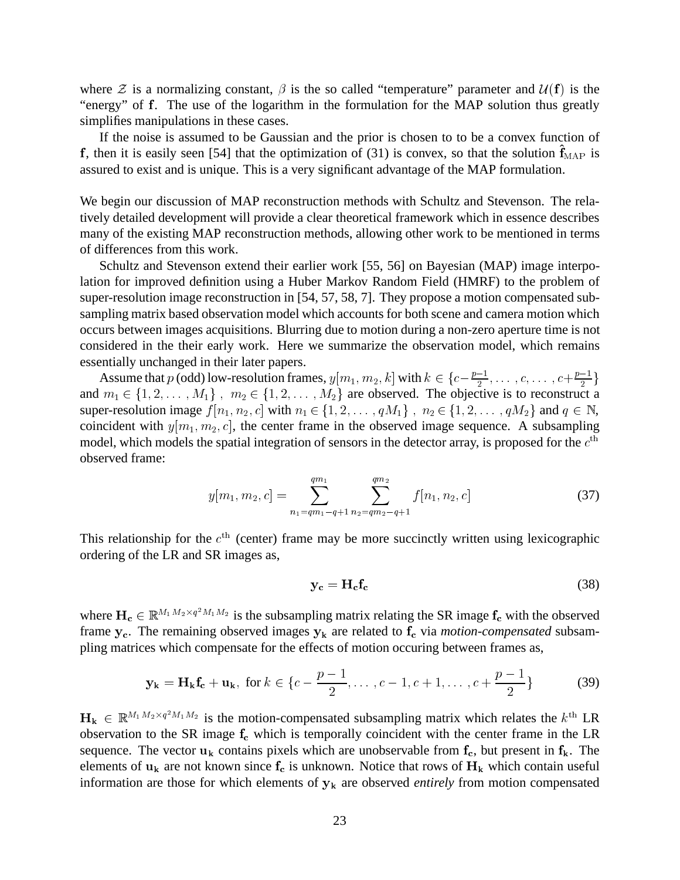where  $\mathcal Z$  is a normalizing constant,  $\beta$  is the so called "temperature" parameter and  $\mathcal U(\mathbf f)$  is the "energy" of f. The use of the logarithm in the formulation for the MAP solution thus greatly simplifies manipulations in these cases.

If the noise is assumed to be Gaussian and the prior is chosen to to be a convex function of f, then it is easily seen [54] that the optimization of (31) is convex, so that the solution  $\mathbf{f}_{MAP}$  is assured to exist and is unique. This is a very significant advantage of the MAP formulation.

We begin our discussion of MAP reconstruction methods with Schultz and Stevenson. The relatively detailed development will provide a clear theoretical framework which in essence describes many of the existing MAP reconstruction methods, allowing other work to be mentioned in terms of differences from this work.

Schultz and Stevenson extend their earlier work [55, 56] on Bayesian (MAP) image interpolation for improved definition using a Huber Markov Random Field (HMRF) to the problem of super-resolution image reconstruction in [54, 57, 58, 7]. They propose a motion compensated subsampling matrix based observation model which accounts for both scene and camera motion which occurs between images acquisitions. Blurring due to motion during a non-zero aperture time is not considered in the their early work. Here we summarize the observation model, which remains essentially unchanged in their later papers.

Assume that  $p$  (odd) low-resolution frames,  $y[m_1, m_2, k]$  with  $k \in \{c-\frac{p-1}{2}, \ldots, c, \ldots, c+\frac{p-1}{2}\}$ and  $m_1 \in \{1, 2, \ldots, M_1\}$ ,  $m_2 \in \{1, 2, \ldots, M_2\}$  are observed. The objective is to reconstruct a super-resolution image  $f[n_1, n_2, c]$  with  $n_1 \in \{1, 2, \ldots, qM_1\}$ ,  $n_2 \in \{1, 2, \ldots, qM_2\}$  and  $q \in \mathbb{N}$ , coincident with  $y[m_1, m_2, c]$ , the center frame in the observed image sequence. A subsampling model, which models the spatial integration of sensors in the detector array, is proposed for the  $c^{\text{th}}$ observed frame:

$$
y[m_1, m_2, c] = \sum_{n_1 = qm_1 - q + 1}^{qm_1} \sum_{n_2 = qm_2 - q + 1}^{qm_2} f[n_1, n_2, c]
$$
 (37)

This relationship for the  $c<sup>th</sup>$  (center) frame may be more succinctly written using lexicographic ordering of the LR and SR images as,

$$
y_c = H_c f_c \tag{38}
$$

where  $H_c \in \mathbb{R}^{M_1M_2 \times q^2M_1M_2}$  is the subsampling matrix relating the SR image  $f_c$  with the observed frame  $y_c$ . The remaining observed images  $y_k$  are related to  $f_c$  via *motion-compensated* subsampling matrices which compensate for the effects of motion occuring between frames as,

$$
\mathbf{y_k} = \mathbf{H_k f_c} + \mathbf{u_k}, \text{ for } k \in \{c - \frac{p-1}{2}, \dots, c-1, c+1, \dots, c+\frac{p-1}{2}\}\tag{39}
$$

 $H_k \in \mathbb{R}^{M_1 M_2 \times q^2 M_1 M_2}$  is the motion-compensated subsampling matrix which relates the  $k^{\text{th}}$  LR observation to the SR image  $f_c$  which is temporally coincident with the center frame in the LR sequence. The vector  $u_k$  contains pixels which are unobservable from  $f_c$ , but present in  $f_k$ . The elements of  $u_k$  are not known since  $f_c$  is unknown. Notice that rows of  $H_k$  which contain useful information are those for which elements of  $y_k$  are observed *entirely* from motion compensated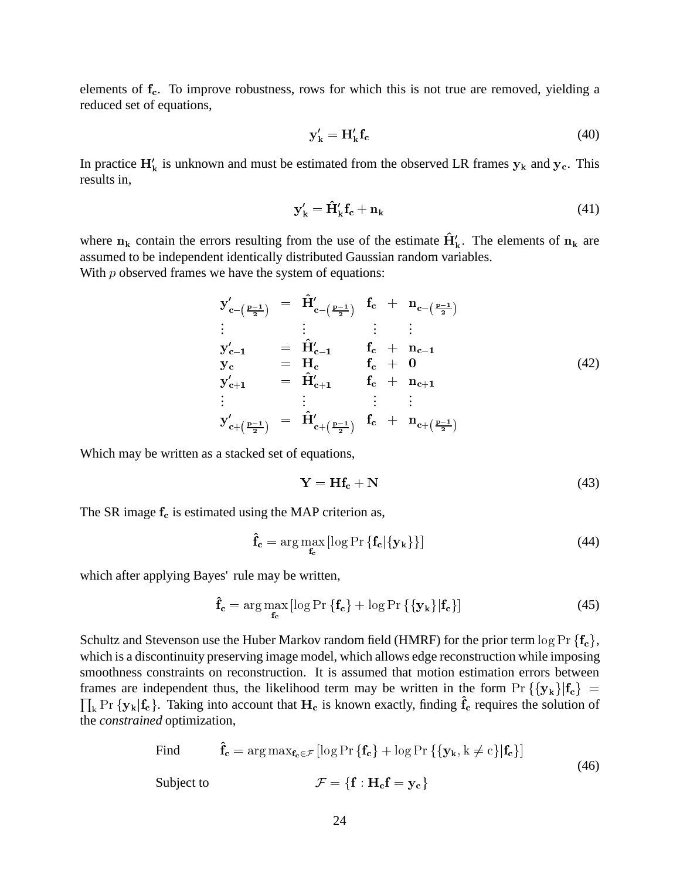elements of  $f_c$ . To improve robustness, rows for which this is not true are removed, yielding a reduced set of equations,

$$
\mathbf{y}_{\mathbf{k}}' = \mathbf{H}_{\mathbf{k}}' \mathbf{f}_{\mathbf{c}} \tag{40}
$$

In practice  $H'_{k}$  is unknown and must be estimated from the observed LR frames  $y_{k}$  and  $y_{c}$ . This results in,

$$
\mathbf{y}_{\mathbf{k}}' = \hat{\mathbf{H}}_{\mathbf{k}}' \mathbf{f}_{\mathbf{c}} + \mathbf{n}_{\mathbf{k}} \tag{41}
$$

where  $n_k$  contain the errors resulting from the use of the estimate  $\hat{H}'_k$ . The elements of  $n_k$  are assumed to be independent identically distributed Gaussian random variables.

With  $p$  observed frames we have the system of equations:

$$
y'_{c-(\frac{p-1}{2})} = \hat{H}'_{c-(\frac{p-1}{2})} f_c + n_{c-(\frac{p-1}{2})}
$$
  
\n
$$
\vdots \qquad \vdots \qquad \vdots \qquad \vdots
$$
  
\n
$$
y'_{c-1} = \hat{H}'_{c-1} f_c + n_{c-1}
$$
  
\n
$$
y_c = H_c f_c + 0
$$
  
\n
$$
y'_{c+1} = \hat{H}'_{c+1} f_c + n_{c+1}
$$
  
\n
$$
\vdots \qquad \vdots \qquad \vdots \qquad \vdots
$$
  
\n
$$
y'_{c+(\frac{p-1}{2})} = \hat{H}'_{c+(\frac{p-1}{2})} f_c + n_{c+(\frac{p-1}{2})}
$$
  
\n(42)

Which may be written as a stacked set of equations,

$$
Y = Hf_c + N \tag{43}
$$

The SR image  $f_c$  is estimated using the MAP criterion as,

$$
\hat{\mathbf{f}}_{\mathbf{c}} = \arg \max_{\mathbf{f}_{\mathbf{c}}} \left[ \log \Pr \left\{ \mathbf{f}_{\mathbf{c}} | \{\mathbf{y}_{\mathbf{k}}\} \right\} \right]
$$
(44)

which after applying Bayes' rule may be written,

$$
\hat{\mathbf{f}}_{\mathbf{c}} = \arg \max_{\mathbf{f}_{\mathbf{c}}} \left[ \log \Pr \left\{ \mathbf{f}_{\mathbf{c}} \right\} + \log \Pr \left\{ \{ \mathbf{y}_{\mathbf{k}} \} | \mathbf{f}_{\mathbf{c}} \right\} \right] \tag{45}
$$

Schultz and Stevenson use the Huber Markov random field (HMRF) for the prior term  $\log \Pr \{f_c\}$ , which is a discontinuity preserving image model, which allows edge reconstruction while imposing smoothness constraints on reconstruction. It is assumed that motion estimation errors between frames are independent thus, the likelihood term may be written in the form  $Pr({y_k}|f_c)$  =  $\prod_k \Pr \{y_k | f_c\}$ . Taking into account that  $H_c$  is known exactly, finding  $f_c$  requires the solution of the *constrained* optimization,

Find 
$$
\mathbf{\hat{f}}_{c} = \arg \max_{\mathbf{f}_{c} \in \mathcal{F}} [\log \Pr \{ \mathbf{f}_{c} \} + \log \Pr \{ \{ \mathbf{y}_{k}, k \neq c \} | \mathbf{f}_{c} \}]
$$
  
Subject to  $\mathcal{F} = \{ \mathbf{f} : \mathbf{H}_{c} \mathbf{f} = \mathbf{y}_{c} \}$  (46)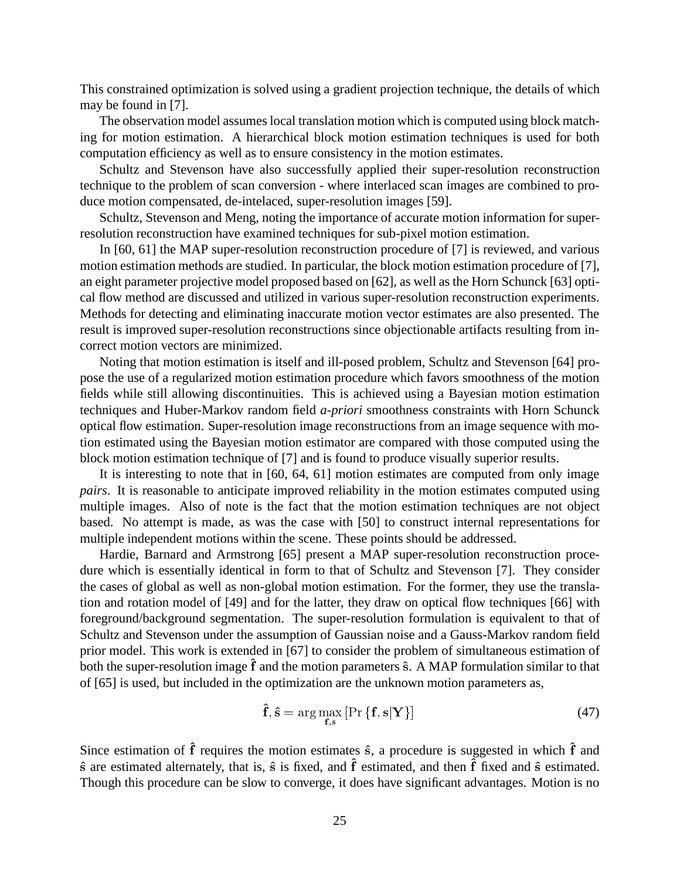This constrained optimization is solved using a gradient projection technique, the details of which may be found in [7].

The observation model assumes local translation motion which is computed using block matching for motion estimation. A hierarchical block motion estimation techniques is used for both computation efficiency as well as to ensure consistency in the motion estimates.

Schultz and Stevenson have also successfully applied their super-resolution reconstruction technique to the problem of scan conversion - where interlaced scan images are combined to produce motion compensated, de-intelaced, super-resolution images [59].

Schultz, Stevenson and Meng, noting the importance of accurate motion information for superresolution reconstruction have examined techniques for sub-pixel motion estimation.

In [60, 61] the MAP super-resolution reconstruction procedure of [7] is reviewed, and various motion estimation methods are studied. In particular, the block motion estimation procedure of [7], an eight parameter projective model proposed based on [62], as well as the Horn Schunck [63] optical flow method are discussed and utilized in various super-resolution reconstruction experiments. Methods for detecting and eliminating inaccurate motion vector estimates are also presented. The result is improved super-resolution reconstructions since objectionable artifacts resulting from incorrect motion vectors are minimized.

Noting that motion estimation is itself and ill-posed problem, Schultz and Stevenson [64] propose the use of a regularized motion estimation procedure which favors smoothness of the motion fields while still allowing discontinuities. This is achieved using a Bayesian motion estimation techniques and Huber-Markov random field *a-priori* smoothness constraints with Horn Schunck optical flow estimation. Super-resolution image reconstructions from an image sequence with motion estimated using the Bayesian motion estimator are compared with those computed using the block motion estimation technique of [7] and is found to produce visually superior results.

It is interesting to note that in [60, 64, 61] motion estimates are computed from only image *pairs*. It is reasonable to anticipate improved reliability in the motion estimates computed using multiple images. Also of note is the fact that the motion estimation techniques are not object based. No attempt is made, as was the case with [50] to construct internal representations for multiple independent motions within the scene. These points should be addressed.

Hardie, Barnard and Armstrong [65] present a MAP super-resolution reconstruction procedure which is essentially identical in form to that of Schultz and Stevenson [7]. They consider the cases of global as well as non-global motion estimation. For the former, they use the translation and rotation model of [49] and for the latter, they draw on optical flow techniques [66] with foreground/background segmentation. The super-resolution formulation is equivalent to that of Schultz and Stevenson under the assumption of Gaussian noise and a Gauss-Markov random field prior model. This work is extended in [67] to consider the problem of simultaneous estimation of both the super-resolution image  $\hat{f}$  and the motion parameters  $\hat{s}$ . A MAP formulation similar to that of [65] is used, but included in the optimization are the unknown motion parameters as,

$$
\hat{\mathbf{f}}, \hat{\mathbf{s}} = \arg \max_{\mathbf{f}, \mathbf{s}} \left[ \Pr \left\{ \mathbf{f}, \mathbf{s} | \mathbf{Y} \right\} \right] \tag{47}
$$

Since estimation of  $\hat{f}$  requires the motion estimates  $\hat{s}$ , a procedure is suggested in which  $\hat{f}$  and  $\hat{s}$  are estimated alternately, that is,  $\hat{s}$  is fixed, and  $\hat{f}$  estimated, and then  $\hat{f}$  fixed and  $\hat{s}$  estimated. Though this procedure can be slow to converge, it does have significant advantages. Motion is no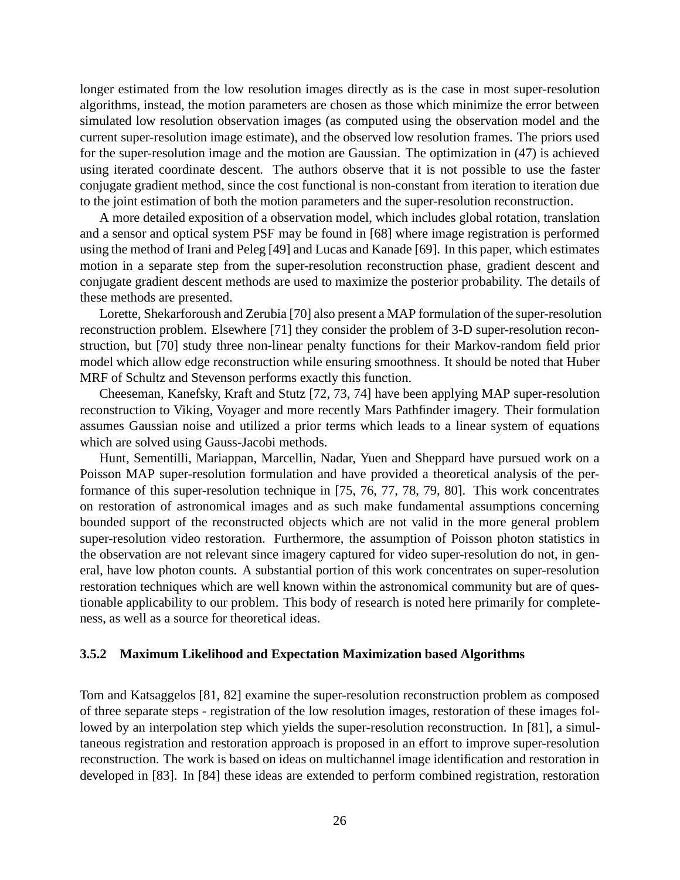longer estimated from the low resolution images directly as is the case in most super-resolution algorithms, instead, the motion parameters are chosen as those which minimize the error between simulated low resolution observation images (as computed using the observation model and the current super-resolution image estimate), and the observed low resolution frames. The priors used for the super-resolution image and the motion are Gaussian. The optimization in (47) is achieved using iterated coordinate descent. The authors observe that it is not possible to use the faster conjugate gradient method, since the cost functional is non-constant from iteration to iteration due to the joint estimation of both the motion parameters and the super-resolution reconstruction.

A more detailed exposition of a observation model, which includes global rotation, translation and a sensor and optical system PSF may be found in [68] where image registration is performed using the method of Irani and Peleg [49] and Lucas and Kanade [69]. In this paper, which estimates motion in a separate step from the super-resolution reconstruction phase, gradient descent and conjugate gradient descent methods are used to maximize the posterior probability. The details of these methods are presented.

Lorette, Shekarforoush and Zerubia [70] also present a MAP formulation of the super-resolution reconstruction problem. Elsewhere [71] they consider the problem of 3-D super-resolution reconstruction, but [70] study three non-linear penalty functions for their Markov-random field prior model which allow edge reconstruction while ensuring smoothness. It should be noted that Huber MRF of Schultz and Stevenson performs exactly this function.

Cheeseman, Kanefsky, Kraft and Stutz [72, 73, 74] have been applying MAP super-resolution reconstruction to Viking, Voyager and more recently Mars Pathfinder imagery. Their formulation assumes Gaussian noise and utilized a prior terms which leads to a linear system of equations which are solved using Gauss-Jacobi methods.

Hunt, Sementilli, Mariappan, Marcellin, Nadar, Yuen and Sheppard have pursued work on a Poisson MAP super-resolution formulation and have provided a theoretical analysis of the performance of this super-resolution technique in [75, 76, 77, 78, 79, 80]. This work concentrates on restoration of astronomical images and as such make fundamental assumptions concerning bounded support of the reconstructed objects which are not valid in the more general problem super-resolution video restoration. Furthermore, the assumption of Poisson photon statistics in the observation are not relevant since imagery captured for video super-resolution do not, in general, have low photon counts. A substantial portion of this work concentrates on super-resolution restoration techniques which are well known within the astronomical community but are of questionable applicability to our problem. This body of research is noted here primarily for completeness, as well as a source for theoretical ideas.

#### **3.5.2 Maximum Likelihood and Expectation Maximization based Algorithms**

Tom and Katsaggelos [81, 82] examine the super-resolution reconstruction problem as composed of three separate steps - registration of the low resolution images, restoration of these images followed by an interpolation step which yields the super-resolution reconstruction. In [81], a simultaneous registration and restoration approach is proposed in an effort to improve super-resolution reconstruction. The work is based on ideas on multichannel image identification and restoration in developed in [83]. In [84] these ideas are extended to perform combined registration, restoration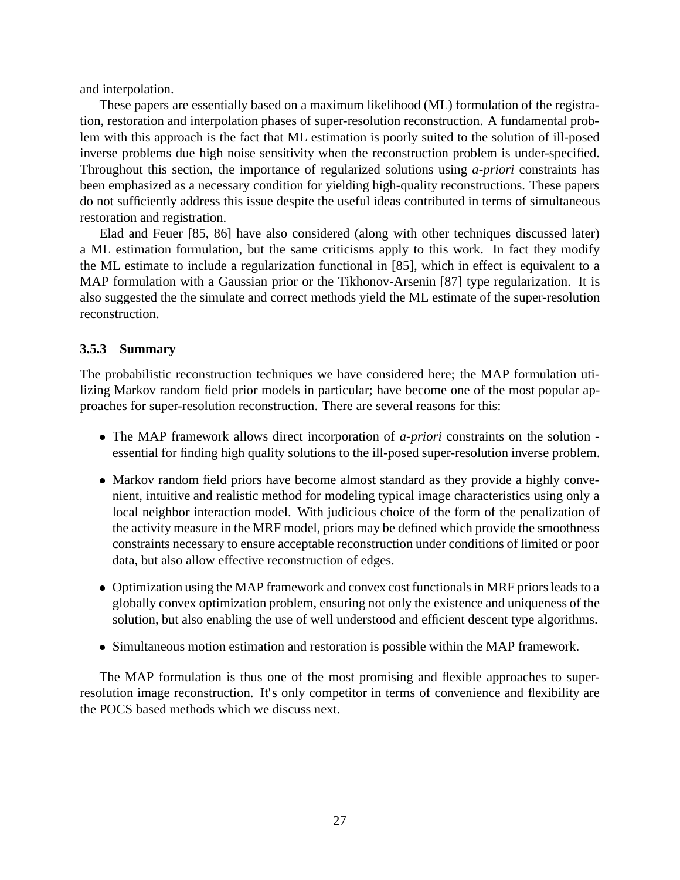and interpolation.

These papers are essentially based on a maximum likelihood (ML) formulation of the registration, restoration and interpolation phases of super-resolution reconstruction. A fundamental problem with this approach is the fact that ML estimation is poorly suited to the solution of ill-posed inverse problems due high noise sensitivity when the reconstruction problem is under-specified. Throughout this section, the importance of regularized solutions using *a-priori* constraints has been emphasized as a necessary condition for yielding high-quality reconstructions. These papers do not sufficiently address this issue despite the useful ideas contributed in terms of simultaneous restoration and registration.

Elad and Feuer [85, 86] have also considered (along with other techniques discussed later) a ML estimation formulation, but the same criticisms apply to this work. In fact they modify the ML estimate to include a regularization functional in [85], which in effect is equivalent to a MAP formulation with a Gaussian prior or the Tikhonov-Arsenin [87] type regularization. It is also suggested the the simulate and correct methods yield the ML estimate of the super-resolution reconstruction.

#### **3.5.3 Summary**

The probabilistic reconstruction techniques we have considered here; the MAP formulation utilizing Markov random field prior models in particular; have become one of the most popular approaches for super-resolution reconstruction. There are several reasons for this:

- The MAP framework allows direct incorporation of *a-priori* constraints on the solution essential for finding high quality solutions to the ill-posed super-resolution inverse problem.
- Markov random field priors have become almost standard as they provide a highly convenient, intuitive and realistic method for modeling typical image characteristics using only a local neighbor interaction model. With judicious choice of the form of the penalization of the activity measure in the MRF model, priors may be defined which provide the smoothness constraints necessary to ensure acceptable reconstruction under conditions of limited or poor data, but also allow effective reconstruction of edges.
- Optimization using the MAP framework and convex cost functionals in MRF priors leads to a globally convex optimization problem, ensuring not only the existence and uniqueness of the solution, but also enabling the use of well understood and efficient descent type algorithms.
- Simultaneous motion estimation and restoration is possible within the MAP framework.

The MAP formulation is thus one of the most promising and flexible approaches to superresolution image reconstruction. It's only competitor in terms of convenience and flexibility are the POCS based methods which we discuss next.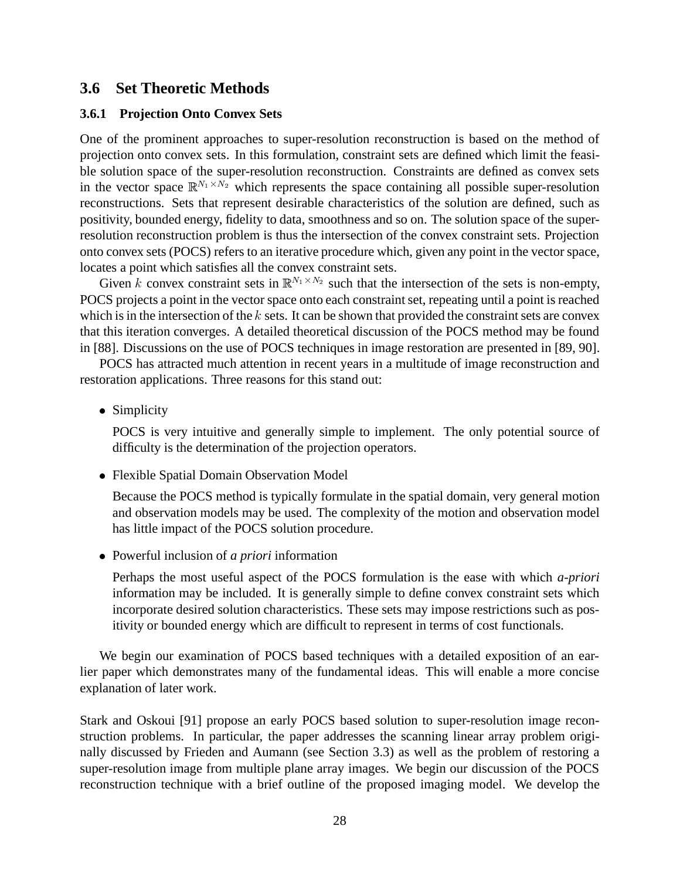#### **3.6 Set Theoretic Methods**

#### **3.6.1 Projection Onto Convex Sets**

One of the prominent approaches to super-resolution reconstruction is based on the method of projection onto convex sets. In this formulation, constraint sets are defined which limit the feasible solution space of the super-resolution reconstruction. Constraints are defined as convex sets in the vector space  $\mathbb{R}^{N_1 \times N_2}$  which represents the space containing all possible super-resolution reconstructions. Sets that represent desirable characteristics of the solution are defined, such as positivity, bounded energy, fidelity to data, smoothness and so on. The solution space of the superresolution reconstruction problem is thus the intersection of the convex constraint sets. Projection onto convex sets (POCS) refers to an iterative procedure which, given any point in the vector space, locates a point which satisfies all the convex constraint sets.

Given k convex constraint sets in  $\mathbb{R}^{N_1 \times N_2}$  such that the intersection of the sets is non-empty, POCS projects a point in the vector space onto each constraint set, repeating until a point is reached which is in the intersection of the  $k$  sets. It can be shown that provided the constraint sets are convex that this iteration converges. A detailed theoretical discussion of the POCS method may be found in [88]. Discussions on the use of POCS techniques in image restoration are presented in [89, 90].

POCS has attracted much attention in recent years in a multitude of image reconstruction and restoration applications. Three reasons for this stand out:

• Simplicity

POCS is very intuitive and generally simple to implement. The only potential source of difficulty is the determination of the projection operators.

Flexible Spatial Domain Observation Model

Because the POCS method is typically formulate in the spatial domain, very general motion and observation models may be used. The complexity of the motion and observation model has little impact of the POCS solution procedure.

Powerful inclusion of *a priori* information

Perhaps the most useful aspect of the POCS formulation is the ease with which *a-priori* information may be included. It is generally simple to define convex constraint sets which incorporate desired solution characteristics. These sets may impose restrictions such as positivity or bounded energy which are difficult to represent in terms of cost functionals.

We begin our examination of POCS based techniques with a detailed exposition of an earlier paper which demonstrates many of the fundamental ideas. This will enable a more concise explanation of later work.

Stark and Oskoui [91] propose an early POCS based solution to super-resolution image reconstruction problems. In particular, the paper addresses the scanning linear array problem originally discussed by Frieden and Aumann (see Section 3.3) as well as the problem of restoring a super-resolution image from multiple plane array images. We begin our discussion of the POCS reconstruction technique with a brief outline of the proposed imaging model. We develop the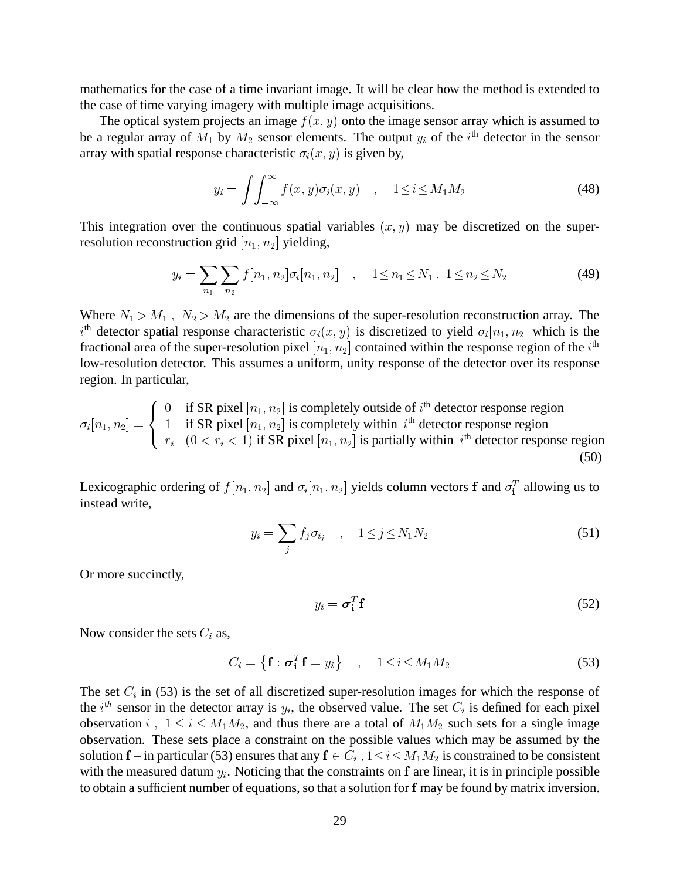mathematics for the case of a time invariant image. It will be clear how the method is extended to the case of time varying imagery with multiple image acquisitions.

The optical system projects an image  $f(x, y)$  onto the image sensor array which is assumed to be a regular array of  $M_1$  by  $M_2$  sensor elements. The output  $y_i$  of the i<sup>th</sup> detector in the sensor array with spatial response characteristic  $\sigma_i(x, y)$  is given by,

$$
y_i = \int \int_{-\infty}^{\infty} f(x, y) \sigma_i(x, y) \quad , \quad 1 \le i \le M_1 M_2 \tag{48}
$$

This integration over the continuous spatial variables  $(x, y)$  may be discretized on the superresolution reconstruction grid  $[n_1, n_2]$  yielding,

$$
y_i = \sum_{n_1} \sum_{n_2} f[n_1, n_2] \sigma_i[n_1, n_2] \quad , \quad 1 \le n_1 \le N_1 \quad , \quad 1 \le n_2 \le N_2 \tag{49}
$$

Where  $N_1 > M_1$ ,  $N_2 > M_2$  are the dimensions of the super-resolution reconstruction array. The  $i<sup>th</sup>$  detector spatial response characteristic  $\sigma_i(x, y)$  is discretized to yield  $\sigma_i[n_1, n_2]$  which is the fractional area of the super-resolution pixel  $[n_1, n_2]$  contained within the response region of the  $i<sup>th</sup>$ low-resolution detector. This assumes a uniform, unity response of the detector over its response region. In particular,

i [n1; n2]<sup>=</sup> and the state of the state of the state of the state of the state of the state of the state of the state of the the contract of the contract of the contract of the contract of the contract of the contract of the contract of : 0 if SR pixel  $[n_1, n_2]$  is completely outside of  $i^{\text{th}}$  detector response region 1 if SR pixel  $[n_1, n_2]$  is completely within  $i^{\text{th}}$  detector response region  $r_i$   $(0 < r_i < 1)$  if SR pixel  $[n_1, n_2]$  is partially within  $i<sup>th</sup>$  detector response region (50)

Lexicographic ordering of  $f[n_1, n_2]$  and  $\sigma_i[n_1, n_2]$  yields column vectors f and  $\sigma_i^T$  allowing us to instead write,

$$
y_i = \sum_j f_j \sigma_{i_j} \quad , \quad 1 \le j \le N_1 N_2 \tag{51}
$$

Or more succinctly,

 $y_i = \boldsymbol{\sigma}_i^T \mathbf{f}$  $\mathbf{f}^T$ **f** (52)

Now consider the sets  $C_i$  as,

$$
C_i = \left\{ \mathbf{f} : \boldsymbol{\sigma}_i^T \mathbf{f} = y_i \right\} \quad , \quad 1 \leq i \leq M_1 M_2 \tag{53}
$$

The set  $C_i$  in (53) is the set of all discretized super-resolution images for which the response of the i<sup>th</sup> sensor in the detector array is  $y_i$ , the observed value. The set  $C_i$  is defined for each pixel observation i,  $1 \le i \le M_1M_2$ , and thus there are a total of  $M_1M_2$  such sets for a single image observation. These sets place a constraint on the possible values which may be assumed by the solution f – in particular (53) ensures that any  $f \in C_i$ ,  $1 \le i \le M_1M_2$  is constrained to be consistent with the measured datum  $y_i$ . Noticing that the constraints on f are linear, it is in principle possible to obtain a sufficient number of equations, so that a solution for f may be found by matrix inversion.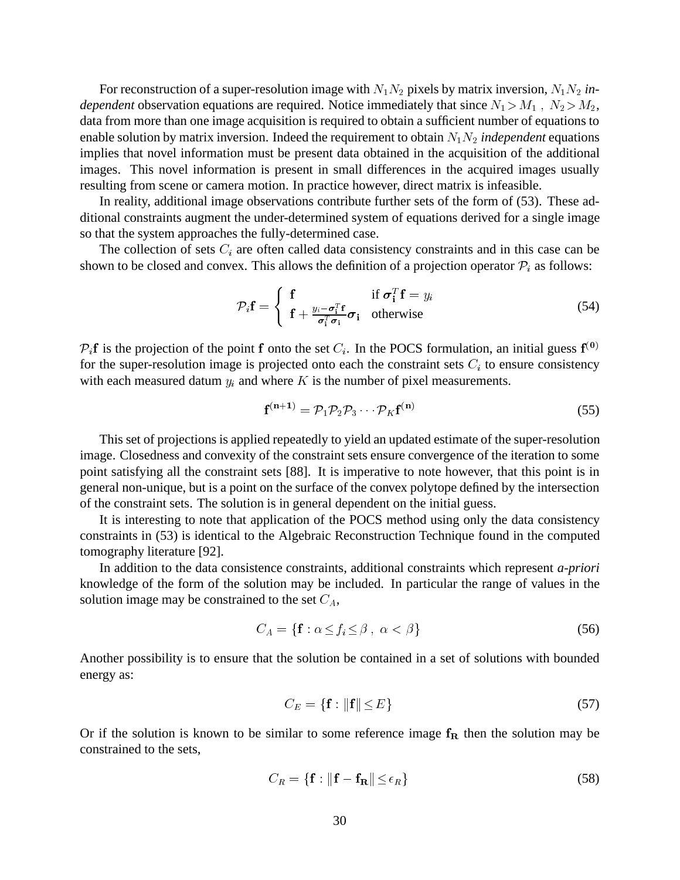For reconstruction of a super-resolution image with  $N_1N_2$  pixels by matrix inversion,  $N_1N_2$  *independent* observation equations are required. Notice immediately that since  $N_1 > M_1$ ,  $N_2 > M_2$ , data from more than one image acquisition is required to obtain a sufficient number of equations to enable solution by matrix inversion. Indeed the requirement to obtain  $N_1N_2$  *independent* equations implies that novel information must be present data obtained in the acquisition of the additional images. This novel information is present in small differences in the acquired images usually resulting from scene or camera motion. In practice however, direct matrix is infeasible.

In reality, additional image observations contribute further sets of the form of (53). These additional constraints augment the under-determined system of equations derived for a single image so that the system approaches the fully-determined case.

The collection of sets  $C_i$  are often called data consistency constraints and in this case can be shown to be closed and convex. This allows the definition of a projection operator  $P_i$  as follows:

$$
\mathcal{P}_i \mathbf{f} = \begin{cases} \mathbf{f} & \text{if } \boldsymbol{\sigma}_i^T \mathbf{f} = y_i \\ \mathbf{f} + \frac{y_i - \boldsymbol{\sigma}_i^T \mathbf{f}}{\boldsymbol{\sigma}_i^T \boldsymbol{\sigma}_i} & \text{otherwise} \end{cases}
$$
(54)

 $P_i$ f is the projection of the point f onto the set  $C_i$ . In the POCS formulation, an initial guess  $f^{(0)}$ for the super-resolution image is projected onto each the constraint sets  $C_i$  to ensure consistency with each measured datum  $y_i$  and where K is the number of pixel measurements.

$$
\mathbf{f}^{(\mathbf{n}+1)} = \mathcal{P}_1 \mathcal{P}_2 \mathcal{P}_3 \cdots \mathcal{P}_K \mathbf{f}^{(\mathbf{n})} \tag{55}
$$

This set of projections is applied repeatedly to yield an updated estimate of the super-resolution image. Closedness and convexity of the constraint sets ensure convergence of the iteration to some point satisfying all the constraint sets [88]. It is imperative to note however, that this point is in general non-unique, but is a point on the surface of the convex polytope defined by the intersection of the constraint sets. The solution is in general dependent on the initial guess.

It is interesting to note that application of the POCS method using only the data consistency constraints in (53) is identical to the Algebraic Reconstruction Technique found in the computed tomography literature [92].

In addition to the data consistence constraints, additional constraints which represent *a-priori* knowledge of the form of the solution may be included. In particular the range of values in the solution image may be constrained to the set  $C_A$ ,

$$
C_A = \{ \mathbf{f} : \alpha \le f_i \le \beta \}, \ \alpha < \beta \} \tag{56}
$$

Another possibility is to ensure that the solution be contained in a set of solutions with bounded energy as:

$$
C_E = \{ \mathbf{f} : ||\mathbf{f}|| \le E \} \tag{57}
$$

Or if the solution is known to be similar to some reference image  $f_R$  then the solution may be constrained to the sets,

$$
C_R = \{ \mathbf{f} : ||\mathbf{f} - \mathbf{f_R}|| \le \epsilon_R \}
$$
 (58)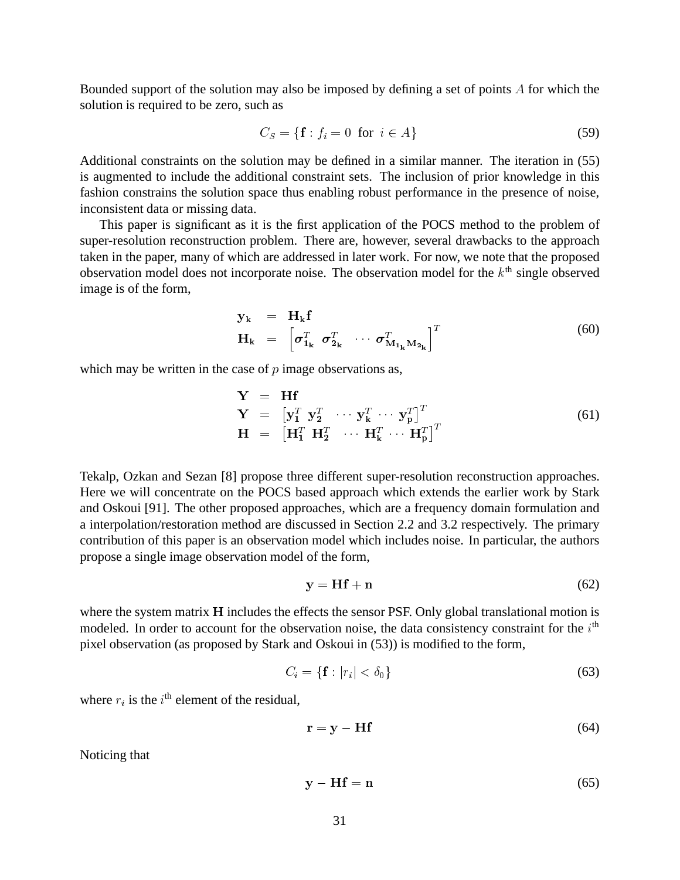Bounded support of the solution may also be imposed by defining a set of points A for which the solution is required to be zero, such as

$$
C_S = \{ \mathbf{f} : f_i = 0 \text{ for } i \in A \}
$$
\n
$$
(59)
$$

Additional constraints on the solution may be defined in a similar manner. The iteration in (55) is augmented to include the additional constraint sets. The inclusion of prior knowledge in this fashion constrains the solution space thus enabling robust performance in the presence of noise, inconsistent data or missing data.

This paper is significant as it is the first application of the POCS method to the problem of super-resolution reconstruction problem. There are, however, several drawbacks to the approach taken in the paper, many of which are addressed in later work. For now, we note that the proposed observation model does not incorporate noise. The observation model for the  $k<sup>th</sup>$  single observed image is of the form,

$$
\mathbf{y}_{k} = \mathbf{H}_{k} \mathbf{f} \n\mathbf{H}_{k} = \left[ \boldsymbol{\sigma}_{1_{k}}^{T} \ \boldsymbol{\sigma}_{2_{k}}^{T} \ \cdots \ \boldsymbol{\sigma}_{M_{1_{k}} M_{2_{k}}}^{T} \right]^{T}
$$
\n(60)

which may be written in the case of  $p$  image observations as,

$$
\mathbf{Y} = \mathbf{H} \mathbf{f}
$$
\n
$$
\mathbf{Y} = \begin{bmatrix} \mathbf{y}_1^T & \mathbf{y}_2^T & \cdots & \mathbf{y}_k^T & \cdots & \mathbf{y}_p^T \end{bmatrix}^T
$$
\n
$$
\mathbf{H} = \begin{bmatrix} \mathbf{H}_1^T & \mathbf{H}_2^T & \cdots & \mathbf{H}_k^T & \cdots & \mathbf{H}_p^T \end{bmatrix}^T
$$
\n(61)

Tekalp, Ozkan and Sezan [8] propose three different super-resolution reconstruction approaches. Here we will concentrate on the POCS based approach which extends the earlier work by Stark and Oskoui [91]. The other proposed approaches, which are a frequency domain formulation and a interpolation/restoration method are discussed in Section 2.2 and 3.2 respectively. The primary contribution of this paper is an observation model which includes noise. In particular, the authors propose a single image observation model of the form,

$$
y = Hf + n \tag{62}
$$

where the system matrix H includes the effects the sensor PSF. Only global translational motion is modeled. In order to account for the observation noise, the data consistency constraint for the  $i<sup>th</sup>$ pixel observation (as proposed by Stark and Oskoui in (53)) is modified to the form,

$$
C_i = \{ \mathbf{f} : |r_i| < \delta_0 \} \tag{63}
$$

where  $r_i$  is the  $i^{\text{th}}$  element of the residual,

$$
\mathbf{r} = \mathbf{y} - \mathbf{H}\mathbf{f} \tag{64}
$$

Noticing that

$$
y - Hf = n \tag{65}
$$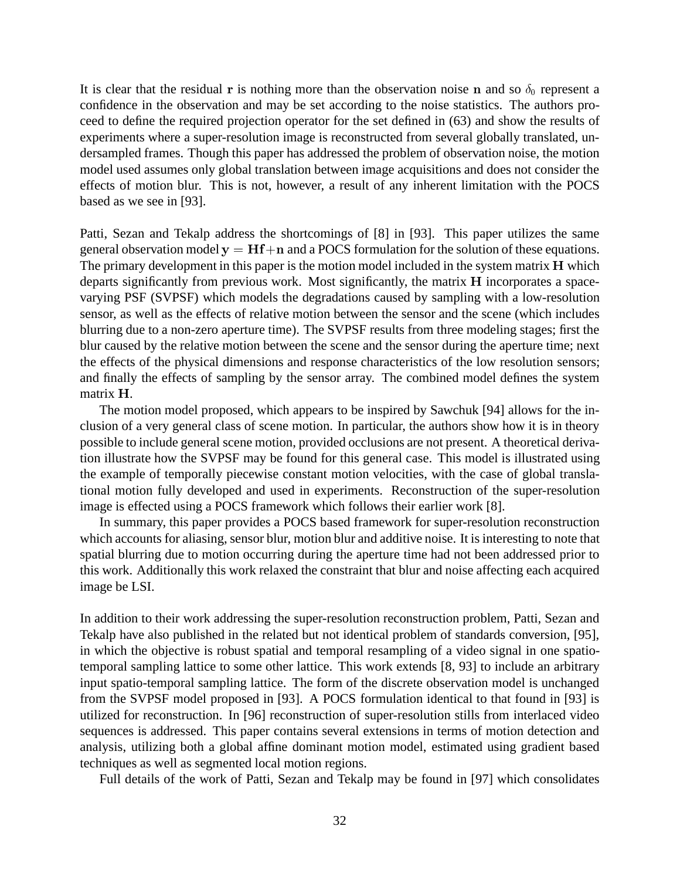It is clear that the residual r is nothing more than the observation noise n and so  $\delta_0$  represent a confidence in the observation and may be set according to the noise statistics. The authors proceed to define the required projection operator for the set defined in (63) and show the results of experiments where a super-resolution image is reconstructed from several globally translated, undersampled frames. Though this paper has addressed the problem of observation noise, the motion model used assumes only global translation between image acquisitions and does not consider the effects of motion blur. This is not, however, a result of any inherent limitation with the POCS based as we see in [93].

Patti, Sezan and Tekalp address the shortcomings of [8] in [93]. This paper utilizes the same general observation model  $y = Hf + n$  and a POCS formulation for the solution of these equations. The primary development in this paper is the motion model included in the system matrix H which departs significantly from previous work. Most significantly, the matrix H incorporates a spacevarying PSF (SVPSF) which models the degradations caused by sampling with a low-resolution sensor, as well as the effects of relative motion between the sensor and the scene (which includes blurring due to a non-zero aperture time). The SVPSF results from three modeling stages; first the blur caused by the relative motion between the scene and the sensor during the aperture time; next the effects of the physical dimensions and response characteristics of the low resolution sensors; and finally the effects of sampling by the sensor array. The combined model defines the system matrix <sup>H</sup>.

The motion model proposed, which appears to be inspired by Sawchuk [94] allows for the inclusion of a very general class of scene motion. In particular, the authors show how it is in theory possible to include general scene motion, provided occlusions are not present. A theoretical derivation illustrate how the SVPSF may be found for this general case. This model is illustrated using the example of temporally piecewise constant motion velocities, with the case of global translational motion fully developed and used in experiments. Reconstruction of the super-resolution image is effected using a POCS framework which follows their earlier work [8].

In summary, this paper provides a POCS based framework for super-resolution reconstruction which accounts for aliasing, sensor blur, motion blur and additive noise. It is interesting to note that spatial blurring due to motion occurring during the aperture time had not been addressed prior to this work. Additionally this work relaxed the constraint that blur and noise affecting each acquired image be LSI.

In addition to their work addressing the super-resolution reconstruction problem, Patti, Sezan and Tekalp have also published in the related but not identical problem of standards conversion, [95], in which the objective is robust spatial and temporal resampling of a video signal in one spatiotemporal sampling lattice to some other lattice. This work extends [8, 93] to include an arbitrary input spatio-temporal sampling lattice. The form of the discrete observation model is unchanged from the SVPSF model proposed in [93]. A POCS formulation identical to that found in [93] is utilized for reconstruction. In [96] reconstruction of super-resolution stills from interlaced video sequences is addressed. This paper contains several extensions in terms of motion detection and analysis, utilizing both a global affine dominant motion model, estimated using gradient based techniques as well as segmented local motion regions.

Full details of the work of Patti, Sezan and Tekalp may be found in [97] which consolidates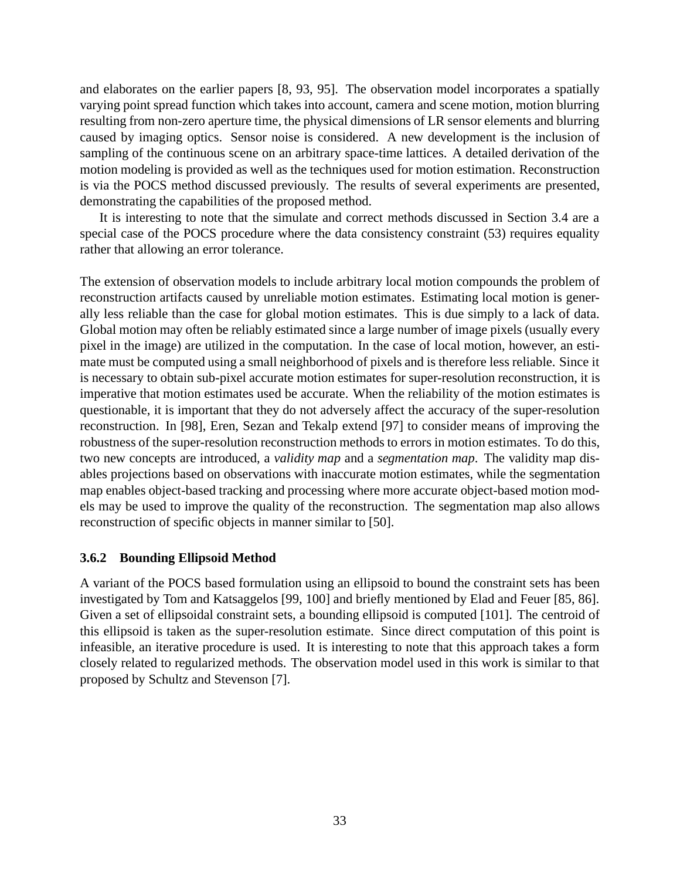and elaborates on the earlier papers [8, 93, 95]. The observation model incorporates a spatially varying point spread function which takes into account, camera and scene motion, motion blurring resulting from non-zero aperture time, the physical dimensions of LR sensor elements and blurring caused by imaging optics. Sensor noise is considered. A new development is the inclusion of sampling of the continuous scene on an arbitrary space-time lattices. A detailed derivation of the motion modeling is provided as well as the techniques used for motion estimation. Reconstruction is via the POCS method discussed previously. The results of several experiments are presented, demonstrating the capabilities of the proposed method.

It is interesting to note that the simulate and correct methods discussed in Section 3.4 are a special case of the POCS procedure where the data consistency constraint (53) requires equality rather that allowing an error tolerance.

The extension of observation models to include arbitrary local motion compounds the problem of reconstruction artifacts caused by unreliable motion estimates. Estimating local motion is generally less reliable than the case for global motion estimates. This is due simply to a lack of data. Global motion may often be reliably estimated since a large number of image pixels (usually every pixel in the image) are utilized in the computation. In the case of local motion, however, an estimate must be computed using a small neighborhood of pixels and is therefore less reliable. Since it is necessary to obtain sub-pixel accurate motion estimates for super-resolution reconstruction, it is imperative that motion estimates used be accurate. When the reliability of the motion estimates is questionable, it is important that they do not adversely affect the accuracy of the super-resolution reconstruction. In [98], Eren, Sezan and Tekalp extend [97] to consider means of improving the robustness of the super-resolution reconstruction methods to errors in motion estimates. To do this, two new concepts are introduced, a *validity map* and a *segmentation map*. The validity map disables projections based on observations with inaccurate motion estimates, while the segmentation map enables object-based tracking and processing where more accurate object-based motion models may be used to improve the quality of the reconstruction. The segmentation map also allows reconstruction of specific objects in manner similar to [50].

#### **3.6.2 Bounding Ellipsoid Method**

A variant of the POCS based formulation using an ellipsoid to bound the constraint sets has been investigated by Tom and Katsaggelos [99, 100] and briefly mentioned by Elad and Feuer [85, 86]. Given a set of ellipsoidal constraint sets, a bounding ellipsoid is computed [101]. The centroid of this ellipsoid is taken as the super-resolution estimate. Since direct computation of this point is infeasible, an iterative procedure is used. It is interesting to note that this approach takes a form closely related to regularized methods. The observation model used in this work is similar to that proposed by Schultz and Stevenson [7].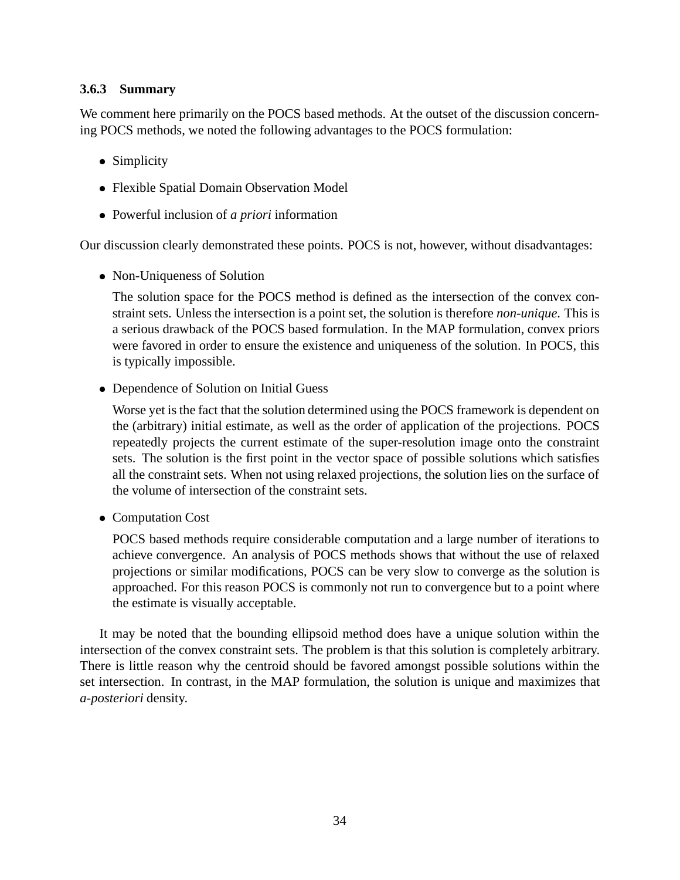#### **3.6.3 Summary**

We comment here primarily on the POCS based methods. At the outset of the discussion concerning POCS methods, we noted the following advantages to the POCS formulation:

- Simplicity
- Flexible Spatial Domain Observation Model
- Powerful inclusion of *a priori* information

Our discussion clearly demonstrated these points. POCS is not, however, without disadvantages:

Non-Uniqueness of Solution

The solution space for the POCS method is defined as the intersection of the convex constraint sets. Unless the intersection is a point set, the solution is therefore *non-unique*. This is a serious drawback of the POCS based formulation. In the MAP formulation, convex priors were favored in order to ensure the existence and uniqueness of the solution. In POCS, this is typically impossible.

Dependence of Solution on Initial Guess

Worse yet is the fact that the solution determined using the POCS framework is dependent on the (arbitrary) initial estimate, as well as the order of application of the projections. POCS repeatedly projects the current estimate of the super-resolution image onto the constraint sets. The solution is the first point in the vector space of possible solutions which satisfies all the constraint sets. When not using relaxed projections, the solution lies on the surface of the volume of intersection of the constraint sets.

Computation Cost

POCS based methods require considerable computation and a large number of iterations to achieve convergence. An analysis of POCS methods shows that without the use of relaxed projections or similar modifications, POCS can be very slow to converge as the solution is approached. For this reason POCS is commonly not run to convergence but to a point where the estimate is visually acceptable.

It may be noted that the bounding ellipsoid method does have a unique solution within the intersection of the convex constraint sets. The problem is that this solution is completely arbitrary. There is little reason why the centroid should be favored amongst possible solutions within the set intersection. In contrast, in the MAP formulation, the solution is unique and maximizes that *a-posteriori* density.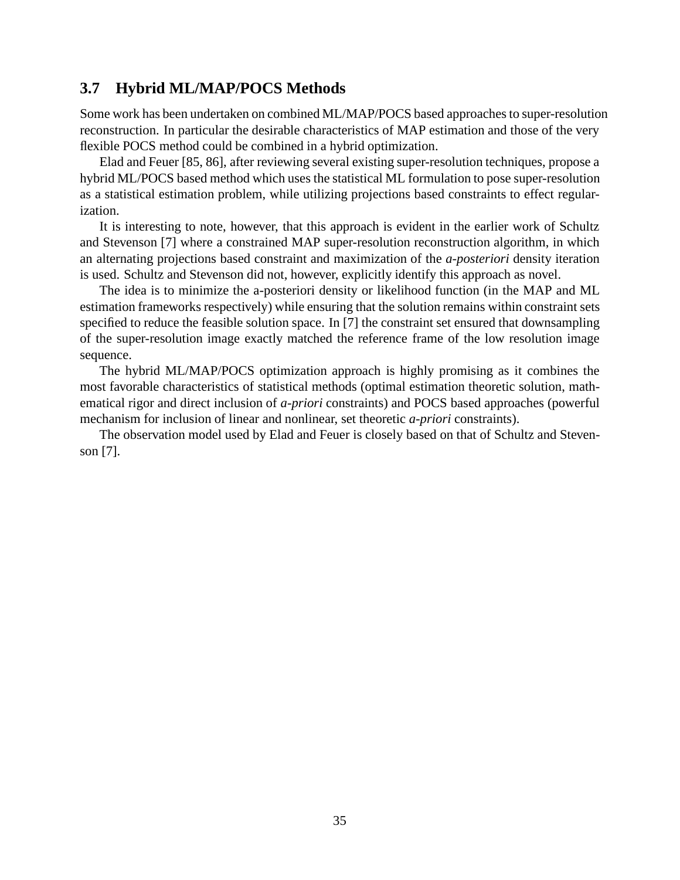### **3.7 Hybrid ML/MAP/POCS Methods**

Some work has been undertaken on combined ML/MAP/POCS based approaches to super-resolution reconstruction. In particular the desirable characteristics of MAP estimation and those of the very flexible POCS method could be combined in a hybrid optimization.

Elad and Feuer [85, 86], after reviewing several existing super-resolution techniques, propose a hybrid ML/POCS based method which uses the statistical ML formulation to pose super-resolution as a statistical estimation problem, while utilizing projections based constraints to effect regularization.

It is interesting to note, however, that this approach is evident in the earlier work of Schultz and Stevenson [7] where a constrained MAP super-resolution reconstruction algorithm, in which an alternating projections based constraint and maximization of the *a-posteriori* density iteration is used. Schultz and Stevenson did not, however, explicitly identify this approach as novel.

The idea is to minimize the a-posteriori density or likelihood function (in the MAP and ML estimation frameworks respectively) while ensuring that the solution remains within constraint sets specified to reduce the feasible solution space. In [7] the constraint set ensured that downsampling of the super-resolution image exactly matched the reference frame of the low resolution image sequence.

The hybrid ML/MAP/POCS optimization approach is highly promising as it combines the most favorable characteristics of statistical methods (optimal estimation theoretic solution, mathematical rigor and direct inclusion of *a-priori* constraints) and POCS based approaches (powerful mechanism for inclusion of linear and nonlinear, set theoretic *a-priori* constraints).

The observation model used by Elad and Feuer is closely based on that of Schultz and Stevenson [7].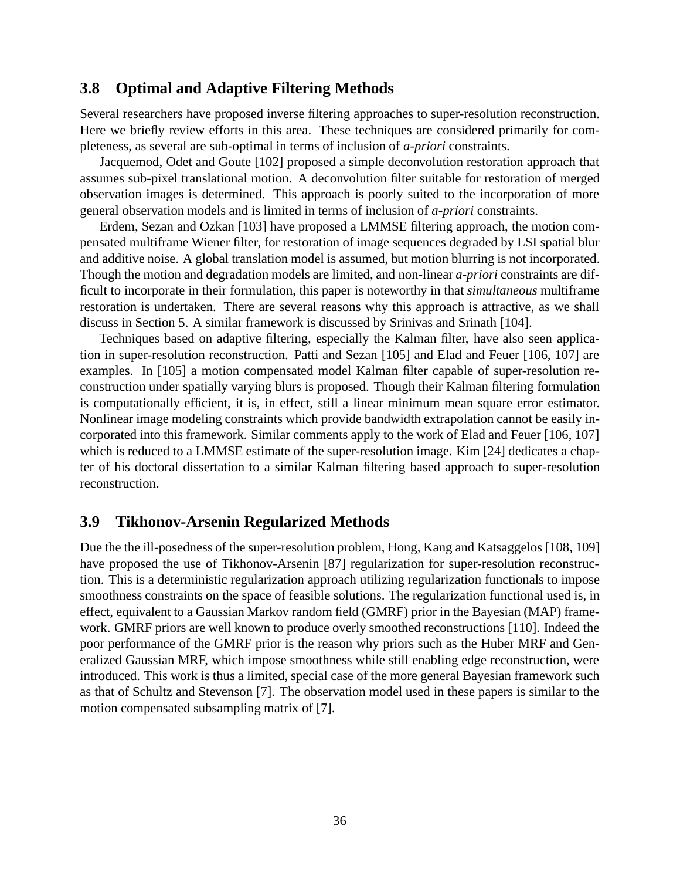#### **3.8 Optimal and Adaptive Filtering Methods**

Several researchers have proposed inverse filtering approaches to super-resolution reconstruction. Here we briefly review efforts in this area. These techniques are considered primarily for completeness, as several are sub-optimal in terms of inclusion of *a-priori* constraints.

Jacquemod, Odet and Goute [102] proposed a simple deconvolution restoration approach that assumes sub-pixel translational motion. A deconvolution filter suitable for restoration of merged observation images is determined. This approach is poorly suited to the incorporation of more general observation models and is limited in terms of inclusion of *a-priori* constraints.

Erdem, Sezan and Ozkan [103] have proposed a LMMSE filtering approach, the motion compensated multiframe Wiener filter, for restoration of image sequences degraded by LSI spatial blur and additive noise. A global translation model is assumed, but motion blurring is not incorporated. Though the motion and degradation models are limited, and non-linear *a-priori* constraints are difficult to incorporate in their formulation, this paper is noteworthy in that *simultaneous* multiframe restoration is undertaken. There are several reasons why this approach is attractive, as we shall discuss in Section 5. A similar framework is discussed by Srinivas and Srinath [104].

Techniques based on adaptive filtering, especially the Kalman filter, have also seen application in super-resolution reconstruction. Patti and Sezan [105] and Elad and Feuer [106, 107] are examples. In [105] a motion compensated model Kalman filter capable of super-resolution reconstruction under spatially varying blurs is proposed. Though their Kalman filtering formulation is computationally efficient, it is, in effect, still a linear minimum mean square error estimator. Nonlinear image modeling constraints which provide bandwidth extrapolation cannot be easily incorporated into this framework. Similar comments apply to the work of Elad and Feuer [106, 107] which is reduced to a LMMSE estimate of the super-resolution image. Kim [24] dedicates a chapter of his doctoral dissertation to a similar Kalman filtering based approach to super-resolution reconstruction.

### **3.9 Tikhonov-Arsenin Regularized Methods**

Due the the ill-posedness of the super-resolution problem, Hong, Kang and Katsaggelos [108, 109] have proposed the use of Tikhonov-Arsenin [87] regularization for super-resolution reconstruction. This is a deterministic regularization approach utilizing regularization functionals to impose smoothness constraints on the space of feasible solutions. The regularization functional used is, in effect, equivalent to a Gaussian Markov random field (GMRF) prior in the Bayesian (MAP) framework. GMRF priors are well known to produce overly smoothed reconstructions [110]. Indeed the poor performance of the GMRF prior is the reason why priors such as the Huber MRF and Generalized Gaussian MRF, which impose smoothness while still enabling edge reconstruction, were introduced. This work is thus a limited, special case of the more general Bayesian framework such as that of Schultz and Stevenson [7]. The observation model used in these papers is similar to the motion compensated subsampling matrix of [7].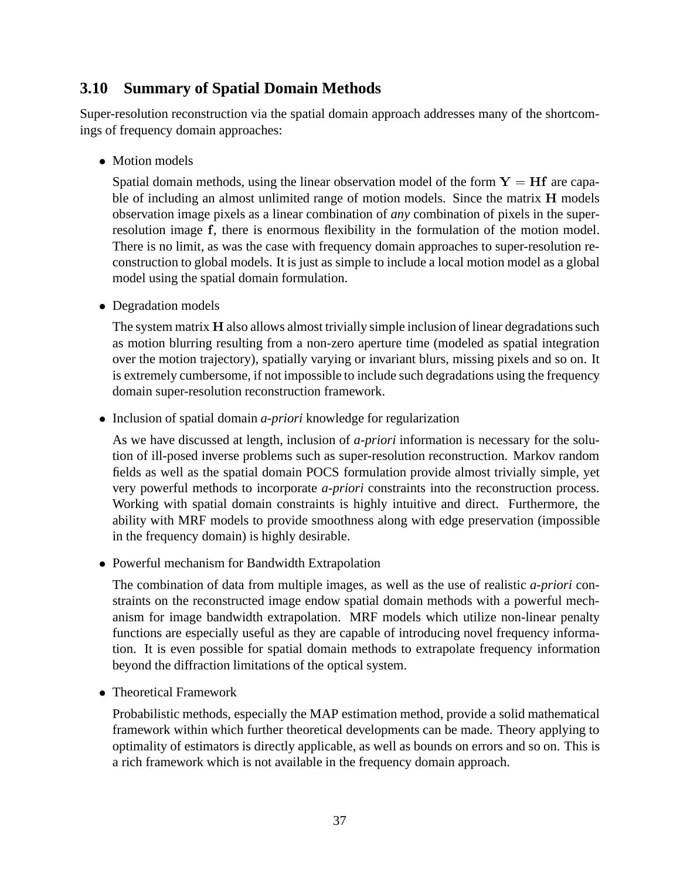### **3.10 Summary of Spatial Domain Methods**

Super-resolution reconstruction via the spatial domain approach addresses many of the shortcomings of frequency domain approaches:

Motion models

Spatial domain methods, using the linear observation model of the form  $Y = Hf$  are capable of including an almost unlimited range of motion models. Since the matrix <sup>H</sup> models observation image pixels as a linear combination of *any* combination of pixels in the superresolution image f, there is enormous flexibility in the formulation of the motion model. There is no limit, as was the case with frequency domain approaches to super-resolution reconstruction to global models. It is just as simple to include a local motion model as a global model using the spatial domain formulation.

Degradation models

The system matrix H also allows almost trivially simple inclusion of linear degradations such as motion blurring resulting from a non-zero aperture time (modeled as spatial integration over the motion trajectory), spatially varying or invariant blurs, missing pixels and so on. It is extremely cumbersome, if not impossible to include such degradations using the frequency domain super-resolution reconstruction framework.

• Inclusion of spatial domain *a-priori* knowledge for regularization

As we have discussed at length, inclusion of *a-priori* information is necessary for the solution of ill-posed inverse problems such as super-resolution reconstruction. Markov random fields as well as the spatial domain POCS formulation provide almost trivially simple, yet very powerful methods to incorporate *a-priori* constraints into the reconstruction process. Working with spatial domain constraints is highly intuitive and direct. Furthermore, the ability with MRF models to provide smoothness along with edge preservation (impossible in the frequency domain) is highly desirable.

Powerful mechanism for Bandwidth Extrapolation

The combination of data from multiple images, as well as the use of realistic *a-priori* constraints on the reconstructed image endow spatial domain methods with a powerful mechanism for image bandwidth extrapolation. MRF models which utilize non-linear penalty functions are especially useful as they are capable of introducing novel frequency information. It is even possible for spatial domain methods to extrapolate frequency information beyond the diffraction limitations of the optical system.

Theoretical Framework

Probabilistic methods, especially the MAP estimation method, provide a solid mathematical framework within which further theoretical developments can be made. Theory applying to optimality of estimators is directly applicable, as well as bounds on errors and so on. This is a rich framework which is not available in the frequency domain approach.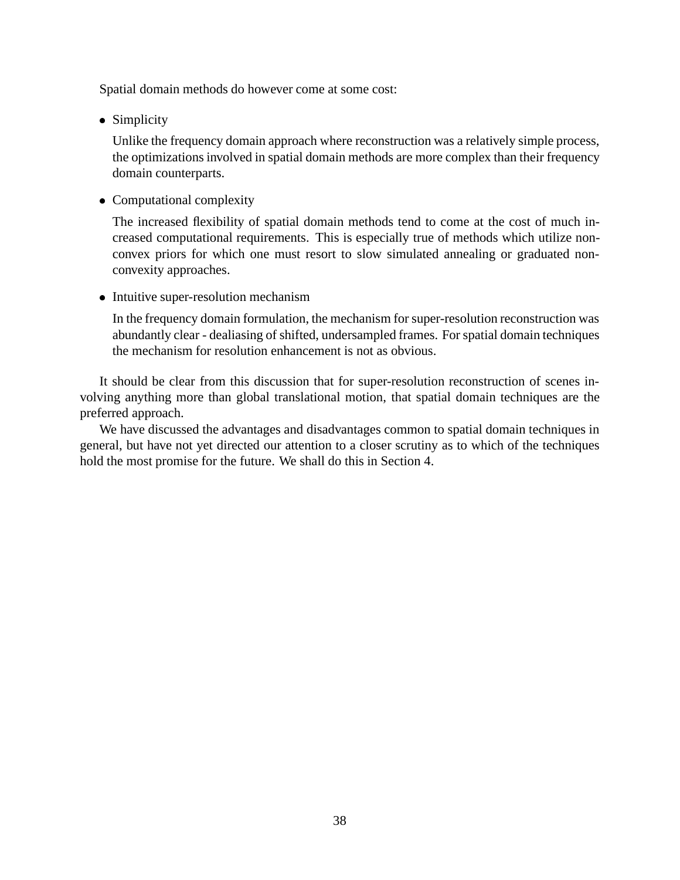Spatial domain methods do however come at some cost:

• Simplicity

Unlike the frequency domain approach where reconstruction was a relatively simple process, the optimizations involved in spatial domain methods are more complex than their frequency domain counterparts.

Computational complexity

The increased flexibility of spatial domain methods tend to come at the cost of much increased computational requirements. This is especially true of methods which utilize nonconvex priors for which one must resort to slow simulated annealing or graduated nonconvexity approaches.

• Intuitive super-resolution mechanism

In the frequency domain formulation, the mechanism for super-resolution reconstruction was abundantly clear - dealiasing of shifted, undersampled frames. For spatial domain techniques the mechanism for resolution enhancement is not as obvious.

It should be clear from this discussion that for super-resolution reconstruction of scenes involving anything more than global translational motion, that spatial domain techniques are the preferred approach.

We have discussed the advantages and disadvantages common to spatial domain techniques in general, but have not yet directed our attention to a closer scrutiny as to which of the techniques hold the most promise for the future. We shall do this in Section 4.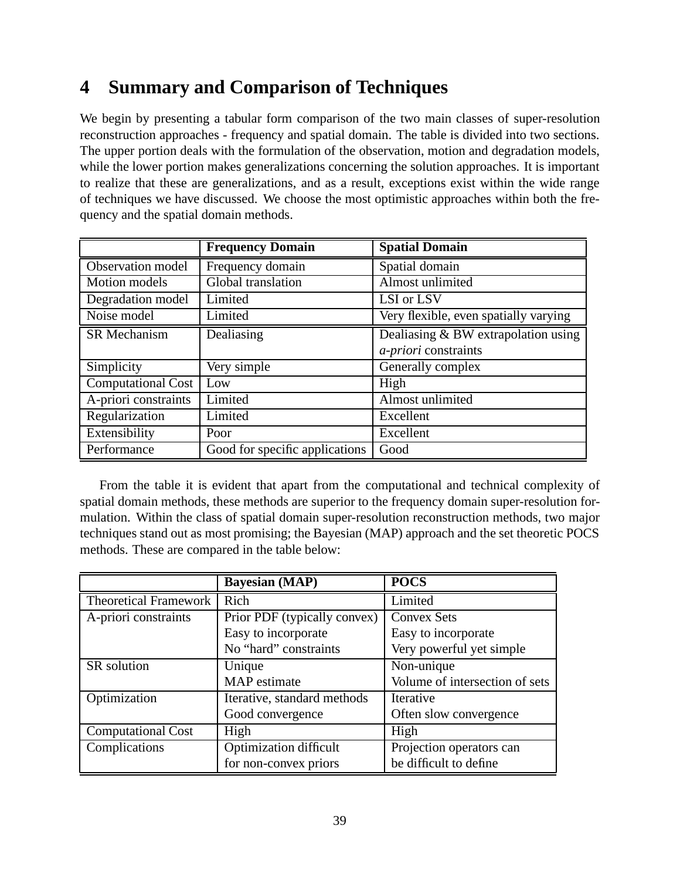## **4 Summary and Comparison of Techniques**

We begin by presenting a tabular form comparison of the two main classes of super-resolution reconstruction approaches - frequency and spatial domain. The table is divided into two sections. The upper portion deals with the formulation of the observation, motion and degradation models, while the lower portion makes generalizations concerning the solution approaches. It is important to realize that these are generalizations, and as a result, exceptions exist within the wide range of techniques we have discussed. We choose the most optimistic approaches within both the frequency and the spatial domain methods.

|                           | <b>Frequency Domain</b>        | <b>Spatial Domain</b>                 |
|---------------------------|--------------------------------|---------------------------------------|
| Observation model         | Frequency domain               | Spatial domain                        |
| <b>Motion</b> models      | Global translation             | Almost unlimited                      |
| Degradation model         | Limited                        | LSI or LSV                            |
| Noise model               | Limited                        | Very flexible, even spatially varying |
| SR Mechanism              | Dealiasing                     | Dealiasing & BW extrapolation using   |
|                           |                                | <i>a-priori</i> constraints           |
| Simplicity                | Very simple                    | Generally complex                     |
| <b>Computational Cost</b> | Low                            | High                                  |
| A-priori constraints      | Limited                        | Almost unlimited                      |
| Regularization            | Limited                        | Excellent                             |
| Extensibility             | Poor                           | Excellent                             |
| Performance               | Good for specific applications | Good                                  |

From the table it is evident that apart from the computational and technical complexity of spatial domain methods, these methods are superior to the frequency domain super-resolution formulation. Within the class of spatial domain super-resolution reconstruction methods, two major techniques stand out as most promising; the Bayesian (MAP) approach and the set theoretic POCS methods. These are compared in the table below:

|                              | <b>Bayesian (MAP)</b>         | <b>POCS</b>                    |
|------------------------------|-------------------------------|--------------------------------|
| <b>Theoretical Framework</b> | Rich                          | Limited                        |
| A-priori constraints         | Prior PDF (typically convex)  | <b>Convex Sets</b>             |
|                              | Easy to incorporate           | Easy to incorporate            |
|                              | No "hard" constraints         | Very powerful yet simple       |
| SR solution                  | Unique                        | Non-unique                     |
|                              | MAP estimate                  | Volume of intersection of sets |
| Optimization                 | Iterative, standard methods   | Iterative                      |
|                              | Good convergence              | Often slow convergence         |
| <b>Computational Cost</b>    | High                          | High                           |
| Complications                | <b>Optimization difficult</b> | Projection operators can       |
|                              | for non-convex priors         | be difficult to define         |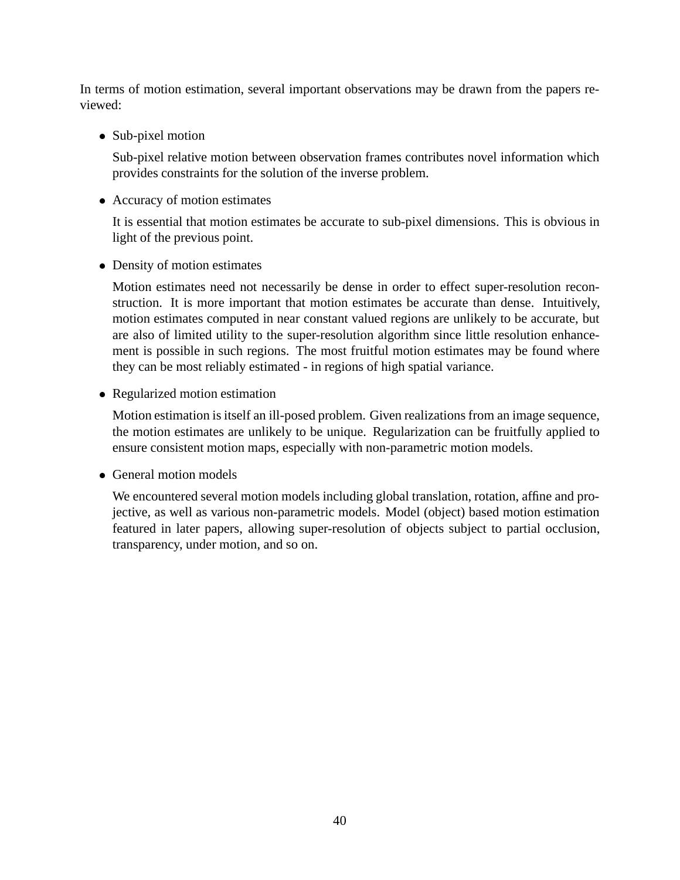In terms of motion estimation, several important observations may be drawn from the papers reviewed:

• Sub-pixel motion

Sub-pixel relative motion between observation frames contributes novel information which provides constraints for the solution of the inverse problem.

Accuracy of motion estimates

It is essential that motion estimates be accurate to sub-pixel dimensions. This is obvious in light of the previous point.

Density of motion estimates

Motion estimates need not necessarily be dense in order to effect super-resolution reconstruction. It is more important that motion estimates be accurate than dense. Intuitively, motion estimates computed in near constant valued regions are unlikely to be accurate, but are also of limited utility to the super-resolution algorithm since little resolution enhancement is possible in such regions. The most fruitful motion estimates may be found where they can be most reliably estimated - in regions of high spatial variance.

Regularized motion estimation

Motion estimation is itself an ill-posed problem. Given realizations from an image sequence, the motion estimates are unlikely to be unique. Regularization can be fruitfully applied to ensure consistent motion maps, especially with non-parametric motion models.

General motion models

We encountered several motion models including global translation, rotation, affine and projective, as well as various non-parametric models. Model (object) based motion estimation featured in later papers, allowing super-resolution of objects subject to partial occlusion, transparency, under motion, and so on.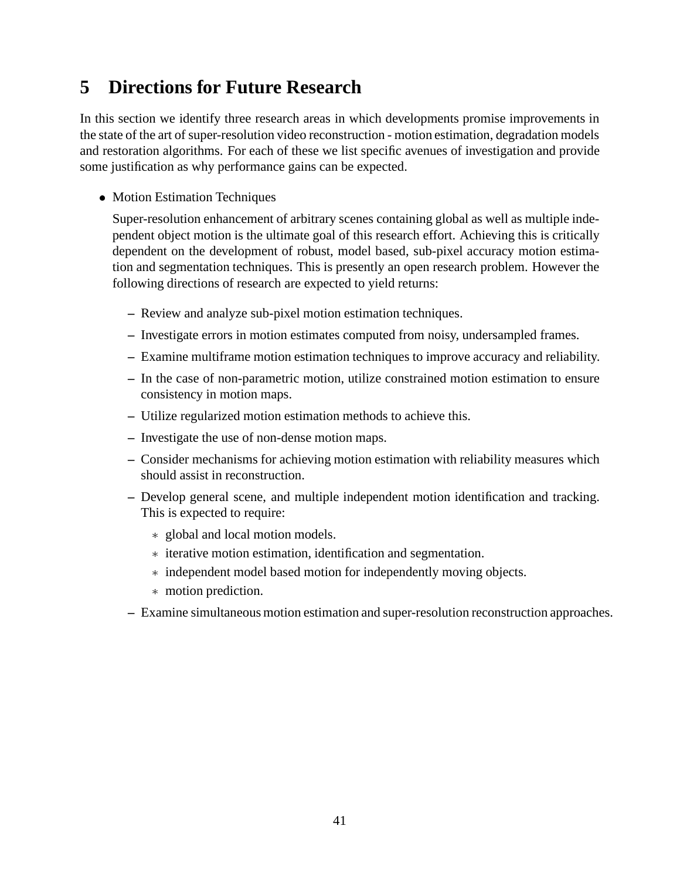## **5 Directions for Future Research**

In this section we identify three research areas in which developments promise improvements in the state of the art of super-resolution video reconstruction - motion estimation, degradation models and restoration algorithms. For each of these we list specific avenues of investigation and provide some justification as why performance gains can be expected.

• Motion Estimation Techniques

Super-resolution enhancement of arbitrary scenes containing global as well as multiple independent object motion is the ultimate goal of this research effort. Achieving this is critically dependent on the development of robust, model based, sub-pixel accuracy motion estimation and segmentation techniques. This is presently an open research problem. However the following directions of research are expected to yield returns:

- **–** Review and analyze sub-pixel motion estimation techniques.
- **–** Investigate errors in motion estimates computed from noisy, undersampled frames.
- **–** Examine multiframe motion estimation techniques to improve accuracy and reliability.
- **–** In the case of non-parametric motion, utilize constrained motion estimation to ensure consistency in motion maps.
- **–** Utilize regularized motion estimation methods to achieve this.
- **–** Investigate the use of non-dense motion maps.
- **–** Consider mechanisms for achieving motion estimation with reliability measures which should assist in reconstruction.
- **–** Develop general scene, and multiple independent motion identification and tracking. This is expected to require:
	- global and local motion models.
	- iterative motion estimation, identification and segmentation.
	- independent model based motion for independently moving objects.
	- motion prediction.
- **–** Examine simultaneous motion estimation and super-resolution reconstruction approaches.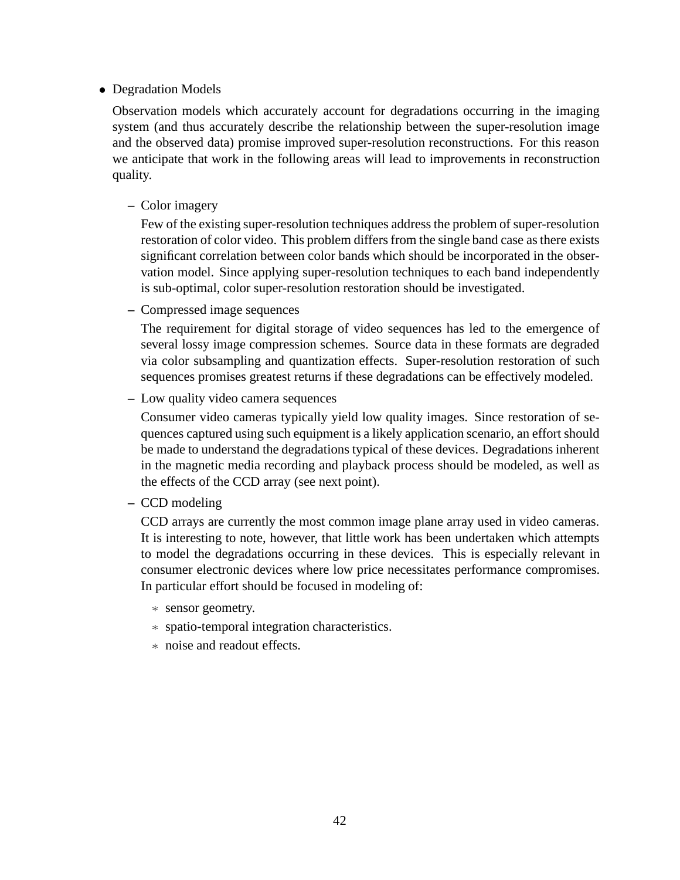#### Degradation Models

Observation models which accurately account for degradations occurring in the imaging system (and thus accurately describe the relationship between the super-resolution image and the observed data) promise improved super-resolution reconstructions. For this reason we anticipate that work in the following areas will lead to improvements in reconstruction quality.

#### **–** Color imagery

Few of the existing super-resolution techniques address the problem of super-resolution restoration of color video. This problem differs from the single band case as there exists significant correlation between color bands which should be incorporated in the observation model. Since applying super-resolution techniques to each band independently is sub-optimal, color super-resolution restoration should be investigated.

**–** Compressed image sequences

The requirement for digital storage of video sequences has led to the emergence of several lossy image compression schemes. Source data in these formats are degraded via color subsampling and quantization effects. Super-resolution restoration of such sequences promises greatest returns if these degradations can be effectively modeled.

**–** Low quality video camera sequences

Consumer video cameras typically yield low quality images. Since restoration of sequences captured using such equipment is a likely application scenario, an effort should be made to understand the degradations typical of these devices. Degradations inherent in the magnetic media recording and playback process should be modeled, as well as the effects of the CCD array (see next point).

**–** CCD modeling

CCD arrays are currently the most common image plane array used in video cameras. It is interesting to note, however, that little work has been undertaken which attempts to model the degradations occurring in these devices. This is especially relevant in consumer electronic devices where low price necessitates performance compromises. In particular effort should be focused in modeling of:

- sensor geometry.
- spatio-temporal integration characteristics.
- noise and readout effects.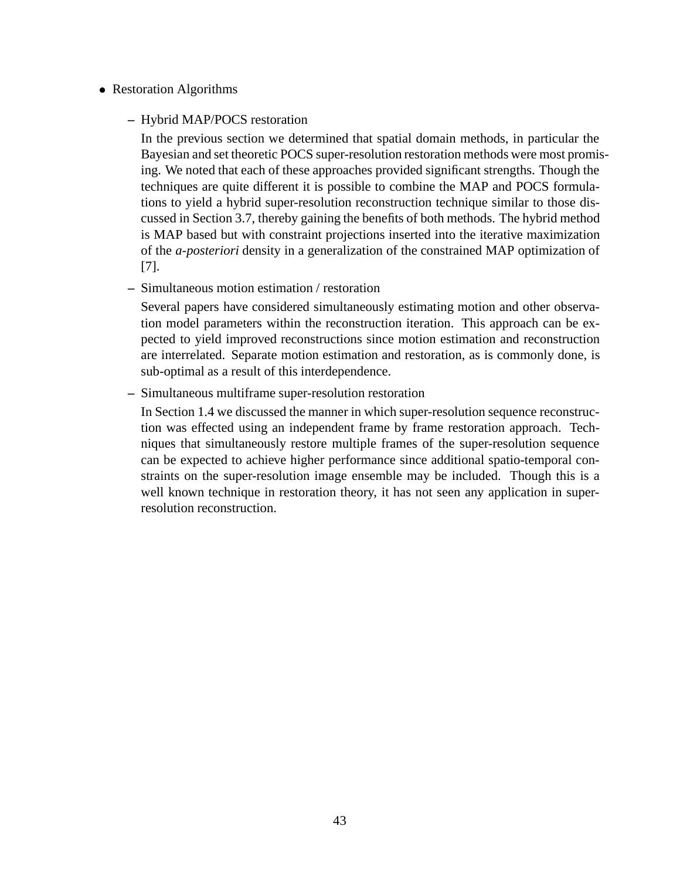#### Restoration Algorithms

#### **–** Hybrid MAP/POCS restoration

In the previous section we determined that spatial domain methods, in particular the Bayesian and set theoretic POCS super-resolution restoration methods were most promising. We noted that each of these approaches provided significant strengths. Though the techniques are quite different it is possible to combine the MAP and POCS formulations to yield a hybrid super-resolution reconstruction technique similar to those discussed in Section 3.7, thereby gaining the benefits of both methods. The hybrid method is MAP based but with constraint projections inserted into the iterative maximization of the *a-posteriori* density in a generalization of the constrained MAP optimization of [7].

#### **–** Simultaneous motion estimation / restoration

Several papers have considered simultaneously estimating motion and other observation model parameters within the reconstruction iteration. This approach can be expected to yield improved reconstructions since motion estimation and reconstruction are interrelated. Separate motion estimation and restoration, as is commonly done, is sub-optimal as a result of this interdependence.

#### **–** Simultaneous multiframe super-resolution restoration

In Section 1.4 we discussed the manner in which super-resolution sequence reconstruction was effected using an independent frame by frame restoration approach. Techniques that simultaneously restore multiple frames of the super-resolution sequence can be expected to achieve higher performance since additional spatio-temporal constraints on the super-resolution image ensemble may be included. Though this is a well known technique in restoration theory, it has not seen any application in superresolution reconstruction.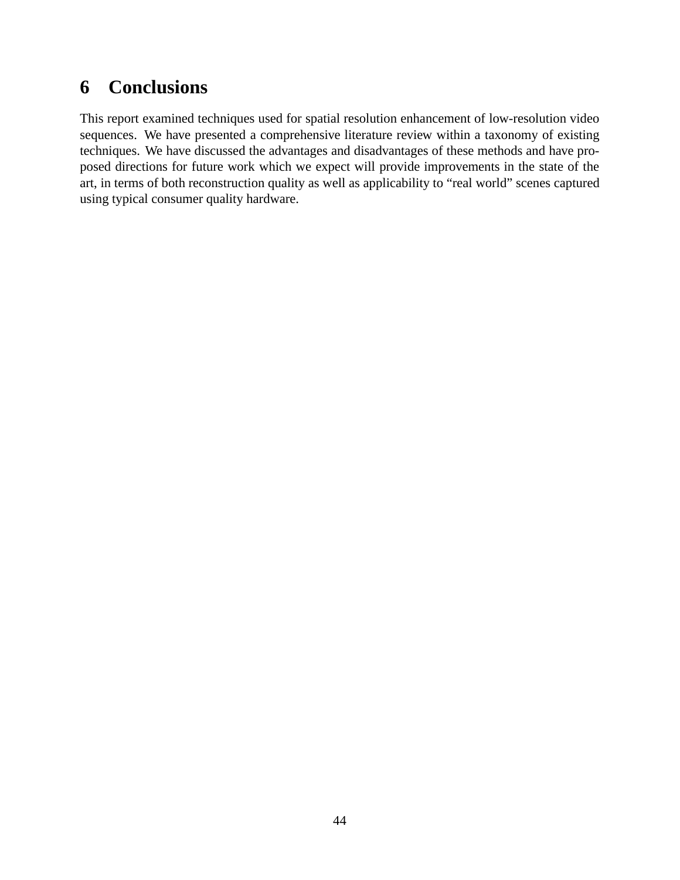## **6 Conclusions**

This report examined techniques used for spatial resolution enhancement of low-resolution video sequences. We have presented a comprehensive literature review within a taxonomy of existing techniques. We have discussed the advantages and disadvantages of these methods and have proposed directions for future work which we expect will provide improvements in the state of the art, in terms of both reconstruction quality as well as applicability to "real world" scenes captured using typical consumer quality hardware.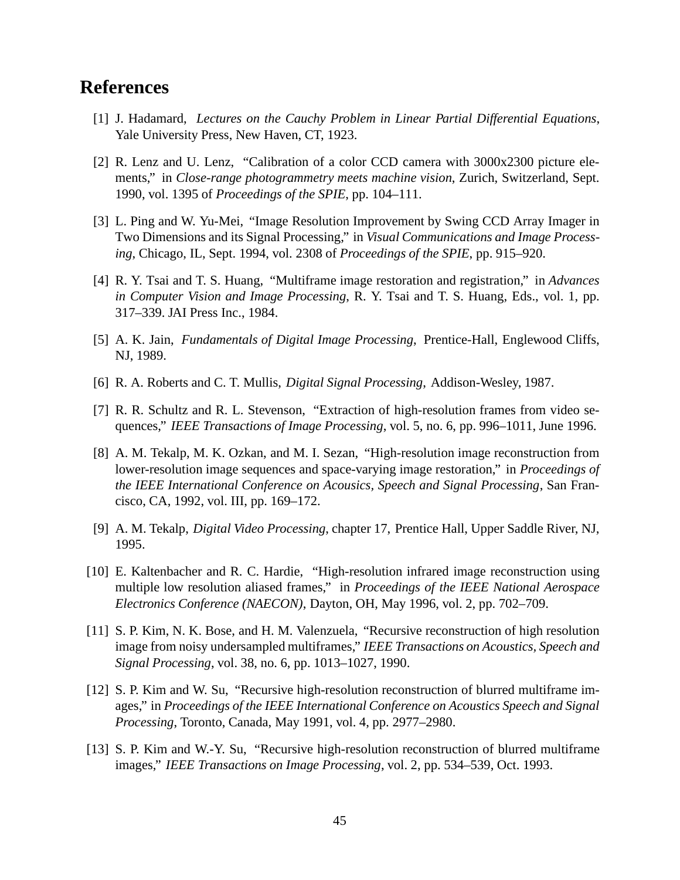## **References**

- [1] J. Hadamard, *Lectures on the Cauchy Problem in Linear Partial Differential Equations*, Yale University Press, New Haven, CT, 1923.
- [2] R. Lenz and U. Lenz, "Calibration of a color CCD camera with 3000x2300 picture elements," in *Close-range photogrammetry meets machine vision*, Zurich, Switzerland, Sept. 1990, vol. 1395 of *Proceedings of the SPIE*, pp. 104–111.
- [3] L. Ping and W. Yu-Mei, "Image Resolution Improvement by Swing CCD Array Imager in Two Dimensions and its Signal Processing," in *Visual Communications and Image Processing*, Chicago, IL, Sept. 1994, vol. 2308 of *Proceedings of the SPIE*, pp. 915–920.
- [4] R. Y. Tsai and T. S. Huang, "Multiframe image restoration and registration," in *Advances in Computer Vision and Image Processing*, R. Y. Tsai and T. S. Huang, Eds., vol. 1, pp. 317–339. JAI Press Inc., 1984.
- [5] A. K. Jain, *Fundamentals of Digital Image Processing*, Prentice-Hall, Englewood Cliffs, NJ, 1989.
- [6] R. A. Roberts and C. T. Mullis, *Digital Signal Processing*, Addison-Wesley, 1987.
- [7] R. R. Schultz and R. L. Stevenson, "Extraction of high-resolution frames from video sequences," *IEEE Transactions of Image Processing*, vol. 5, no. 6, pp. 996–1011, June 1996.
- [8] A. M. Tekalp, M. K. Ozkan, and M. I. Sezan, "High-resolution image reconstruction from lower-resolution image sequences and space-varying image restoration," in *Proceedings of the IEEE International Conference on Acousics, Speech and Signal Processing*, San Francisco, CA, 1992, vol. III, pp. 169–172.
- [9] A. M. Tekalp, *Digital Video Processing*, chapter 17, Prentice Hall, Upper Saddle River, NJ, 1995.
- [10] E. Kaltenbacher and R. C. Hardie, "High-resolution infrared image reconstruction using multiple low resolution aliased frames," in *Proceedings of the IEEE National Aerospace Electronics Conference (NAECON)*, Dayton, OH, May 1996, vol. 2, pp. 702–709.
- [11] S. P. Kim, N. K. Bose, and H. M. Valenzuela, "Recursive reconstruction of high resolution image from noisy undersampled multiframes," *IEEE Transactions on Acoustics, Speech and Signal Processing*, vol. 38, no. 6, pp. 1013–1027, 1990.
- [12] S. P. Kim and W. Su, "Recursive high-resolution reconstruction of blurred multiframe images," in *Proceedings of the IEEE International Conference on Acoustics Speech and Signal Processing*, Toronto, Canada, May 1991, vol. 4, pp. 2977–2980.
- [13] S. P. Kim and W.-Y. Su, "Recursive high-resolution reconstruction of blurred multiframe images," *IEEE Transactions on Image Processing*, vol. 2, pp. 534–539, Oct. 1993.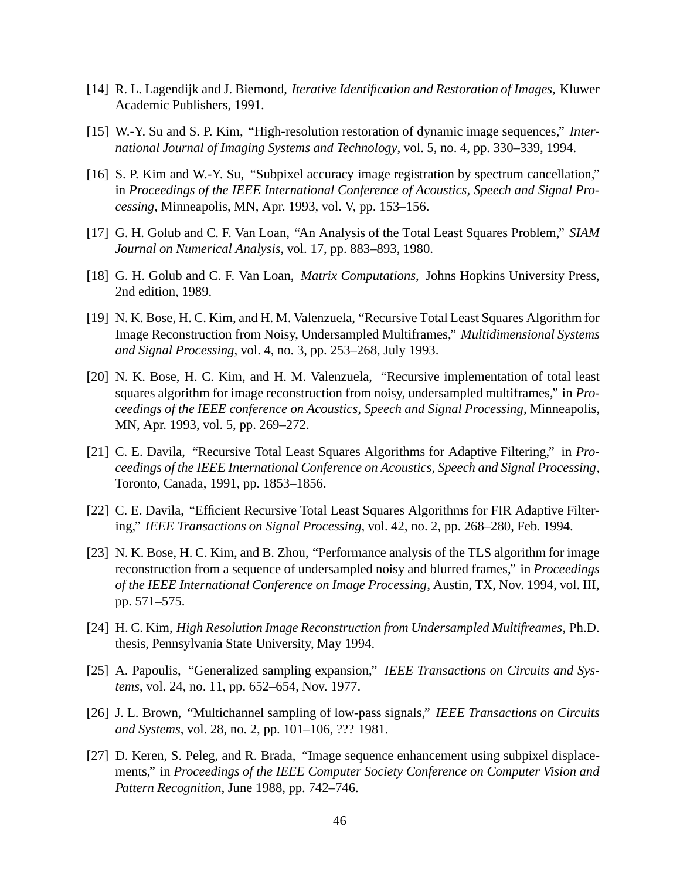- [14] R. L. Lagendijk and J. Biemond, *Iterative Identification and Restoration of Images*, Kluwer Academic Publishers, 1991.
- [15] W.-Y. Su and S. P. Kim, "High-resolution restoration of dynamic image sequences," *International Journal of Imaging Systems and Technology*, vol. 5, no. 4, pp. 330–339, 1994.
- [16] S. P. Kim and W.-Y. Su, "Subpixel accuracy image registration by spectrum cancellation," in *Proceedings of the IEEE International Conference of Acoustics, Speech and Signal Processing*, Minneapolis, MN, Apr. 1993, vol. V, pp. 153–156.
- [17] G. H. Golub and C. F. Van Loan, "An Analysis of the Total Least Squares Problem," *SIAM Journal on Numerical Analysis*, vol. 17, pp. 883–893, 1980.
- [18] G. H. Golub and C. F. Van Loan, *Matrix Computations*, Johns Hopkins University Press, 2nd edition, 1989.
- [19] N. K. Bose, H. C. Kim, and H. M. Valenzuela, "Recursive Total Least Squares Algorithm for Image Reconstruction from Noisy, Undersampled Multiframes," *Multidimensional Systems and Signal Processing*, vol. 4, no. 3, pp. 253–268, July 1993.
- [20] N. K. Bose, H. C. Kim, and H. M. Valenzuela, "Recursive implementation of total least squares algorithm for image reconstruction from noisy, undersampled multiframes," in *Proceedings of the IEEE conference on Acoustics, Speech and Signal Processing*, Minneapolis, MN, Apr. 1993, vol. 5, pp. 269–272.
- [21] C. E. Davila, "Recursive Total Least Squares Algorithms for Adaptive Filtering," in *Proceedings of the IEEE International Conference on Acoustics, Speech and Signal Processing*, Toronto, Canada, 1991, pp. 1853–1856.
- [22] C. E. Davila, "Efficient Recursive Total Least Squares Algorithms for FIR Adaptive Filtering," *IEEE Transactions on Signal Processing*, vol. 42, no. 2, pp. 268–280, Feb. 1994.
- [23] N. K. Bose, H. C. Kim, and B. Zhou, "Performance analysis of the TLS algorithm for image reconstruction from a sequence of undersampled noisy and blurred frames," in *Proceedings of the IEEE International Conference on Image Processing*, Austin, TX, Nov. 1994, vol. III, pp. 571–575.
- [24] H. C. Kim, *High Resolution Image Reconstruction from Undersampled Multifreames*, Ph.D. thesis, Pennsylvania State University, May 1994.
- [25] A. Papoulis, "Generalized sampling expansion," *IEEE Transactions on Circuits and Systems*, vol. 24, no. 11, pp. 652–654, Nov. 1977.
- [26] J. L. Brown, "Multichannel sampling of low-pass signals," *IEEE Transactions on Circuits and Systems*, vol. 28, no. 2, pp. 101–106, ??? 1981.
- [27] D. Keren, S. Peleg, and R. Brada, "Image sequence enhancement using subpixel displacements," in *Proceedings of the IEEE Computer Society Conference on Computer Vision and Pattern Recognition*, June 1988, pp. 742–746.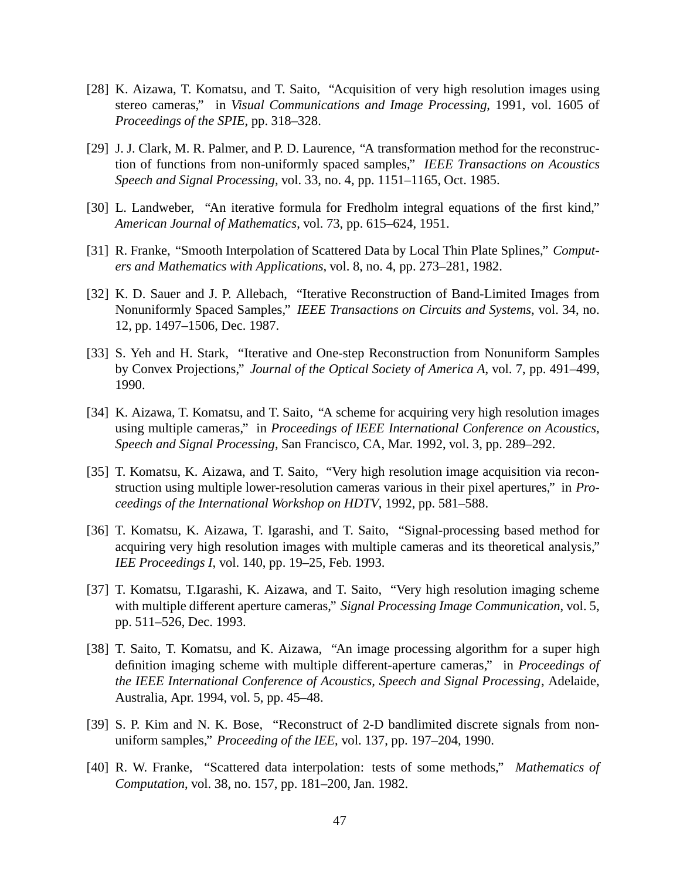- [28] K. Aizawa, T. Komatsu, and T. Saito, "Acquisition of very high resolution images using stereo cameras," in *Visual Communications and Image Processing*, 1991, vol. 1605 of *Proceedings of the SPIE*, pp. 318–328.
- [29] J. J. Clark, M. R. Palmer, and P. D. Laurence, "A transformation method for the reconstruction of functions from non-uniformly spaced samples," *IEEE Transactions on Acoustics Speech and Signal Processing*, vol. 33, no. 4, pp. 1151–1165, Oct. 1985.
- [30] L. Landweber, "An iterative formula for Fredholm integral equations of the first kind," *American Journal of Mathematics*, vol. 73, pp. 615–624, 1951.
- [31] R. Franke, "Smooth Interpolation of Scattered Data by Local Thin Plate Splines," *Computers and Mathematics with Applications*, vol. 8, no. 4, pp. 273–281, 1982.
- [32] K. D. Sauer and J. P. Allebach, "Iterative Reconstruction of Band-Limited Images from Nonuniformly Spaced Samples," *IEEE Transactions on Circuits and Systems*, vol. 34, no. 12, pp. 1497–1506, Dec. 1987.
- [33] S. Yeh and H. Stark, "Iterative and One-step Reconstruction from Nonuniform Samples by Convex Projections," *Journal of the Optical Society of America A*, vol. 7, pp. 491–499, 1990.
- [34] K. Aizawa, T. Komatsu, and T. Saito, "A scheme for acquiring very high resolution images using multiple cameras," in *Proceedings of IEEE International Conference on Acoustics, Speech and Signal Processing*, San Francisco, CA, Mar. 1992, vol. 3, pp. 289–292.
- [35] T. Komatsu, K. Aizawa, and T. Saito, "Very high resolution image acquisition via reconstruction using multiple lower-resolution cameras various in their pixel apertures," in *Proceedings of the International Workshop on HDTV*, 1992, pp. 581–588.
- [36] T. Komatsu, K. Aizawa, T. Igarashi, and T. Saito, "Signal-processing based method for acquiring very high resolution images with multiple cameras and its theoretical analysis," *IEE Proceedings I*, vol. 140, pp. 19–25, Feb. 1993.
- [37] T. Komatsu, T.Igarashi, K. Aizawa, and T. Saito, "Very high resolution imaging scheme with multiple different aperture cameras," *Signal Processing Image Communication*, vol. 5, pp. 511–526, Dec. 1993.
- [38] T. Saito, T. Komatsu, and K. Aizawa, "An image processing algorithm for a super high definition imaging scheme with multiple different-aperture cameras," in *Proceedings of the IEEE International Conference of Acoustics, Speech and Signal Processing*, Adelaide, Australia, Apr. 1994, vol. 5, pp. 45–48.
- [39] S. P. Kim and N. K. Bose, "Reconstruct of 2-D bandlimited discrete signals from nonuniform samples," *Proceeding of the IEE*, vol. 137, pp. 197–204, 1990.
- [40] R. W. Franke, "Scattered data interpolation: tests of some methods," *Mathematics of Computation*, vol. 38, no. 157, pp. 181–200, Jan. 1982.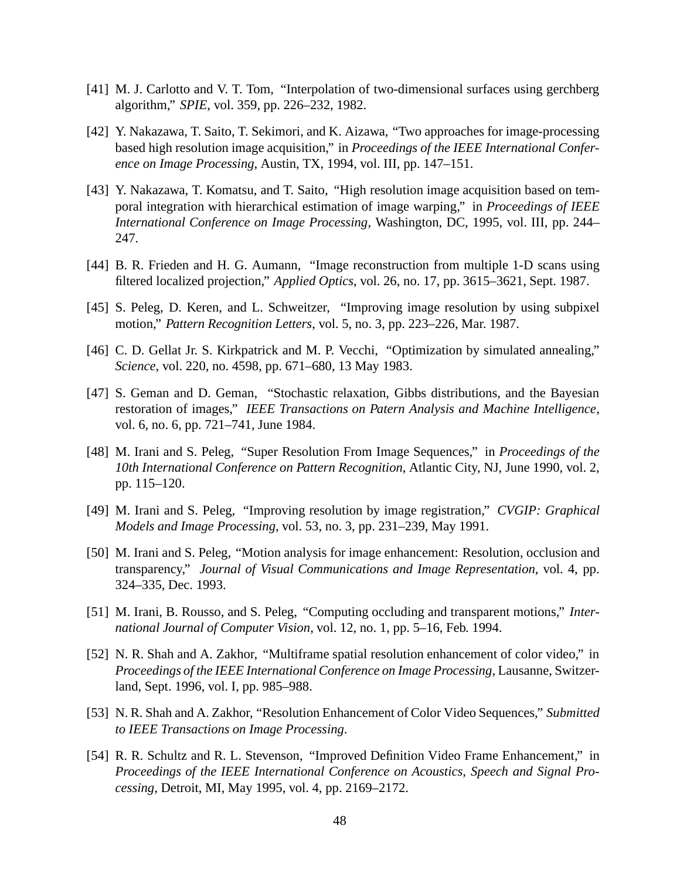- [41] M. J. Carlotto and V. T. Tom, "Interpolation of two-dimensional surfaces using gerchberg algorithm," *SPIE*, vol. 359, pp. 226–232, 1982.
- [42] Y. Nakazawa, T. Saito, T. Sekimori, and K. Aizawa, "Two approaches for image-processing based high resolution image acquisition," in *Proceedings of the IEEE International Conference on Image Processing*, Austin, TX, 1994, vol. III, pp. 147–151.
- [43] Y. Nakazawa, T. Komatsu, and T. Saito, "High resolution image acquisition based on temporal integration with hierarchical estimation of image warping," in *Proceedings of IEEE International Conference on Image Processing*, Washington, DC, 1995, vol. III, pp. 244– 247.
- [44] B. R. Frieden and H. G. Aumann, "Image reconstruction from multiple 1-D scans using filtered localized projection," *Applied Optics*, vol. 26, no. 17, pp. 3615–3621, Sept. 1987.
- [45] S. Peleg, D. Keren, and L. Schweitzer, "Improving image resolution by using subpixel motion," *Pattern Recognition Letters*, vol. 5, no. 3, pp. 223–226, Mar. 1987.
- [46] C. D. Gellat Jr. S. Kirkpatrick and M. P. Vecchi, "Optimization by simulated annealing," *Science*, vol. 220, no. 4598, pp. 671–680, 13 May 1983.
- [47] S. Geman and D. Geman, "Stochastic relaxation, Gibbs distributions, and the Bayesian restoration of images," *IEEE Transactions on Patern Analysis and Machine Intelligence*, vol. 6, no. 6, pp. 721–741, June 1984.
- [48] M. Irani and S. Peleg, "Super Resolution From Image Sequences," in *Proceedings of the 10th International Conference on Pattern Recognition*, Atlantic City, NJ, June 1990, vol. 2, pp. 115–120.
- [49] M. Irani and S. Peleg, "Improving resolution by image registration," *CVGIP: Graphical Models and Image Processing*, vol. 53, no. 3, pp. 231–239, May 1991.
- [50] M. Irani and S. Peleg, "Motion analysis for image enhancement: Resolution, occlusion and transparency," *Journal of Visual Communications and Image Representation*, vol. 4, pp. 324–335, Dec. 1993.
- [51] M. Irani, B. Rousso, and S. Peleg, "Computing occluding and transparent motions," *International Journal of Computer Vision*, vol. 12, no. 1, pp. 5–16, Feb. 1994.
- [52] N. R. Shah and A. Zakhor, "Multiframe spatial resolution enhancement of color video," in *Proceedings of the IEEE International Conference on Image Processing*, Lausanne, Switzerland, Sept. 1996, vol. I, pp. 985–988.
- [53] N. R. Shah and A. Zakhor, "Resolution Enhancement of Color Video Sequences," *Submitted to IEEE Transactions on Image Processing*.
- [54] R. R. Schultz and R. L. Stevenson, "Improved Definition Video Frame Enhancement," in *Proceedings of the IEEE International Conference on Acoustics, Speech and Signal Processing*, Detroit, MI, May 1995, vol. 4, pp. 2169–2172.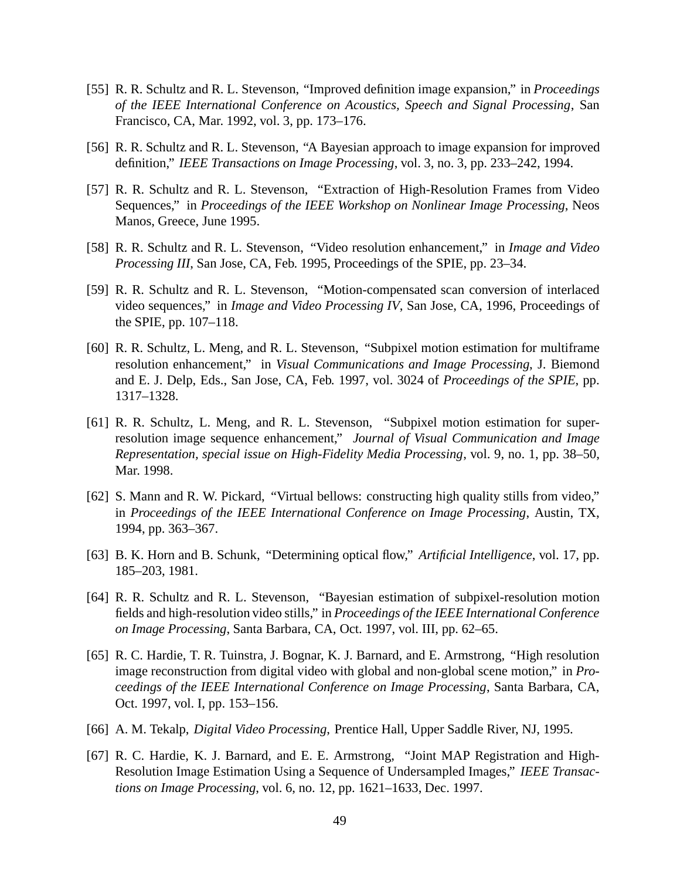- [55] R. R. Schultz and R. L. Stevenson, "Improved definition image expansion," in *Proceedings of the IEEE International Conference on Acoustics, Speech and Signal Processing*, San Francisco, CA, Mar. 1992, vol. 3, pp. 173–176.
- [56] R. R. Schultz and R. L. Stevenson, "A Bayesian approach to image expansion for improved definition," *IEEE Transactions on Image Processing*, vol. 3, no. 3, pp. 233–242, 1994.
- [57] R. R. Schultz and R. L. Stevenson, "Extraction of High-Resolution Frames from Video Sequences," in *Proceedings of the IEEE Workshop on Nonlinear Image Processing*, Neos Manos, Greece, June 1995.
- [58] R. R. Schultz and R. L. Stevenson, "Video resolution enhancement," in *Image and Video Processing III*, San Jose, CA, Feb. 1995, Proceedings of the SPIE, pp. 23–34.
- [59] R. R. Schultz and R. L. Stevenson, "Motion-compensated scan conversion of interlaced video sequences," in *Image and Video Processing IV*, San Jose, CA, 1996, Proceedings of the SPIE, pp. 107–118.
- [60] R. R. Schultz, L. Meng, and R. L. Stevenson, "Subpixel motion estimation for multiframe resolution enhancement," in *Visual Communications and Image Processing*, J. Biemond and E. J. Delp, Eds., San Jose, CA, Feb. 1997, vol. 3024 of *Proceedings of the SPIE*, pp. 1317–1328.
- [61] R. R. Schultz, L. Meng, and R. L. Stevenson, "Subpixel motion estimation for superresolution image sequence enhancement," *Journal of Visual Communication and Image Representation, special issue on High-Fidelity Media Processing*, vol. 9, no. 1, pp. 38–50, Mar. 1998.
- [62] S. Mann and R. W. Pickard, "Virtual bellows: constructing high quality stills from video," in *Proceedings of the IEEE International Conference on Image Processing*, Austin, TX, 1994, pp. 363–367.
- [63] B. K. Horn and B. Schunk, "Determining optical flow," *Artificial Intelligence*, vol. 17, pp. 185–203, 1981.
- [64] R. R. Schultz and R. L. Stevenson, "Bayesian estimation of subpixel-resolution motion fields and high-resolution video stills," in *Proceedings of the IEEE International Conference on Image Processing*, Santa Barbara, CA, Oct. 1997, vol. III, pp. 62–65.
- [65] R. C. Hardie, T. R. Tuinstra, J. Bognar, K. J. Barnard, and E. Armstrong, "High resolution image reconstruction from digital video with global and non-global scene motion," in *Proceedings of the IEEE International Conference on Image Processing*, Santa Barbara, CA, Oct. 1997, vol. I, pp. 153–156.
- [66] A. M. Tekalp, *Digital Video Processing*, Prentice Hall, Upper Saddle River, NJ, 1995.
- [67] R. C. Hardie, K. J. Barnard, and E. E. Armstrong, "Joint MAP Registration and High-Resolution Image Estimation Using a Sequence of Undersampled Images," *IEEE Transactions on Image Processing*, vol. 6, no. 12, pp. 1621–1633, Dec. 1997.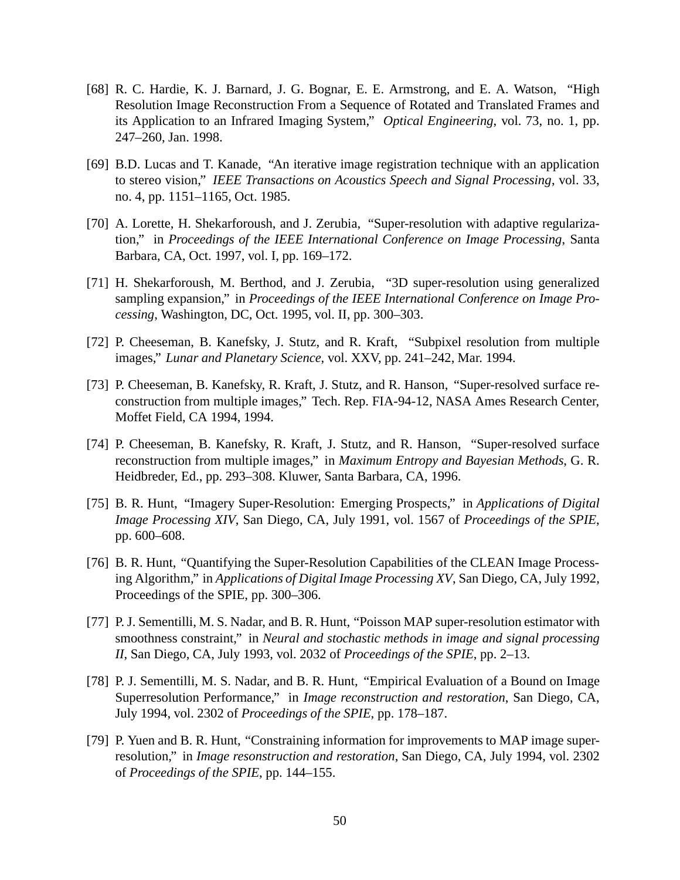- [68] R. C. Hardie, K. J. Barnard, J. G. Bognar, E. E. Armstrong, and E. A. Watson, "High Resolution Image Reconstruction From a Sequence of Rotated and Translated Frames and its Application to an Infrared Imaging System," *Optical Engineering*, vol. 73, no. 1, pp. 247–260, Jan. 1998.
- [69] B.D. Lucas and T. Kanade, "An iterative image registration technique with an application to stereo vision," *IEEE Transactions on Acoustics Speech and Signal Processing*, vol. 33, no. 4, pp. 1151–1165, Oct. 1985.
- [70] A. Lorette, H. Shekarforoush, and J. Zerubia, "Super-resolution with adaptive regularization," in *Proceedings of the IEEE International Conference on Image Processing*, Santa Barbara, CA, Oct. 1997, vol. I, pp. 169–172.
- [71] H. Shekarforoush, M. Berthod, and J. Zerubia, "3D super-resolution using generalized sampling expansion," in *Proceedings of the IEEE International Conference on Image Processing*, Washington, DC, Oct. 1995, vol. II, pp. 300–303.
- [72] P. Cheeseman, B. Kanefsky, J. Stutz, and R. Kraft, "Subpixel resolution from multiple images," *Lunar and Planetary Science*, vol. XXV, pp. 241–242, Mar. 1994.
- [73] P. Cheeseman, B. Kanefsky, R. Kraft, J. Stutz, and R. Hanson, "Super-resolved surface reconstruction from multiple images," Tech. Rep. FIA-94-12, NASA Ames Research Center, Moffet Field, CA 1994, 1994.
- [74] P. Cheeseman, B. Kanefsky, R. Kraft, J. Stutz, and R. Hanson, "Super-resolved surface reconstruction from multiple images," in *Maximum Entropy and Bayesian Methods*, G. R. Heidbreder, Ed., pp. 293–308. Kluwer, Santa Barbara, CA, 1996.
- [75] B. R. Hunt, "Imagery Super-Resolution: Emerging Prospects," in *Applications of Digital Image Processing XIV*, San Diego, CA, July 1991, vol. 1567 of *Proceedings of the SPIE*, pp. 600–608.
- [76] B. R. Hunt, "Quantifying the Super-Resolution Capabilities of the CLEAN Image Processing Algorithm," in *Applications of Digital Image Processing XV*, San Diego, CA, July 1992, Proceedings of the SPIE, pp. 300–306.
- [77] P. J. Sementilli, M. S. Nadar, and B. R. Hunt, "Poisson MAP super-resolution estimator with smoothness constraint," in *Neural and stochastic methods in image and signal processing II*, San Diego, CA, July 1993, vol. 2032 of *Proceedings of the SPIE*, pp. 2–13.
- [78] P. J. Sementilli, M. S. Nadar, and B. R. Hunt, "Empirical Evaluation of a Bound on Image Superresolution Performance," in *Image reconstruction and restoration*, San Diego, CA, July 1994, vol. 2302 of *Proceedings of the SPIE*, pp. 178–187.
- [79] P. Yuen and B. R. Hunt, "Constraining information for improvements to MAP image superresolution," in *Image resonstruction and restoration*, San Diego, CA, July 1994, vol. 2302 of *Proceedings of the SPIE*, pp. 144–155.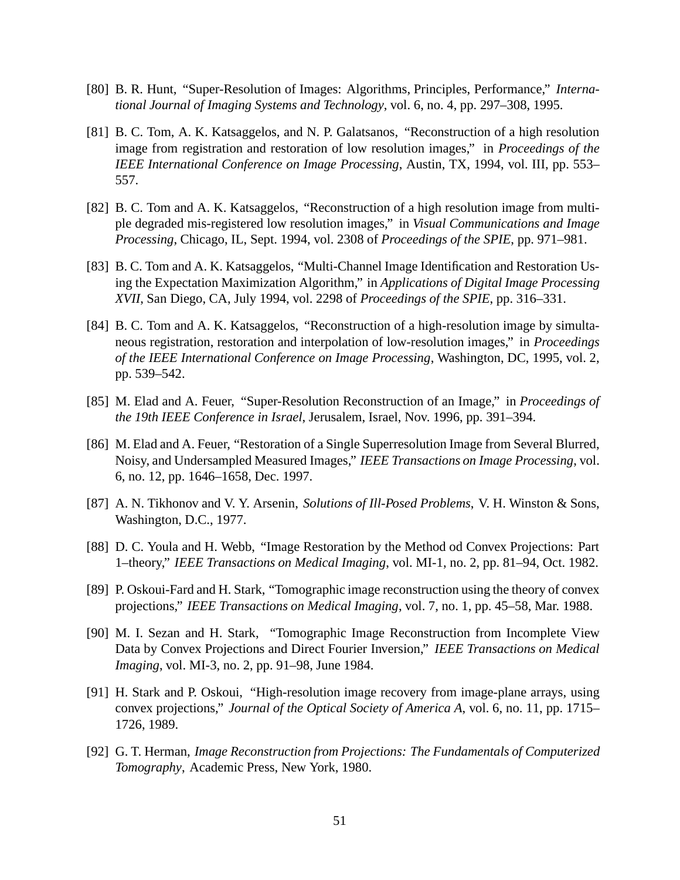- [80] B. R. Hunt, "Super-Resolution of Images: Algorithms, Principles, Performance," *International Journal of Imaging Systems and Technology*, vol. 6, no. 4, pp. 297–308, 1995.
- [81] B. C. Tom, A. K. Katsaggelos, and N. P. Galatsanos, "Reconstruction of a high resolution image from registration and restoration of low resolution images," in *Proceedings of the IEEE International Conference on Image Processing*, Austin, TX, 1994, vol. III, pp. 553– 557.
- [82] B. C. Tom and A. K. Katsaggelos, "Reconstruction of a high resolution image from multiple degraded mis-registered low resolution images," in *Visual Communications and Image Processing*, Chicago, IL, Sept. 1994, vol. 2308 of *Proceedings of the SPIE*, pp. 971–981.
- [83] B. C. Tom and A. K. Katsaggelos, "Multi-Channel Image Identification and Restoration Using the Expectation Maximization Algorithm," in *Applications of Digital Image Processing XVII*, San Diego, CA, July 1994, vol. 2298 of *Proceedings of the SPIE*, pp. 316–331.
- [84] B. C. Tom and A. K. Katsaggelos, "Reconstruction of a high-resolution image by simultaneous registration, restoration and interpolation of low-resolution images," in *Proceedings of the IEEE International Conference on Image Processing*, Washington, DC, 1995, vol. 2, pp. 539–542.
- [85] M. Elad and A. Feuer, "Super-Resolution Reconstruction of an Image," in *Proceedings of the 19th IEEE Conference in Israel*, Jerusalem, Israel, Nov. 1996, pp. 391–394.
- [86] M. Elad and A. Feuer, "Restoration of a Single Superresolution Image from Several Blurred, Noisy, and Undersampled Measured Images," *IEEE Transactions on Image Processing*, vol. 6, no. 12, pp. 1646–1658, Dec. 1997.
- [87] A. N. Tikhonov and V. Y. Arsenin, *Solutions of Ill-Posed Problems*, V. H. Winston & Sons, Washington, D.C., 1977.
- [88] D. C. Youla and H. Webb, "Image Restoration by the Method od Convex Projections: Part 1–theory," *IEEE Transactions on Medical Imaging*, vol. MI-1, no. 2, pp. 81–94, Oct. 1982.
- [89] P. Oskoui-Fard and H. Stark, "Tomographic image reconstruction using the theory of convex projections," *IEEE Transactions on Medical Imaging*, vol. 7, no. 1, pp. 45–58, Mar. 1988.
- [90] M. I. Sezan and H. Stark, "Tomographic Image Reconstruction from Incomplete View Data by Convex Projections and Direct Fourier Inversion," *IEEE Transactions on Medical Imaging*, vol. MI-3, no. 2, pp. 91–98, June 1984.
- [91] H. Stark and P. Oskoui, "High-resolution image recovery from image-plane arrays, using convex projections," *Journal of the Optical Society of America A*, vol. 6, no. 11, pp. 1715– 1726, 1989.
- [92] G. T. Herman, *Image Reconstruction from Projections: The Fundamentals of Computerized Tomography*, Academic Press, New York, 1980.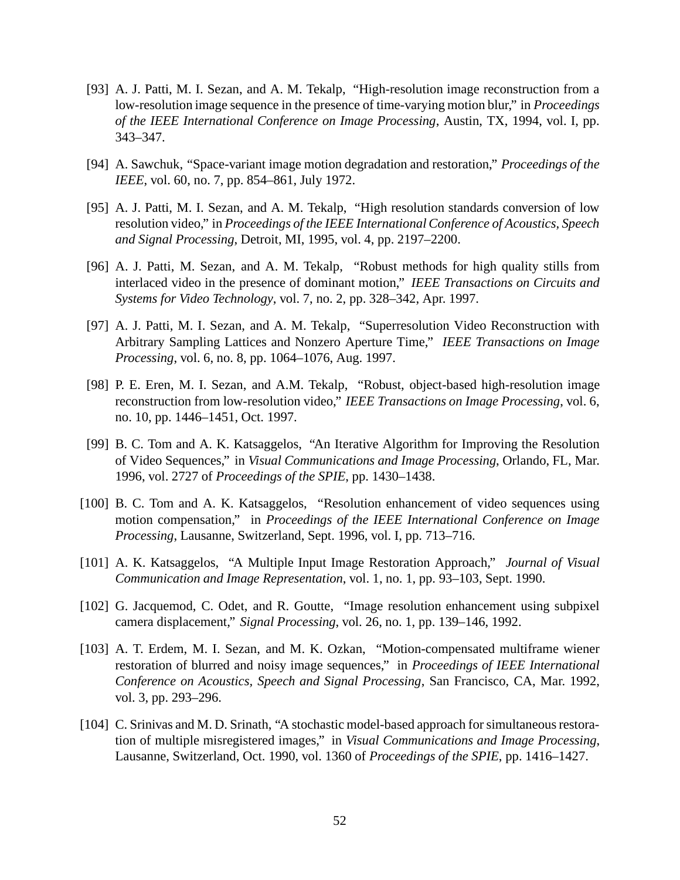- [93] A. J. Patti, M. I. Sezan, and A. M. Tekalp, "High-resolution image reconstruction from a low-resolution image sequence in the presence of time-varying motion blur," in *Proceedings of the IEEE International Conference on Image Processing*, Austin, TX, 1994, vol. I, pp. 343–347.
- [94] A. Sawchuk, "Space-variant image motion degradation and restoration," *Proceedings of the IEEE*, vol. 60, no. 7, pp. 854–861, July 1972.
- [95] A. J. Patti, M. I. Sezan, and A. M. Tekalp, "High resolution standards conversion of low resolution video," in *Proceedings of the IEEE International Conference of Acoustics, Speech and Signal Processing*, Detroit, MI, 1995, vol. 4, pp. 2197–2200.
- [96] A. J. Patti, M. Sezan, and A. M. Tekalp, "Robust methods for high quality stills from interlaced video in the presence of dominant motion," *IEEE Transactions on Circuits and Systems for Video Technology*, vol. 7, no. 2, pp. 328–342, Apr. 1997.
- [97] A. J. Patti, M. I. Sezan, and A. M. Tekalp, "Superresolution Video Reconstruction with Arbitrary Sampling Lattices and Nonzero Aperture Time," *IEEE Transactions on Image Processing*, vol. 6, no. 8, pp. 1064–1076, Aug. 1997.
- [98] P. E. Eren, M. I. Sezan, and A.M. Tekalp, "Robust, object-based high-resolution image reconstruction from low-resolution video," *IEEE Transactions on Image Processing*, vol. 6, no. 10, pp. 1446–1451, Oct. 1997.
- [99] B. C. Tom and A. K. Katsaggelos, "An Iterative Algorithm for Improving the Resolution of Video Sequences," in *Visual Communications and Image Processing*, Orlando, FL, Mar. 1996, vol. 2727 of *Proceedings of the SPIE*, pp. 1430–1438.
- [100] B. C. Tom and A. K. Katsaggelos, "Resolution enhancement of video sequences using motion compensation," in *Proceedings of the IEEE International Conference on Image Processing*, Lausanne, Switzerland, Sept. 1996, vol. I, pp. 713–716.
- [101] A. K. Katsaggelos, "A Multiple Input Image Restoration Approach," *Journal of Visual Communication and Image Representation*, vol. 1, no. 1, pp. 93–103, Sept. 1990.
- [102] G. Jacquemod, C. Odet, and R. Goutte, "Image resolution enhancement using subpixel camera displacement," *Signal Processing*, vol. 26, no. 1, pp. 139–146, 1992.
- [103] A. T. Erdem, M. I. Sezan, and M. K. Ozkan, "Motion-compensated multiframe wiener restoration of blurred and noisy image sequences," in *Proceedings of IEEE International Conference on Acoustics, Speech and Signal Processing*, San Francisco, CA, Mar. 1992, vol. 3, pp. 293–296.
- [104] C. Srinivas and M. D. Srinath, "A stochastic model-based approach for simultaneous restoration of multiple misregistered images," in *Visual Communications and Image Processing*, Lausanne, Switzerland, Oct. 1990, vol. 1360 of *Proceedings of the SPIE*, pp. 1416–1427.